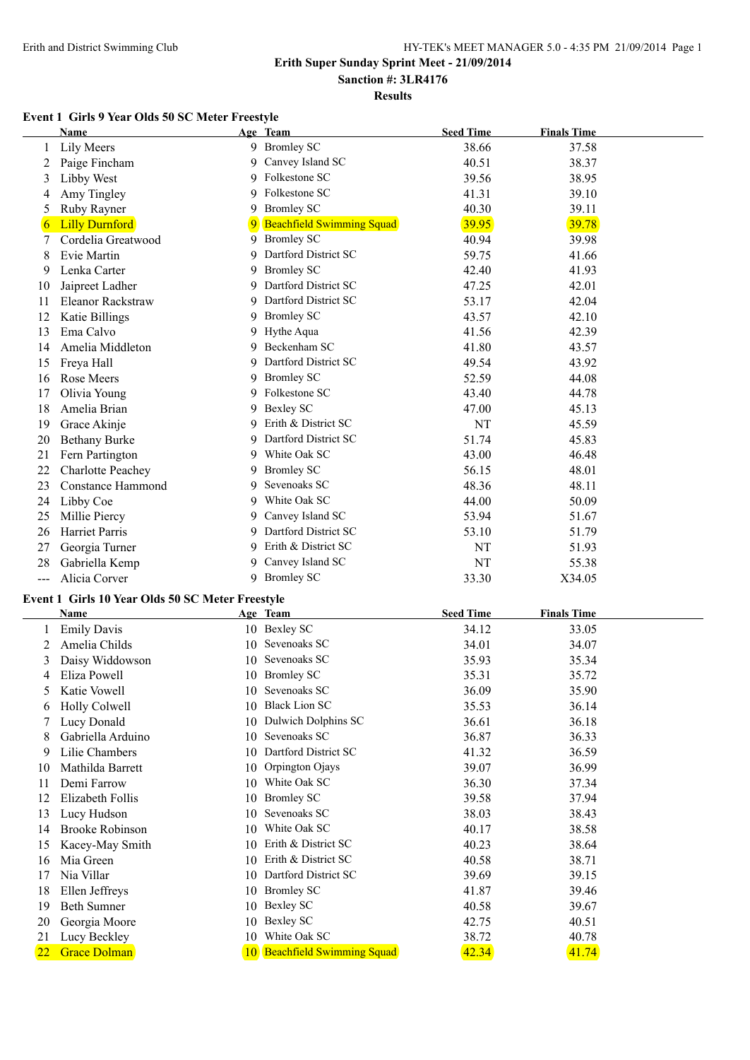# **Results**

## **Event 1 Girls 9 Year Olds 50 SC Meter Freestyle**

|     | <b>Name</b>              |    | Age Team                         | <b>Seed Time</b> | <b>Finals Time</b> |  |
|-----|--------------------------|----|----------------------------------|------------------|--------------------|--|
|     | Lily Meers               |    | 9 Bromley SC                     | 38.66            | 37.58              |  |
|     | Paige Fincham            | 9  | Canvey Island SC                 | 40.51            | 38.37              |  |
| 3   | Libby West               | 9  | Folkestone SC                    | 39.56            | 38.95              |  |
| 4   | Amy Tingley              | 9  | Folkestone SC                    | 41.31            | 39.10              |  |
| 5   | Ruby Rayner              | 9  | <b>Bromley SC</b>                | 40.30            | 39.11              |  |
| 6   | <b>Lilly Durnford</b>    | 9  | <b>Beachfield Swimming Squad</b> | 39.95            | 39.78              |  |
|     | Cordelia Greatwood       | 9  | <b>Bromley SC</b>                | 40.94            | 39.98              |  |
| 8   | Evie Martin              | 9  | Dartford District SC             | 59.75            | 41.66              |  |
| 9   | Lenka Carter             | 9  | <b>Bromley SC</b>                | 42.40            | 41.93              |  |
| 10  | Jaipreet Ladher          | 9  | Dartford District SC             | 47.25            | 42.01              |  |
| 11  | Eleanor Rackstraw        | 9  | Dartford District SC             | 53.17            | 42.04              |  |
| 12  | Katie Billings           | 9  | <b>Bromley SC</b>                | 43.57            | 42.10              |  |
| 13  | Ema Calvo                | 9  | Hythe Aqua                       | 41.56            | 42.39              |  |
| 14  | Amelia Middleton         | 9  | Beckenham SC                     | 41.80            | 43.57              |  |
| 15  | Freya Hall               | 9  | Dartford District SC             | 49.54            | 43.92              |  |
| 16  | Rose Meers               | 9  | <b>Bromley SC</b>                | 52.59            | 44.08              |  |
| 17  | Olivia Young             | 9  | Folkestone SC                    | 43.40            | 44.78              |  |
| 18  | Amelia Brian             | 9  | Bexley SC                        | 47.00            | 45.13              |  |
| 19  | Grace Akinje             | 9  | Erith & District SC              | NT               | 45.59              |  |
| 20  | <b>Bethany Burke</b>     | 9  | Dartford District SC             | 51.74            | 45.83              |  |
| 21  | Fern Partington          |    | 9 White Oak SC                   | 43.00            | 46.48              |  |
| 22  | <b>Charlotte Peachey</b> | 9  | <b>Bromley SC</b>                | 56.15            | 48.01              |  |
| 23  | <b>Constance Hammond</b> | 9  | Sevenoaks SC                     | 48.36            | 48.11              |  |
| 24  | Libby Coe                | 9  | White Oak SC                     | 44.00            | 50.09              |  |
| 25  | Millie Piercy            | 9  | Canvey Island SC                 | 53.94            | 51.67              |  |
| 26  | <b>Harriet Parris</b>    | 9  | Dartford District SC             | 53.10            | 51.79              |  |
| 27  | Georgia Turner           |    | 9 Erith & District SC            | NT               | 51.93              |  |
| 28  | Gabriella Kemp           | 9. | Canvey Island SC                 | NT               | 55.38              |  |
| --- | Alicia Corver            |    | 9 Bromley SC                     | 33.30            | X34.05             |  |

#### **Event 1 Girls 10 Year Olds 50 SC Meter Freestyle**

|    | Name                   |    | Age Team                     | <b>Seed Time</b> | <b>Finals Time</b> |  |
|----|------------------------|----|------------------------------|------------------|--------------------|--|
|    | <b>Emily Davis</b>     | 10 | <b>Bexley SC</b>             | 34.12            | 33.05              |  |
|    | Amelia Childs          | 10 | Sevenoaks SC                 | 34.01            | 34.07              |  |
| 3  | Daisy Widdowson        | 10 | Sevenoaks SC                 | 35.93            | 35.34              |  |
| 4  | Eliza Powell           | 10 | <b>Bromley SC</b>            | 35.31            | 35.72              |  |
| 5  | Katie Vowell           | 10 | Sevenoaks SC                 | 36.09            | 35.90              |  |
| 6  | <b>Holly Colwell</b>   | 10 | <b>Black Lion SC</b>         | 35.53            | 36.14              |  |
|    | Lucy Donald            | 10 | Dulwich Dolphins SC          | 36.61            | 36.18              |  |
| 8  | Gabriella Arduino      | 10 | Sevenoaks SC                 | 36.87            | 36.33              |  |
| 9  | Lilie Chambers         | 10 | Dartford District SC         | 41.32            | 36.59              |  |
| 10 | Mathilda Barrett       | 10 | Orpington Ojays              | 39.07            | 36.99              |  |
| 11 | Demi Farrow            | 10 | White Oak SC                 | 36.30            | 37.34              |  |
| 12 | Elizabeth Follis       | 10 | <b>Bromley SC</b>            | 39.58            | 37.94              |  |
| 13 | Lucy Hudson            | 10 | Sevenoaks SC                 | 38.03            | 38.43              |  |
| 14 | <b>Brooke Robinson</b> | 10 | White Oak SC                 | 40.17            | 38.58              |  |
| 15 | Kacey-May Smith        | 10 | Erith & District SC          | 40.23            | 38.64              |  |
| 16 | Mia Green              | 10 | Erith & District SC          | 40.58            | 38.71              |  |
| 17 | Nia Villar             | 10 | Dartford District SC         | 39.69            | 39.15              |  |
| 18 | Ellen Jeffreys         | 10 | <b>Bromley SC</b>            | 41.87            | 39.46              |  |
| 19 | <b>Beth Sumner</b>     | 10 | Bexley SC                    | 40.58            | 39.67              |  |
| 20 | Georgia Moore          | 10 | Bexley SC                    | 42.75            | 40.51              |  |
| 21 | Lucy Beckley           | 10 | White Oak SC                 | 38.72            | 40.78              |  |
| 22 | <b>Grace Dolman</b>    |    | 10 Beachfield Swimming Squad | 42.34            | 41.74              |  |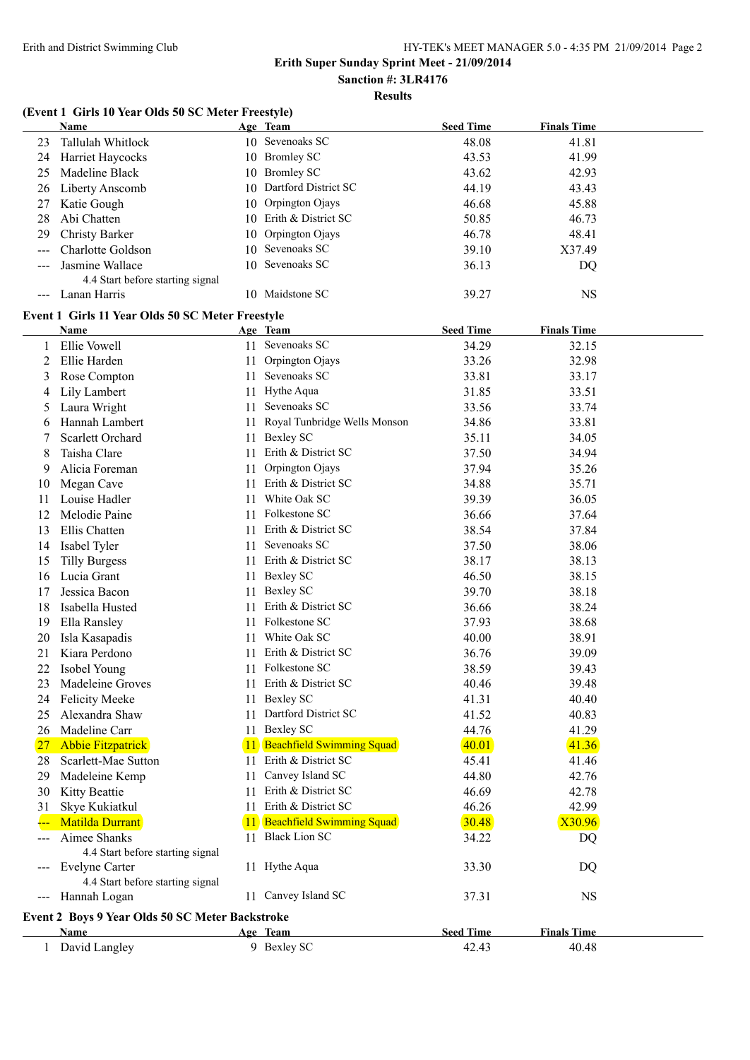# **Sanction #: 3LR4176**

## **Results**

# **(Event 1 Girls 10 Year Olds 50 SC Meter Freestyle)**

|                     | Name                                             |     | Age Team                         | <b>Seed Time</b> | <b>Finals Time</b> |
|---------------------|--------------------------------------------------|-----|----------------------------------|------------------|--------------------|
| 23                  | Tallulah Whitlock                                |     | 10 Sevenoaks SC                  | 48.08            | 41.81              |
| 24                  | Harriet Haycocks                                 |     | 10 Bromley SC                    | 43.53            | 41.99              |
| 25                  | Madeline Black                                   |     | 10 Bromley SC                    | 43.62            | 42.93              |
| 26                  | Liberty Anscomb                                  |     | 10 Dartford District SC          | 44.19            | 43.43              |
| 27                  | Katie Gough                                      |     | 10 Orpington Ojays               | 46.68            | 45.88              |
| 28                  | Abi Chatten                                      |     | 10 Erith & District SC           | 50.85            | 46.73              |
| 29                  | <b>Christy Barker</b>                            |     | 10 Orpington Ojays               | 46.78            | 48.41              |
|                     | Charlotte Goldson                                |     | 10 Sevenoaks SC                  | 39.10            | X37.49             |
|                     | Jasmine Wallace                                  |     | 10 Sevenoaks SC                  | 36.13            | DQ                 |
|                     | 4.4 Start before starting signal                 |     |                                  |                  |                    |
| $\qquad \qquad - -$ | Lanan Harris                                     |     | 10 Maidstone SC                  | 39.27            | <b>NS</b>          |
|                     | Event 1 Girls 11 Year Olds 50 SC Meter Freestyle |     |                                  |                  |                    |
|                     | Name                                             |     | Age Team                         | <b>Seed Time</b> | <b>Finals Time</b> |
|                     | Ellie Vowell                                     |     | 11 Sevenoaks SC                  | 34.29            | 32.15              |
| 2                   | Ellie Harden                                     | 11  | Orpington Ojays                  | 33.26            | 32.98              |
| 3                   | Rose Compton                                     | 11  | Sevenoaks SC                     | 33.81            | 33.17              |
| 4                   | Lily Lambert                                     |     | 11 Hythe Aqua                    | 31.85            | 33.51              |
| 5                   | Laura Wright                                     |     | 11 Sevenoaks SC                  | 33.56            | 33.74              |
| 6                   | Hannah Lambert                                   | 11  | Royal Tunbridge Wells Monson     | 34.86            | 33.81              |
|                     | Scarlett Orchard                                 |     | 11 Bexley SC                     | 35.11            | 34.05              |
| 8                   | Taisha Clare                                     |     | 11 Erith & District SC           | 37.50            | 34.94              |
| 9                   | Alicia Foreman                                   | 11  | Orpington Ojays                  | 37.94            | 35.26              |
| 10                  | Megan Cave                                       |     | 11 Erith & District SC           | 34.88            | 35.71              |
| 11                  | Louise Hadler                                    |     | 11 White Oak SC                  | 39.39            | 36.05              |
| 12                  | Melodie Paine                                    |     | 11 Folkestone SC                 | 36.66            | 37.64              |
| 13                  | Ellis Chatten                                    |     | 11 Erith & District SC           | 38.54            | 37.84              |
| 14                  |                                                  |     | 11 Sevenoaks SC                  | 37.50            | 38.06              |
|                     | Isabel Tyler                                     |     | 11 Erith & District SC           | 38.17            |                    |
| 15                  | <b>Tilly Burgess</b>                             |     |                                  |                  | 38.13              |
| 16                  | Lucia Grant                                      |     | 11 Bexley SC                     | 46.50            | 38.15              |
| 17                  | Jessica Bacon                                    |     | 11 Bexley SC                     | 39.70            | 38.18              |
| 18                  | Isabella Husted                                  | 11  | Erith & District SC              | 36.66            | 38.24              |
| 19                  | Ella Ransley                                     |     | 11 Folkestone SC                 | 37.93            | 38.68              |
| 20                  | Isla Kasapadis                                   | 11. | White Oak SC                     | 40.00            | 38.91              |
| 21                  | Kiara Perdono                                    | 11. | Erith & District SC              | 36.76            | 39.09              |
| 22                  | Isobel Young                                     |     | 11 Folkestone SC                 | 38.59            | 39.43              |
| 23                  | Madeleine Groves                                 |     | 11 Erith & District SC           | 40.46            | 39.48              |
| 24                  | <b>Felicity Meeke</b>                            |     | 11 Bexley SC                     | 41.31            | 40.40              |
| 25                  | Alexandra Shaw                                   | 11  | Dartford District SC             | 41.52            | 40.83              |
| 26                  | Madeline Carr                                    | 11. | <b>Bexley SC</b>                 | 44.76            | 41.29              |
| 27                  | <b>Abbie Fitzpatrick</b>                         | 11  | Beachfield Swimming Squad        | 40.01            | 41.36              |
| 28                  | Scarlett-Mae Sutton                              | 11. | Erith & District SC              | 45.41            | 41.46              |
| 29                  | Madeleine Kemp                                   | 11  | Canvey Island SC                 | 44.80            | 42.76              |
| 30                  | Kitty Beattie                                    | 11. | Erith & District SC              | 46.69            | 42.78              |
| 31                  | Skye Kukiatkul                                   | 11  | Erith & District SC              | 46.26            | 42.99              |
|                     | <b>Matilda Durrant</b>                           | 11. | <b>Beachfield Swimming Squad</b> | 30.48            | X30.96             |
|                     | Aimee Shanks                                     |     | 11 Black Lion SC                 | 34.22            | DQ                 |
|                     | 4.4 Start before starting signal                 |     |                                  |                  |                    |
| $\qquad \qquad - -$ | Evelyne Carter                                   |     | 11 Hythe Aqua                    | 33.30            | DQ                 |
|                     | 4.4 Start before starting signal                 |     |                                  |                  |                    |
|                     | --- Hannah Logan                                 |     | 11 Canvey Island SC              | 37.31            | <b>NS</b>          |
|                     | Event 2 Boys 9 Year Olds 50 SC Meter Backstroke  |     |                                  |                  |                    |
|                     | Name                                             |     | Age Team                         | <b>Seed Time</b> | <b>Finals Time</b> |
|                     | 1 David Langley                                  |     | 9 Bexley SC                      | 42.43            | 40.48              |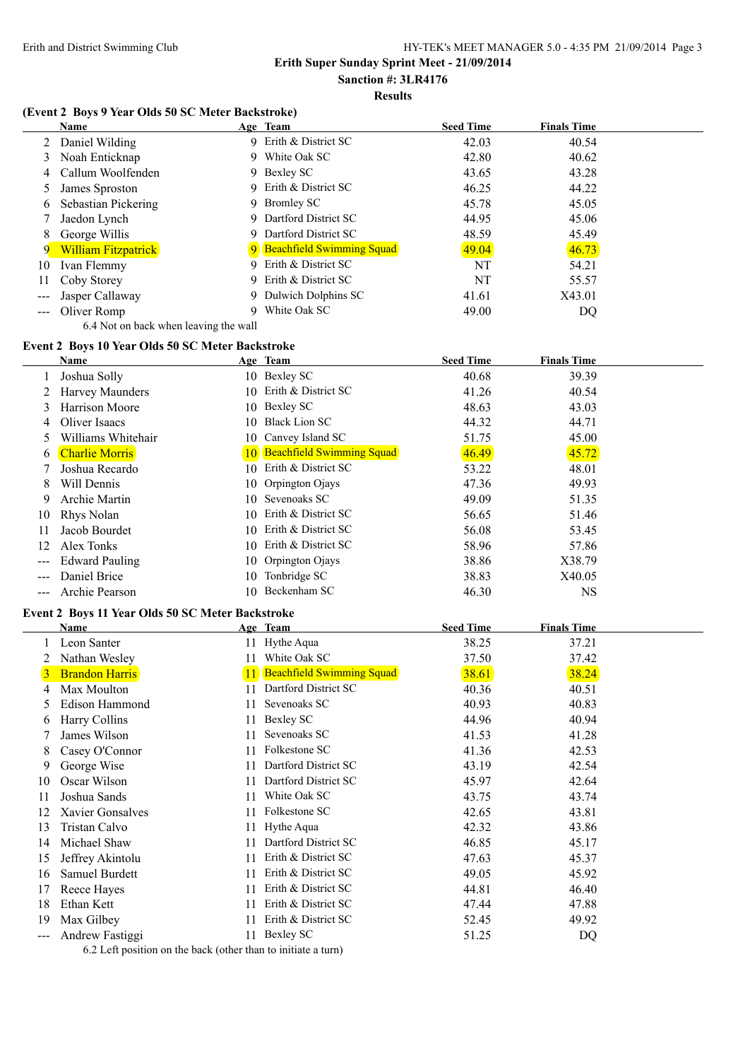# **Sanction #: 3LR4176**

### **Results**

### **(Event 2 Boys 9 Year Olds 50 SC Meter Backstroke)**

|    | <b>Name</b>                |    | Age Team                    | <b>Seed Time</b> | <b>Finals Time</b> |
|----|----------------------------|----|-----------------------------|------------------|--------------------|
|    | Daniel Wilding             |    | 9 Erith & District SC       | 42.03            | 40.54              |
| 3  | Noah Enticknap             |    | 9 White Oak SC              | 42.80            | 40.62              |
| 4  | Callum Woolfenden          |    | 9 Bexley SC                 | 43.65            | 43.28              |
|    | James Sproston             |    | 9 Erith & District SC       | 46.25            | 44.22              |
| 6  | Sebastian Pickering        | 9. | <b>Bromley SC</b>           | 45.78            | 45.05              |
|    | Jaedon Lynch               |    | 9 Dartford District SC      | 44.95            | 45.06              |
| 8  | George Willis              | 9. | Dartford District SC        | 48.59            | 45.49              |
| 9  | <b>William Fitzpatrick</b> |    | 9 Beachfield Swimming Squad | 49.04            | 46.73              |
| 10 | Ivan Flemmy                | 9  | Erith & District SC         | NT               | 54.21              |
| 11 | Coby Storey                |    | 9 Erith & District SC       | NT               | 55.57              |
|    | Jasper Callaway            | 9. | Dulwich Dolphins SC         | 41.61            | X43.01             |
|    | --- Oliver Romp            |    | White Oak SC                | 49.00            | DQ                 |

# 6.4 Not on back when leaving the wall

|                   | Event 2 Boys 10 Year Olds 50 SC Meter Backstroke |     |                              |                  |                    |  |
|-------------------|--------------------------------------------------|-----|------------------------------|------------------|--------------------|--|
|                   | Name                                             |     | Age Team                     | <b>Seed Time</b> | <b>Finals Time</b> |  |
|                   | Joshua Solly                                     |     | 10 Bexley SC                 | 40.68            | 39.39              |  |
|                   | Harvey Maunders                                  | 10. | Erith & District SC          | 41.26            | 40.54              |  |
| 3                 | <b>Harrison Moore</b>                            |     | 10 Bexley SC                 | 48.63            | 43.03              |  |
| 4                 | Oliver Isaacs                                    | 10. | <b>Black Lion SC</b>         | 44.32            | 44.71              |  |
| 5                 | Williams Whitehair                               | 10- | Canvey Island SC             | 51.75            | 45.00              |  |
| 6                 | <b>Charlie Morris</b>                            |     | 10 Beachfield Swimming Squad | 46.49            | 45.72              |  |
|                   | Joshua Recardo                                   | 10. | Erith & District SC          | 53.22            | 48.01              |  |
| 8                 | Will Dennis                                      |     | 10 Orpington Ojays           | 47.36            | 49.93              |  |
| 9                 | Archie Martin                                    | 10  | Sevenoaks SC                 | 49.09            | 51.35              |  |
| 10                | Rhys Nolan                                       | 10. | Erith & District SC          | 56.65            | 51.46              |  |
| 11                | Jacob Bourdet                                    | 10. | Erith & District SC          | 56.08            | 53.45              |  |
| 12                | Alex Tonks                                       | 10. | Erith & District SC          | 58.96            | 57.86              |  |
| $\qquad \qquad -$ | <b>Edward Pauling</b>                            |     | 10 Orpington Ojays           | 38.86            | X38.79             |  |
| $---$             | Daniel Brice                                     | 10  | Tonbridge SC                 | 38.83            | X40.05             |  |
| ---               | Archie Pearson                                   | 10. | Beckenham SC                 | 46.30            | NS                 |  |

#### **Event 2 Boys 11 Year Olds 50 SC Meter Backstroke**

|                        | Name                  |    | Age Team                         | <b>Seed Time</b> | <b>Finals Time</b> |  |
|------------------------|-----------------------|----|----------------------------------|------------------|--------------------|--|
|                        | Leon Santer           | 11 | Hythe Aqua                       | 38.25            | 37.21              |  |
|                        | Nathan Wesley         | 11 | White Oak SC                     | 37.50            | 37.42              |  |
| 3                      | <b>Brandon Harris</b> |    | <b>Beachfield Swimming Squad</b> | 38.61            | 38.24              |  |
| 4                      | Max Moulton           | 11 | Dartford District SC             | 40.36            | 40.51              |  |
| 5                      | Edison Hammond        | 11 | Sevenoaks SC                     | 40.93            | 40.83              |  |
| 6                      | Harry Collins         | 11 | Bexley SC                        | 44.96            | 40.94              |  |
|                        | James Wilson          | 11 | Sevenoaks SC                     | 41.53            | 41.28              |  |
| 8                      | Casey O'Connor        | 11 | Folkestone SC                    | 41.36            | 42.53              |  |
| 9                      | George Wise           | 11 | Dartford District SC             | 43.19            | 42.54              |  |
| 10                     | Oscar Wilson          | 11 | Dartford District SC             | 45.97            | 42.64              |  |
| 11                     | Joshua Sands          | 11 | White Oak SC                     | 43.75            | 43.74              |  |
| 12                     | Xavier Gonsalves      | 11 | Folkestone SC                    | 42.65            | 43.81              |  |
| 13                     | Tristan Calvo         | 11 | Hythe Aqua                       | 42.32            | 43.86              |  |
| 14                     | Michael Shaw          | 11 | Dartford District SC             | 46.85            | 45.17              |  |
| 15                     | Jeffrey Akintolu      | 11 | Erith & District SC              | 47.63            | 45.37              |  |
| 16                     | Samuel Burdett        | 11 | Erith & District SC              | 49.05            | 45.92              |  |
| 17                     | Reece Hayes           | 11 | Erith & District SC              | 44.81            | 46.40              |  |
| 18                     | Ethan Kett            | 11 | Erith & District SC              | 47.44            | 47.88              |  |
| 19                     | Max Gilbey            | 11 | Erith & District SC              | 52.45            | 49.92              |  |
| $\qquad \qquad \cdots$ | Andrew Fastiggi       | 11 | Bexley SC                        | 51.25            | DQ                 |  |

6.2 Left position on the back (other than to initiate a turn)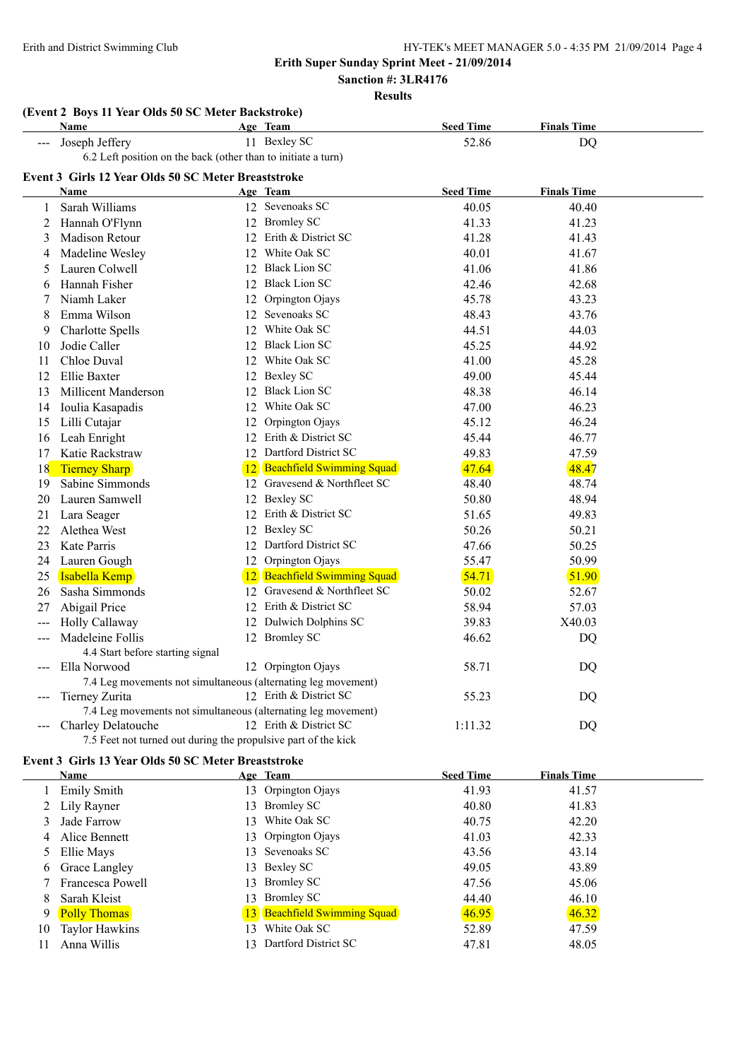**Sanction #: 3LR4176**

**Results**

|       | (Event 2 Boys 11 Year Olds 50 SC Meter Backstroke)             |                              |                  |                    |  |
|-------|----------------------------------------------------------------|------------------------------|------------------|--------------------|--|
|       | Name                                                           | Age Team                     | <b>Seed Time</b> | <b>Finals Time</b> |  |
| ---   | Joseph Jeffery                                                 | 11 Bexley SC                 | 52.86            | <b>DQ</b>          |  |
|       | 6.2 Left position on the back (other than to initiate a turn)  |                              |                  |                    |  |
|       | Event 3 Girls 12 Year Olds 50 SC Meter Breaststroke            |                              |                  |                    |  |
|       | <b>Name</b>                                                    | <u>Age Team</u>              | <b>Seed Time</b> | <b>Finals Time</b> |  |
| 1     | Sarah Williams                                                 | 12 Sevenoaks SC              | 40.05            | 40.40              |  |
| 2     | Hannah O'Flynn                                                 | 12 Bromley SC                | 41.33            | 41.23              |  |
| 3     | <b>Madison Retour</b>                                          | 12 Erith & District SC       | 41.28            | 41.43              |  |
| 4     | Madeline Wesley                                                | 12 White Oak SC              | 40.01            | 41.67              |  |
| 5     | Lauren Colwell                                                 | 12 Black Lion SC             | 41.06            | 41.86              |  |
| 6     | Hannah Fisher                                                  | 12 Black Lion SC             | 42.46            | 42.68              |  |
| 7     | Niamh Laker                                                    | 12 Orpington Ojays           | 45.78            | 43.23              |  |
| 8     | Emma Wilson                                                    | 12 Sevenoaks SC              | 48.43            | 43.76              |  |
| 9     | <b>Charlotte Spells</b>                                        | 12 White Oak SC              | 44.51            | 44.03              |  |
| 10    | Jodie Caller                                                   | 12 Black Lion SC             | 45.25            | 44.92              |  |
| 11    | Chloe Duval                                                    | 12 White Oak SC              | 41.00            | 45.28              |  |
| 12    | Ellie Baxter                                                   | 12 Bexley SC                 | 49.00            | 45.44              |  |
| 13    | Millicent Manderson                                            | 12 Black Lion SC             | 48.38            | 46.14              |  |
| 14    | Ioulia Kasapadis                                               | 12 White Oak SC              | 47.00            | 46.23              |  |
| 15    | Lilli Cutajar                                                  | 12 Orpington Ojays           | 45.12            | 46.24              |  |
| 16    | Leah Enright                                                   | 12 Erith & District SC       | 45.44            | 46.77              |  |
| 17    | Katie Rackstraw                                                | 12 Dartford District SC      | 49.83            | 47.59              |  |
| 18    | <b>Tierney Sharp</b>                                           | 12 Beachfield Swimming Squad | 47.64            | 48.47              |  |
| 19    | Sabine Simmonds                                                | 12 Gravesend & Northfleet SC | 48.40            | 48.74              |  |
| 20    | Lauren Samwell                                                 | 12 Bexley SC                 | 50.80            | 48.94              |  |
| 21    | Lara Seager                                                    | 12 Erith & District SC       | 51.65            | 49.83              |  |
| 22    | Alethea West                                                   | 12 Bexley SC                 | 50.26            | 50.21              |  |
| 23    | <b>Kate Parris</b>                                             | 12 Dartford District SC      | 47.66            | 50.25              |  |
| 24    | Lauren Gough                                                   | 12 Orpington Ojays           | 55.47            | 50.99              |  |
| 25    | Isabella Kemp                                                  | 12 Beachfield Swimming Squad | 54.71            | 51.90              |  |
| 26    | Sasha Simmonds                                                 | 12 Gravesend & Northfleet SC | 50.02            | 52.67              |  |
| 27    | Abigail Price                                                  | 12 Erith & District SC       | 58.94            | 57.03              |  |
| $---$ | Holly Callaway                                                 | 12 Dulwich Dolphins SC       | 39.83            | X40.03             |  |
|       | Madeleine Follis                                               | 12 Bromley SC                | 46.62            | <b>DQ</b>          |  |
|       | 4.4 Start before starting signal                               |                              |                  |                    |  |
| $---$ | Ella Norwood                                                   | 12 Orpington Ojays           | 58.71            | DQ                 |  |
|       | 7.4 Leg movements not simultaneous (alternating leg movement)  |                              |                  |                    |  |
|       | Tierney Zurita                                                 | 12 Erith & District SC       | 55.23            | DQ                 |  |
|       | 7.4 Leg movements not simultaneous (alternating leg movement)  |                              |                  |                    |  |
| $---$ | Charley Delatouche                                             | 12 Erith & District SC       | 1:11.32          | DQ                 |  |
|       | 7.5 Feet not turned out during the propulsive part of the kick |                              |                  |                    |  |

#### **Event 3 Girls 13 Year Olds 50 SC Meter Breaststroke**

|    | <b>Name</b>         |               | Age Team                     | <b>Seed Time</b> | <b>Finals Time</b> |
|----|---------------------|---------------|------------------------------|------------------|--------------------|
|    | <b>Emily Smith</b>  |               | 13 Orpington Ojays           | 41.93            | 41.57              |
|    | 2 Lily Rayner       | 13.           | <b>Bromley SC</b>            | 40.80            | 41.83              |
|    | Jade Farrow         | 13.           | White Oak SC                 | 40.75            | 42.20              |
| 4  | Alice Bennett       |               | 13 Orpington Ojays           | 41.03            | 42.33              |
|    | Ellie Mays          |               | 13 Sevenoaks SC              | 43.56            | 43.14              |
| 6  | Grace Langley       |               | 13 Bexley SC                 | 49.05            | 43.89              |
|    | Francesca Powell    |               | 13 Bromley SC                | 47.56            | 45.06              |
| 8  | Sarah Kleist        |               | 13 Bromley SC                | 44.40            | 46.10              |
| 9  | <b>Polly Thomas</b> |               | 13 Beachfield Swimming Squad | 46.95            | 46.32              |
| 10 | Taylor Hawkins      | $\mathcal{R}$ | White Oak SC                 | 52.89            | 47.59              |
| 11 | Anna Willis         | 3             | Dartford District SC         | 47.81            | 48.05              |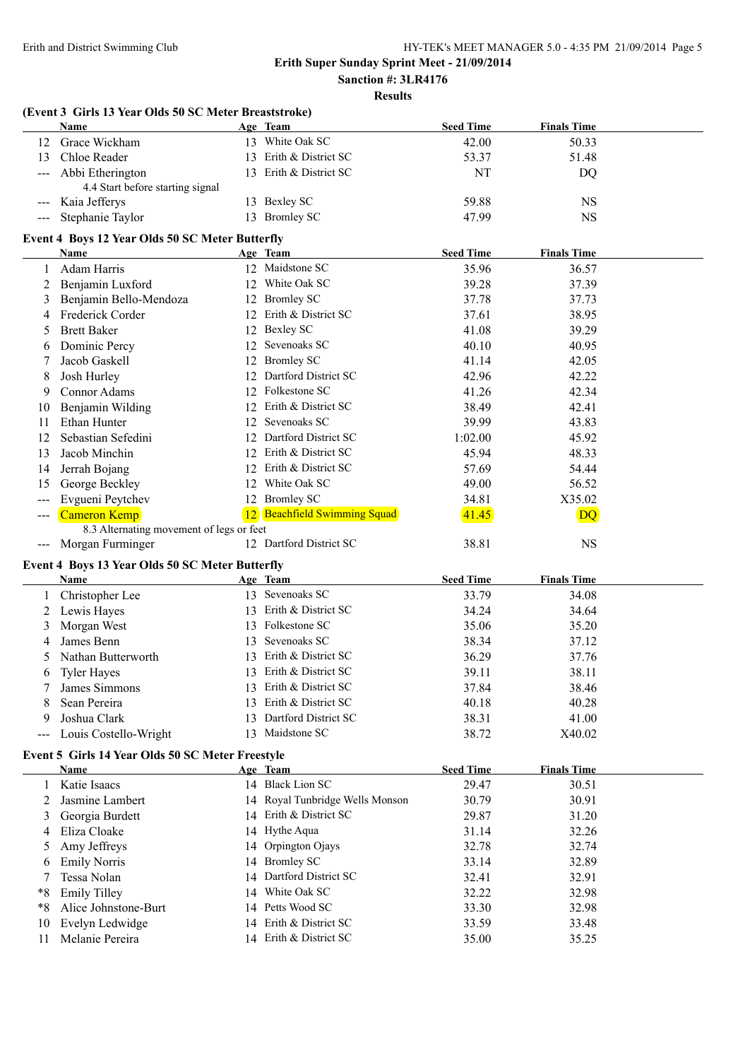# **Sanction #: 3LR4176**

## **Results**

|                                        | (Event 3 Girls 13 Year Olds 50 SC Meter Breaststroke)        |    |                                 |                  |                    |  |
|----------------------------------------|--------------------------------------------------------------|----|---------------------------------|------------------|--------------------|--|
|                                        | Name                                                         |    | Age Team                        | <b>Seed Time</b> | <b>Finals Time</b> |  |
| 12                                     | Grace Wickham                                                |    | 13 White Oak SC                 | 42.00            | 50.33              |  |
| 13                                     | Chloe Reader                                                 |    | 13 Erith & District SC          | 53.37            | 51.48              |  |
|                                        | Abbi Etherington<br>4.4 Start before starting signal         |    | 13 Erith & District SC          | NT               | DQ                 |  |
|                                        | Kaia Jefferys                                                |    | 13 Bexley SC                    | 59.88            | <b>NS</b>          |  |
|                                        | Stephanie Taylor                                             |    | 13 Bromley SC                   | 47.99            | <b>NS</b>          |  |
|                                        | Event 4 Boys 12 Year Olds 50 SC Meter Butterfly              |    |                                 |                  |                    |  |
|                                        | <b>Name</b>                                                  |    | Age Team                        | <b>Seed Time</b> | <b>Finals Time</b> |  |
| 1                                      | Adam Harris                                                  |    | 12 Maidstone SC                 | 35.96            | 36.57              |  |
| 2                                      | Benjamin Luxford                                             |    | 12 White Oak SC                 | 39.28            | 37.39              |  |
| 3                                      | Benjamin Bello-Mendoza                                       |    | 12 Bromley SC                   | 37.78            | 37.73              |  |
| 4                                      | Frederick Corder                                             |    | 12 Erith & District SC          | 37.61            | 38.95              |  |
| 5                                      | <b>Brett Baker</b>                                           |    | 12 Bexley SC                    | 41.08            | 39.29              |  |
| 6                                      | Dominic Percy                                                |    | 12 Sevenoaks SC                 | 40.10            | 40.95              |  |
| 7                                      | Jacob Gaskell                                                |    | 12 Bromley SC                   | 41.14            | 42.05              |  |
| 8                                      | Josh Hurley                                                  |    | 12 Dartford District SC         | 42.96            | 42.22              |  |
| 9                                      | Connor Adams                                                 |    | 12 Folkestone SC                | 41.26            | 42.34              |  |
| 10                                     | Benjamin Wilding                                             |    | 12 Erith & District SC          | 38.49            | 42.41              |  |
| 11                                     | Ethan Hunter                                                 |    | 12 Sevenoaks SC                 | 39.99            | 43.83              |  |
|                                        | Sebastian Sefedini                                           |    | 12 Dartford District SC         | 1:02.00          | 45.92              |  |
| 12                                     | Jacob Minchin                                                |    | 12 Erith & District SC          | 45.94            | 48.33              |  |
| 13                                     |                                                              |    | 12 Erith & District SC          |                  |                    |  |
| 14                                     | Jerrah Bojang                                                |    | 12 White Oak SC                 | 57.69            | 54.44              |  |
| 15                                     | George Beckley                                               |    |                                 | 49.00            | 56.52              |  |
| $\qquad \qquad - -$                    | Evgueni Peytchev                                             |    | 12 Bromley SC                   | 34.81            | X35.02             |  |
| $---$                                  | Cameron Kemp                                                 |    | 12 Beachfield Swimming Squad    | 41.45            | DQ                 |  |
|                                        | 8.3 Alternating movement of legs or feet<br>Morgan Furminger |    | 12 Dartford District SC         | 38.81            | <b>NS</b>          |  |
| $\scriptstyle\cdots\scriptstyle\cdots$ |                                                              |    |                                 |                  |                    |  |
|                                        | Event 4 Boys 13 Year Olds 50 SC Meter Butterfly              |    |                                 |                  |                    |  |
|                                        | Name                                                         |    | Age Team                        | <b>Seed Time</b> | <b>Finals Time</b> |  |
|                                        | Christopher Lee                                              |    | 13 Sevenoaks SC                 | 33.79            | 34.08              |  |
| 2                                      | Lewis Hayes                                                  |    | 13 Erith & District SC          | 34.24            | 34.64              |  |
| 3                                      | Morgan West                                                  |    | 13 Folkestone SC                | 35.06            | 35.20              |  |
| 4                                      | James Benn                                                   |    | 13 Sevenoaks SC                 | 38.34            | 37.12              |  |
| 5                                      | Nathan Butterworth                                           |    | 13 Erith & District SC          | 36.29            | 37.76              |  |
| O                                      | <b>Tyler Hayes</b>                                           |    | 13 Erith & District SC          | 39.11            | 38.11              |  |
|                                        | James Simmons                                                | 13 | Erith & District SC             | 37.84            | 38.46              |  |
| 8                                      | Sean Pereira                                                 | 13 | Erith & District SC             | 40.18            | 40.28              |  |
| 9                                      | Joshua Clark                                                 |    | 13 Dartford District SC         | 38.31            | 41.00              |  |
| $---$                                  | Louis Costello-Wright                                        |    | 13 Maidstone SC                 | 38.72            | X40.02             |  |
|                                        | Event 5 Girls 14 Year Olds 50 SC Meter Freestyle<br>Name     |    |                                 | <b>Seed Time</b> |                    |  |
|                                        | Katie Isaacs                                                 |    | Age Team<br>14 Black Lion SC    |                  | <b>Finals Time</b> |  |
|                                        | Jasmine Lambert                                              |    | 14 Royal Tunbridge Wells Monson | 29.47            | 30.51              |  |
| 2                                      |                                                              |    | 14 Erith & District SC          | 30.79            | 30.91              |  |
| 3                                      | Georgia Burdett                                              |    |                                 | 29.87            | 31.20              |  |
| 4                                      | Eliza Cloake                                                 |    | 14 Hythe Aqua                   | 31.14            | 32.26              |  |
| 5                                      | Amy Jeffreys                                                 |    | 14 Orpington Ojays              | 32.78            | 32.74              |  |
| 6                                      | <b>Emily Norris</b>                                          |    | 14 Bromley SC                   | 33.14            | 32.89              |  |
|                                        | Tessa Nolan                                                  |    | 14 Dartford District SC         | 32.41            | 32.91              |  |
| *8                                     | <b>Emily Tilley</b>                                          |    | 14 White Oak SC                 | 32.22            | 32.98              |  |
| *8                                     | Alice Johnstone-Burt                                         |    | 14 Petts Wood SC                | 33.30            | 32.98              |  |
| 10                                     | Evelyn Ledwidge                                              |    | 14 Erith & District SC          | 33.59            | 33.48              |  |
| 11                                     | Melanie Pereira                                              |    | 14 Erith & District SC          | 35.00            | 35.25              |  |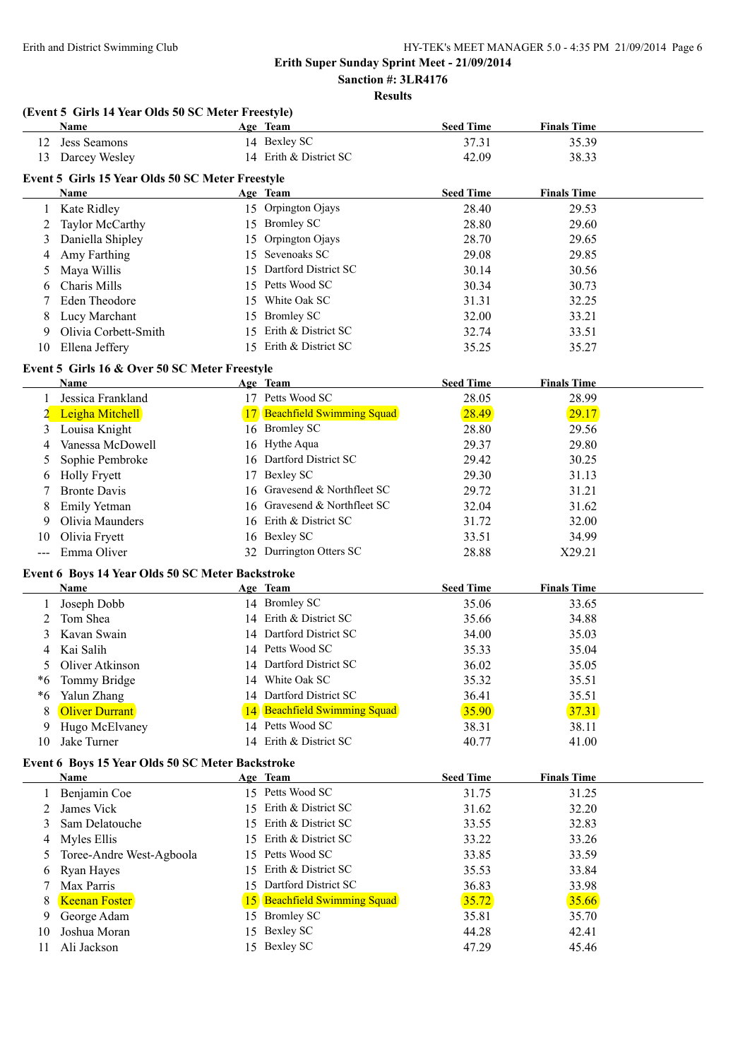**Sanction #: 3LR4176**

**Results**

|       | (Event 5 Girls 14 Year Olds 50 SC Meter Freestyle) |    |                                  |                  |                    |  |
|-------|----------------------------------------------------|----|----------------------------------|------------------|--------------------|--|
|       | Name                                               |    | Age Team                         | <b>Seed Time</b> | <b>Finals Time</b> |  |
| 12    | Jess Seamons                                       |    | 14 Bexley SC                     | 37.31            | 35.39              |  |
| 13    | Darcey Wesley                                      |    | 14 Erith & District SC           | 42.09            | 38.33              |  |
|       | Event 5 Girls 15 Year Olds 50 SC Meter Freestyle   |    |                                  |                  |                    |  |
|       | Name                                               |    | Age Team                         | <b>Seed Time</b> | <b>Finals Time</b> |  |
| 1     | Kate Ridley                                        |    | 15 Orpington Ojays               | 28.40            | 29.53              |  |
| 2     | Taylor McCarthy                                    |    | 15 Bromley SC                    | 28.80            | 29.60              |  |
| 3     | Daniella Shipley                                   |    | 15 Orpington Ojays               | 28.70            | 29.65              |  |
| 4     | Amy Farthing                                       |    | 15 Sevenoaks SC                  | 29.08            | 29.85              |  |
| 5     | Maya Willis                                        |    | 15 Dartford District SC          | 30.14            | 30.56              |  |
| 6     | Charis Mills                                       |    | 15 Petts Wood SC                 | 30.34            | 30.73              |  |
| 7     | <b>Eden Theodore</b>                               |    | 15 White Oak SC                  | 31.31            | 32.25              |  |
| 8     | Lucy Marchant                                      |    | 15 Bromley SC                    | 32.00            | 33.21              |  |
| 9     | Olivia Corbett-Smith                               |    | 15 Erith & District SC           | 32.74            | 33.51              |  |
| 10    | Ellena Jeffery                                     |    | 15 Erith & District SC           | 35.25            | 35.27              |  |
|       |                                                    |    |                                  |                  |                    |  |
|       | Event 5 Girls 16 & Over 50 SC Meter Freestyle      |    |                                  |                  |                    |  |
|       | <b>Name</b>                                        |    | Age Team                         | <b>Seed Time</b> | <b>Finals Time</b> |  |
|       | Jessica Frankland                                  |    | 17 Petts Wood SC                 | 28.05            | 28.99              |  |
| 2     | Leigha Mitchell                                    |    | <b>Beachfield Swimming Squad</b> | 28.49            | 29.17              |  |
| 3     | Louisa Knight                                      |    | 16 Bromley SC                    | 28.80            | 29.56              |  |
| 4     | Vanessa McDowell                                   |    | 16 Hythe Aqua                    | 29.37            | 29.80              |  |
| 5     | Sophie Pembroke                                    |    | 16 Dartford District SC          | 29.42            | 30.25              |  |
| 6     | <b>Holly Fryett</b>                                |    | 17 Bexley SC                     | 29.30            | 31.13              |  |
| 7     | <b>Bronte Davis</b>                                |    | 16 Gravesend & Northfleet SC     | 29.72            | 31.21              |  |
| 8     | Emily Yetman                                       |    | 16 Gravesend & Northfleet SC     | 32.04            | 31.62              |  |
| 9     | Olivia Maunders                                    |    | 16 Erith & District SC           | 31.72            | 32.00              |  |
| 10    | Olivia Fryett                                      |    | 16 Bexley SC                     | 33.51            | 34.99              |  |
| $---$ | Emma Oliver                                        |    | 32 Durrington Otters SC          | 28.88            | X29.21             |  |
|       | Event 6 Boys 14 Year Olds 50 SC Meter Backstroke   |    |                                  |                  |                    |  |
|       | Name                                               |    | Age Team                         | <b>Seed Time</b> | <b>Finals Time</b> |  |
| 1     | Joseph Dobb                                        |    | 14 Bromley SC                    | 35.06            | 33.65              |  |
| 2     | Tom Shea                                           |    | 14 Erith & District SC           | 35.66            | 34.88              |  |
| 3     | Kavan Swain                                        |    | 14 Dartford District SC          | 34.00            | 35.03              |  |
| 4     | Kai Salih                                          |    | 14 Petts Wood SC                 | 35.33            | 35.04              |  |
|       | Oliver Atkinson                                    |    | 14 Dartford District SC          | 36.02            | 35.05              |  |
| *6    | Tommy Bridge                                       |    | 14 White Oak SC                  | 35.32            | 35.51              |  |
| *6    | Yalun Zhang                                        |    | 14 Dartford District SC          | 36.41            | 35.51              |  |
| 8     | <b>Oliver Durrant</b>                              |    | 14 Beachfield Swimming Squad     | 35.90            | 37.31              |  |
| 9     | Hugo McElvaney                                     |    | 14 Petts Wood SC                 | 38.31            | 38.11              |  |
| 10    | Jake Turner                                        |    | 14 Erith & District SC           | 40.77            | 41.00              |  |
|       | Event 6 Boys 15 Year Olds 50 SC Meter Backstroke   |    |                                  |                  |                    |  |
|       | <u>Name</u>                                        |    | Age Team                         | <b>Seed Time</b> | <b>Finals Time</b> |  |
| 1     | Benjamin Coe                                       |    | 15 Petts Wood SC                 | 31.75            | 31.25              |  |
| 2     | James Vick                                         |    | 15 Erith & District SC           | 31.62            | 32.20              |  |
| 3     | Sam Delatouche                                     |    | 15 Erith & District SC           | 33.55            | 32.83              |  |
| 4     | Myles Ellis                                        |    | 15 Erith & District SC           | 33.22            | 33.26              |  |
|       | Toree-Andre West-Agboola                           |    | 15 Petts Wood SC                 | 33.85            | 33.59              |  |
| 5     |                                                    |    | 15 Erith & District SC           | 35.53            | 33.84              |  |
| 6     | Ryan Hayes<br>Max Parris                           |    | 15 Dartford District SC          | 36.83            |                    |  |
| 7     |                                                    |    | 15 Beachfield Swimming Squad     | 35.72            | 33.98<br>35.66     |  |
| 8     | <b>Keenan Foster</b>                               |    | <b>Bromley SC</b>                |                  |                    |  |
| 9     | George Adam<br>Joshua Moran                        | 15 | 15 Bexley SC                     | 35.81            | 35.70              |  |
| 10    |                                                    |    | 15 Bexley SC                     | 44.28            | 42.41              |  |
| 11    | Ali Jackson                                        |    |                                  | 47.29            | 45.46              |  |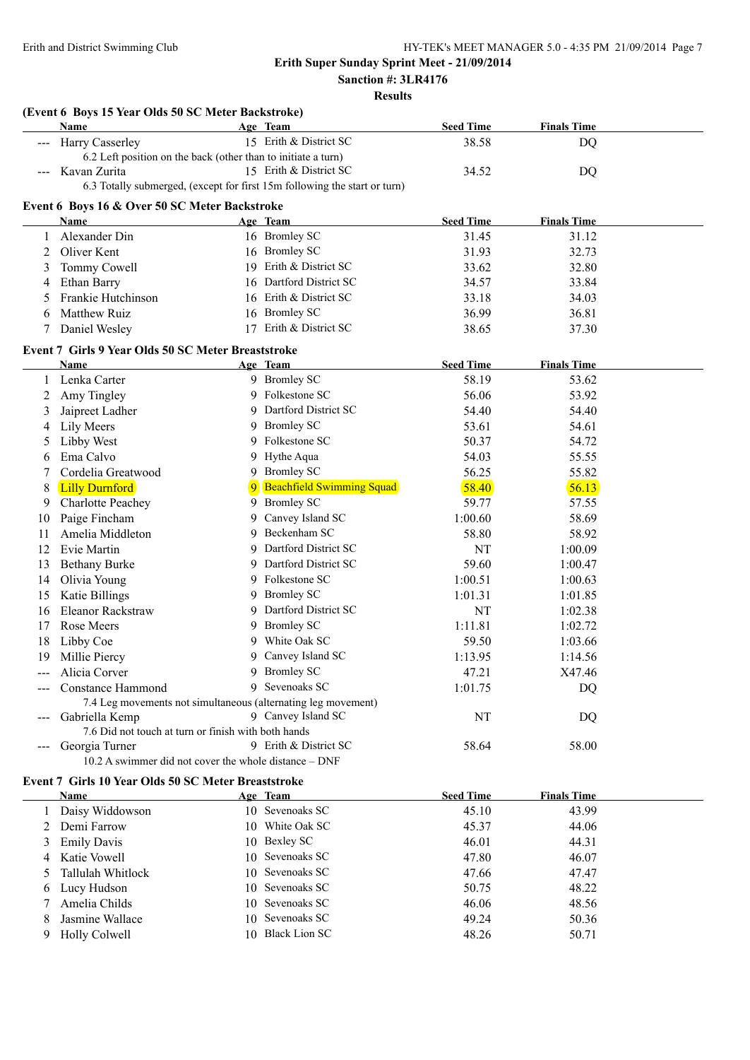#### **Sanction #: 3LR4176 Results**

| ۰,<br>٧<br>۰, | H | I<br>٠<br>× |
|---------------|---|-------------|
|               |   |             |

|                   | (Event 6 Boys 15 Year Olds 50 SC Meter Backstroke)            |    |                                                                           |                  |                    |  |
|-------------------|---------------------------------------------------------------|----|---------------------------------------------------------------------------|------------------|--------------------|--|
|                   | Name                                                          |    | Age Team                                                                  | <b>Seed Time</b> | <b>Finals Time</b> |  |
|                   | <b>Harry Casserley</b>                                        |    | 15 Erith & District SC                                                    | 38.58            | DQ                 |  |
|                   | 6.2 Left position on the back (other than to initiate a turn) |    |                                                                           |                  |                    |  |
|                   | Kavan Zurita                                                  |    | 15 Erith & District SC                                                    | 34.52            | DQ                 |  |
|                   |                                                               |    | 6.3 Totally submerged, (except for first 15m following the start or turn) |                  |                    |  |
|                   | Event 6 Boys 16 & Over 50 SC Meter Backstroke                 |    |                                                                           |                  |                    |  |
|                   | Name                                                          |    | Age Team                                                                  | <b>Seed Time</b> | <b>Finals Time</b> |  |
|                   | Alexander Din                                                 |    | 16 Bromley SC                                                             | 31.45            | 31.12              |  |
| 2                 | Oliver Kent                                                   |    | 16 Bromley SC                                                             | 31.93            | 32.73              |  |
| 3                 | Tommy Cowell                                                  |    | 19 Erith & District SC                                                    | 33.62            | 32.80              |  |
| 4                 | Ethan Barry                                                   |    | 16 Dartford District SC                                                   | 34.57            | 33.84              |  |
| 5                 | Frankie Hutchinson                                            |    | 16 Erith & District SC                                                    | 33.18            | 34.03              |  |
| 6                 | Matthew Ruiz                                                  |    | 16 Bromley SC                                                             | 36.99            | 36.81              |  |
| 7                 | Daniel Wesley                                                 |    | 17 Erith & District SC                                                    | 38.65            | 37.30              |  |
|                   | Event 7 Girls 9 Year Olds 50 SC Meter Breaststroke            |    |                                                                           |                  |                    |  |
|                   | Name                                                          |    | Age Team                                                                  | <b>Seed Time</b> | <b>Finals Time</b> |  |
| 1                 | Lenka Carter                                                  |    | 9 Bromley SC                                                              | 58.19            | 53.62              |  |
| 2                 | Amy Tingley                                                   |    | 9 Folkestone SC                                                           | 56.06            | 53.92              |  |
| 3                 | Jaipreet Ladher                                               |    | 9 Dartford District SC                                                    | 54.40            | 54.40              |  |
| 4                 | Lily Meers                                                    |    | 9 Bromley SC                                                              | 53.61            | 54.61              |  |
| 5                 | Libby West                                                    | 9. | Folkestone SC                                                             | 50.37            | 54.72              |  |
| 6                 | Ema Calvo                                                     |    | 9 Hythe Aqua                                                              | 54.03            | 55.55              |  |
| 7                 | Cordelia Greatwood                                            |    | 9 Bromley SC                                                              | 56.25            | 55.82              |  |
| 8                 | <b>Lilly Durnford</b>                                         | 9  | <b>Beachfield Swimming Squad</b>                                          | 58.40            | 56.13              |  |
| 9                 | <b>Charlotte Peachey</b>                                      | 9. | <b>Bromley SC</b>                                                         | 59.77            | 57.55              |  |
| 10                | Paige Fincham                                                 | 9  | Canvey Island SC                                                          | 1:00.60          | 58.69              |  |
| 11                | Amelia Middleton                                              | 9  | Beckenham SC                                                              | 58.80            | 58.92              |  |
| 12                | Evie Martin                                                   | 9  | Dartford District SC                                                      | NT               | 1:00.09            |  |
| 13                | <b>Bethany Burke</b>                                          | 9  | Dartford District SC                                                      | 59.60            | 1:00.47            |  |
| 14                | Olivia Young                                                  |    | 9 Folkestone SC                                                           | 1:00.51          | 1:00.63            |  |
| 15                | Katie Billings                                                |    | 9 Bromley SC                                                              | 1:01.31          | 1:01.85            |  |
| 16                | Eleanor Rackstraw                                             |    | 9 Dartford District SC                                                    | NT               | 1:02.38            |  |
| 17                | <b>Rose Meers</b>                                             |    | 9 Bromley SC                                                              | 1:11.81          | 1:02.72            |  |
| 18                | Libby Coe                                                     |    | 9 White Oak SC                                                            | 59.50            | 1:03.66            |  |
| 19                | Millie Piercy                                                 |    | 9 Canvey Island SC                                                        | 1:13.95          | 1:14.56            |  |
|                   | Alicia Corver                                                 |    | 9 Bromley SC                                                              | 47.21            | X47.46             |  |
|                   | <b>Constance Hammond</b>                                      |    | 9 Sevenoaks SC                                                            | 1:01.75          | DQ                 |  |
|                   | 7.4 Leg movements not simultaneous (alternating leg movement) |    |                                                                           |                  |                    |  |
|                   | Gabriella Kemp                                                |    | 9 Canvey Island SC                                                        | NT               | DQ                 |  |
|                   | 7.6 Did not touch at turn or finish with both hands           |    |                                                                           |                  |                    |  |
| $\qquad \qquad -$ | Georgia Turner                                                |    | 9 Erith & District SC                                                     | 58.64            | 58.00              |  |
|                   | $10.2$ A swimmer did not cover the whole distance $-$ DNF     |    |                                                                           |                  |                    |  |
|                   | Event 7 Girls 10 Year Olds 50 SC Meter Breaststroke           |    |                                                                           |                  |                    |  |
|                   | Name                                                          |    | Age Team                                                                  | <b>Seed Time</b> | <b>Finals Time</b> |  |
| 1                 | Daisy Widdowson                                               |    | 10 Sevenoaks SC                                                           | 45.10            | 43.99              |  |
|                   | 2 Demi Farrow                                                 |    | 10 White Oak SC                                                           | 45.37            | 44.06              |  |

3 Emily Davis 10 Bexley SC 46.01 44.31 4 Katie Vowell 10 Sevenoaks SC 47.80 46.07 5 Tallulah Whitlock 10 Sevenoaks SC 47.66 47.47 6 Lucy Hudson 10 Sevenoaks SC 50.75 48.22 7 Amelia Childs 10 Sevenoaks SC 46.06 48.56 8 Jasmine Wallace 10 Sevenoaks SC 49.24 50.36 9 Holly Colwell 10 Black Lion SC 48.26 50.71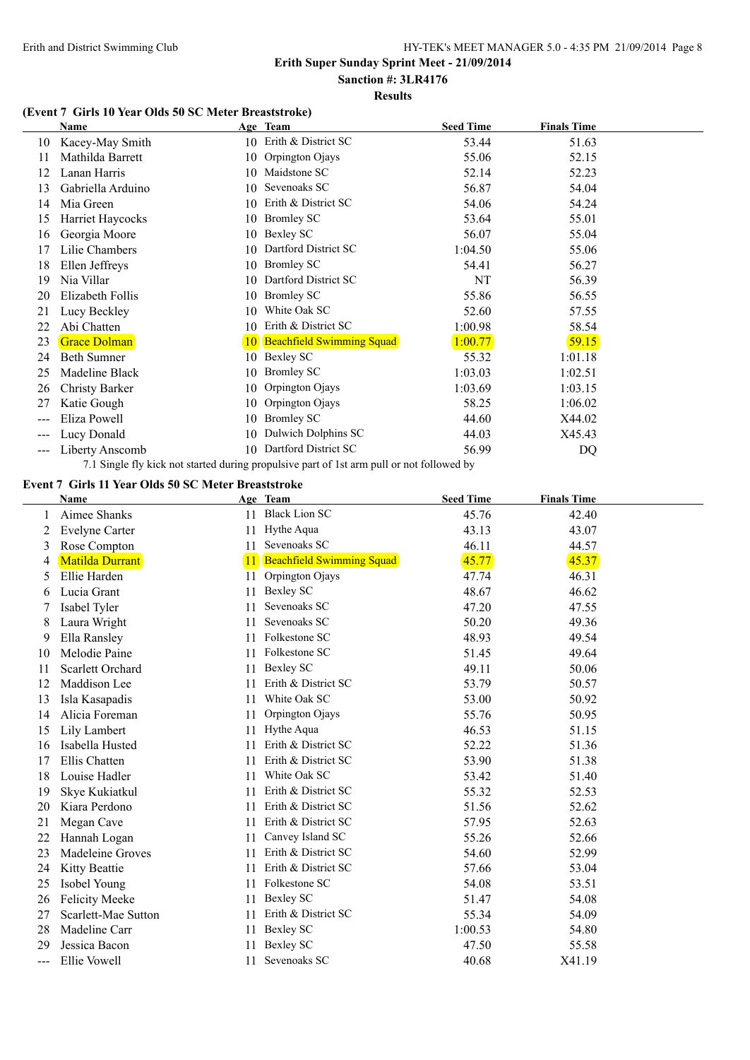#### **Sanction #: 3LR4176 Results**

### **(Event 7 Girls 10 Year Olds 50 SC Meter Breaststroke)**

|       | Name                  |                 | Age Team                         | <b>Seed Time</b> | <b>Finals Time</b> |  |
|-------|-----------------------|-----------------|----------------------------------|------------------|--------------------|--|
| 10    | Kacey-May Smith       |                 | 10 Erith & District SC           | 53.44            | 51.63              |  |
| 11    | Mathilda Barrett      | 10              | Orpington Ojays                  | 55.06            | 52.15              |  |
| 12    | Lanan Harris          |                 | 10 Maidstone SC                  | 52.14            | 52.23              |  |
| 13    | Gabriella Arduino     | 10              | Sevenoaks SC                     | 56.87            | 54.04              |  |
| 14    | Mia Green             | 10              | Erith & District SC              | 54.06            | 54.24              |  |
| 15    | Harriet Haycocks      | 10              | <b>Bromley SC</b>                | 53.64            | 55.01              |  |
| 16    | Georgia Moore         | 10              | Bexley SC                        | 56.07            | 55.04              |  |
| 17    | Lilie Chambers        | 10              | Dartford District SC             | 1:04.50          | 55.06              |  |
| 18    | Ellen Jeffreys        | 10.             | <b>Bromley SC</b>                | 54.41            | 56.27              |  |
| 19    | Nia Villar            | 10              | Dartford District SC             | NT               | 56.39              |  |
| 20    | Elizabeth Follis      | 10              | <b>Bromley SC</b>                | 55.86            | 56.55              |  |
| 21    | Lucy Beckley          | 10              | White Oak SC                     | 52.60            | 57.55              |  |
| 22    | Abi Chatten           | 10              | Erith & District SC              | 1:00.98          | 58.54              |  |
| 23    | <b>Grace Dolman</b>   | 10 <sup>°</sup> | <b>Beachfield Swimming Squad</b> | 1:00.77          | 59.15              |  |
| 24    | <b>Beth Sumner</b>    | 10              | Bexley SC                        | 55.32            | 1:01.18            |  |
| 25    | Madeline Black        | 10              | <b>Bromley SC</b>                | 1:03.03          | 1:02.51            |  |
| 26    | <b>Christy Barker</b> | 10              | Orpington Ojays                  | 1:03.69          | 1:03.15            |  |
| 27    | Katie Gough           | 10              | Orpington Ojays                  | 58.25            | 1:06.02            |  |
| $---$ | Eliza Powell          | 10              | <b>Bromley SC</b>                | 44.60            | X44.02             |  |
| $---$ | Lucy Donald           | 10              | Dulwich Dolphins SC              | 44.03            | X45.43             |  |
| ---   | Liberty Anscomb       | 10              | Dartford District SC             | 56.99            | DQ                 |  |

7.1 Single fly kick not started during propulsive part of 1st arm pull or not followed by

# **Event 7 Girls 11 Year Olds 50 SC Meter Breaststroke**

|     | <b>Name</b>            |    | Age Team                         | <b>Seed Time</b> | <b>Finals Time</b> |  |
|-----|------------------------|----|----------------------------------|------------------|--------------------|--|
|     | Aimee Shanks           |    | 11 Black Lion SC                 | 45.76            | 42.40              |  |
| 2   | <b>Evelyne Carter</b>  | 11 | Hythe Aqua                       | 43.13            | 43.07              |  |
| 3   | Rose Compton           | 11 | Sevenoaks SC                     | 46.11            | 44.57              |  |
| 4   | <b>Matilda Durrant</b> | 11 | <b>Beachfield Swimming Squad</b> | 45.77            | 45.37              |  |
| 5   | Ellie Harden           | 11 | Orpington Ojays                  | 47.74            | 46.31              |  |
| 6   | Lucia Grant            | 11 | <b>Bexley SC</b>                 | 48.67            | 46.62              |  |
|     | Isabel Tyler           | 11 | Sevenoaks SC                     | 47.20            | 47.55              |  |
| 8   | Laura Wright           | 11 | Sevenoaks SC                     | 50.20            | 49.36              |  |
| 9   | Ella Ransley           | 11 | Folkestone SC                    | 48.93            | 49.54              |  |
| 10  | Melodie Paine          | 11 | Folkestone SC                    | 51.45            | 49.64              |  |
| 11  | Scarlett Orchard       | 11 | Bexley SC                        | 49.11            | 50.06              |  |
| 12  | Maddison Lee           | 11 | Erith & District SC              | 53.79            | 50.57              |  |
| 13  | Isla Kasapadis         | 11 | White Oak SC                     | 53.00            | 50.92              |  |
| 14  | Alicia Foreman         | 11 | Orpington Ojays                  | 55.76            | 50.95              |  |
| 15  | Lily Lambert           | 11 | Hythe Aqua                       | 46.53            | 51.15              |  |
| 16  | Isabella Husted        | 11 | Erith & District SC              | 52.22            | 51.36              |  |
| 17  | Ellis Chatten          | 11 | Erith & District SC              | 53.90            | 51.38              |  |
| 18  | Louise Hadler          | 11 | White Oak SC                     | 53.42            | 51.40              |  |
| 19  | Skye Kukiatkul         | 11 | Erith & District SC              | 55.32            | 52.53              |  |
| 20  | Kiara Perdono          | 11 | Erith & District SC              | 51.56            | 52.62              |  |
| 21  | Megan Cave             | 11 | Erith & District SC              | 57.95            | 52.63              |  |
| 22  | Hannah Logan           | 11 | Canvey Island SC                 | 55.26            | 52.66              |  |
| 23  | Madeleine Groves       | 11 | Erith & District SC              | 54.60            | 52.99              |  |
| 24  | Kitty Beattie          | 11 | Erith & District SC              | 57.66            | 53.04              |  |
| 25  | Isobel Young           | 11 | Folkestone SC                    | 54.08            | 53.51              |  |
| 26  | <b>Felicity Meeke</b>  | 11 | Bexley SC                        | 51.47            | 54.08              |  |
| 27  | Scarlett-Mae Sutton    | 11 | Erith & District SC              | 55.34            | 54.09              |  |
| 28  | Madeline Carr          | 11 | Bexley SC                        | 1:00.53          | 54.80              |  |
| 29  | Jessica Bacon          | 11 | <b>Bexley SC</b>                 | 47.50            | 55.58              |  |
| --- | Ellie Vowell           | 11 | Sevenoaks SC                     | 40.68            | X41.19             |  |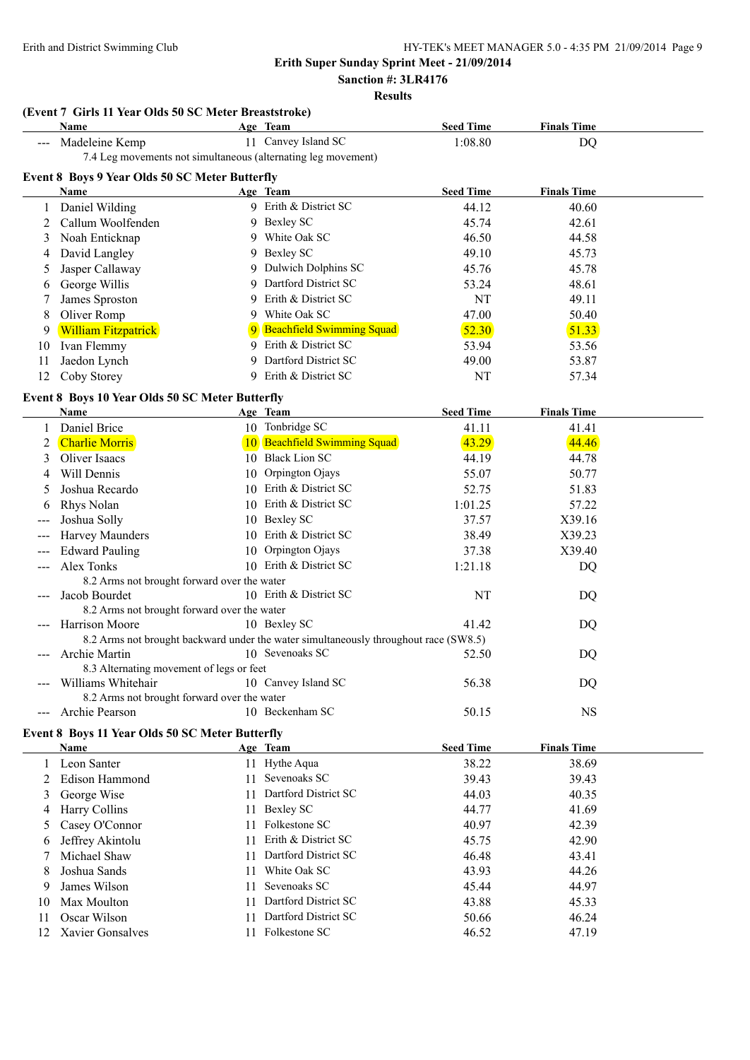**Sanction #: 3LR4176**

### **Results**

#### **(Event 7 Girls 11 Year Olds 50 SC Meter Breaststroke)**

| Name                                           | Age Team                                                      | <b>Seed Time</b> | <b>Finals Time</b> |  |
|------------------------------------------------|---------------------------------------------------------------|------------------|--------------------|--|
| Madeleine Kemp                                 | 11 Canvey Island SC                                           | 1:08.80          | DQ                 |  |
|                                                | 7.4 Leg movements not simultaneous (alternating leg movement) |                  |                    |  |
| Event 8 Boys 9 Year Olds 50 SC Meter Butterfly |                                                               |                  |                    |  |
| Name                                           | Age Team                                                      | <b>Seed Time</b> | <b>Finals Time</b> |  |
| Daniel Wilding                                 | 9 Erith & District SC                                         | 44.12            | 40.60              |  |

2 Callum Woolfenden 9 Bexley SC 45.74 42.61 3 Noah Enticknap 9 White Oak SC 46.50 44.58 4 David Langley 9 Bexley SC 49.10 45.73 5 Jasper Callaway 9 Dulwich Dolphins SC 45.76 45.78 6 George Willis 9 Dartford District SC 53.24 48.61 7 James Sproston 9 Erith & District SC NT 49.11 8 Oliver Romp 9 White Oak SC 47.00 50.40

#### 9 William Fitzpatrick 9 Beachfield Swimming Squad 52.30 51.33 10 Ivan Flemmy 9 Erith & District SC 53.94 53.56 11 Jaedon Lynch 9 Dartford District SC 49.00 53.87

|  | 12 Coby Storey | 9 Erith & District SC | NT | 57.34 |
|--|----------------|-----------------------|----|-------|
|--|----------------|-----------------------|----|-------|

#### **Event 8 Boys 10 Year Olds 50 SC Meter Butterfly**

|     | Name                                        |    | Age Team                                                                             | <b>Seed Time</b> | <b>Finals Time</b> |
|-----|---------------------------------------------|----|--------------------------------------------------------------------------------------|------------------|--------------------|
|     | Daniel Brice                                |    | 10 Tonbridge SC                                                                      | 41.11            | 41.41              |
|     | <b>Charlie Morris</b>                       |    | <b>Beachfield Swimming Squad</b>                                                     | 43.29            | 44.46              |
|     | Oliver Isaacs                               | 10 | <b>Black Lion SC</b>                                                                 | 44.19            | 44.78              |
|     | Will Dennis                                 | 10 | Orpington Ojays                                                                      | 55.07            | 50.77              |
|     | Joshua Recardo                              |    | 10 Erith & District SC                                                               | 52.75            | 51.83              |
|     | Rhys Nolan                                  |    | 10 Erith & District SC                                                               | 1:01.25          | 57.22              |
|     | Joshua Solly                                |    | 10 Bexley SC                                                                         | 37.57            | X39.16             |
|     | Harvey Maunders                             |    | 10 Erith & District SC                                                               | 38.49            | X39.23             |
|     | <b>Edward Pauling</b>                       |    | 10 Orpington Ojays                                                                   | 37.38            | X39.40             |
|     | Alex Tonks                                  |    | 10 Erith & District SC                                                               | 1:21.18          | DQ                 |
|     | 8.2 Arms not brought forward over the water |    |                                                                                      |                  |                    |
|     | Jacob Bourdet                               |    | 10 Erith & District SC                                                               | NT               | DQ                 |
|     | 8.2 Arms not brought forward over the water |    |                                                                                      |                  |                    |
|     | Harrison Moore                              |    | 10 Bexley SC                                                                         | 41.42            | DQ                 |
|     |                                             |    | 8.2 Arms not brought backward under the water simultaneously throughout race (SW8.5) |                  |                    |
|     | Archie Martin                               |    | 10 Sevenoaks SC                                                                      | 52.50            | DQ                 |
|     | 8.3 Alternating movement of legs or feet    |    |                                                                                      |                  |                    |
|     | Williams Whitehair                          |    | 10 Canvey Island SC                                                                  | 56.38            | DQ                 |
|     | 8.2 Arms not brought forward over the water |    |                                                                                      |                  |                    |
| --- | Archie Pearson                              |    | 10 Beckenham SC                                                                      | 50.15            | <b>NS</b>          |

#### **Event 8 Boys 11 Year Olds 50 SC Meter Butterfly**

|     | <b>Name</b>          |     | Age Team                | <b>Seed Time</b> | <b>Finals Time</b> |  |
|-----|----------------------|-----|-------------------------|------------------|--------------------|--|
|     | Leon Santer          |     | 11 Hythe Aqua           | 38.22            | 38.69              |  |
|     | 2 Edison Hammond     | 11  | Sevenoaks SC            | 39.43            | 39.43              |  |
|     | 3 George Wise        |     | 11 Dartford District SC | 44.03            | 40.35              |  |
| 4   | <b>Harry Collins</b> |     | 11 Bexley SC            | 44.77            | 41.69              |  |
|     | 5 Casey O'Connor     | 11  | Folkestone SC           | 40.97            | 42.39              |  |
| 6   | Jeffrey Akintolu     | 11  | Erith & District SC     | 45.75            | 42.90              |  |
|     | Michael Shaw         | 11  | Dartford District SC    | 46.48            | 43.41              |  |
| 8   | Joshua Sands         | 11. | White Oak SC            | 43.93            | 44.26              |  |
| 9   | James Wilson         | 11. | Sevenoaks SC            | 45.44            | 44.97              |  |
| 10  | Max Moulton          | 11  | Dartford District SC    | 43.88            | 45.33              |  |
| 11  | Oscar Wilson         | 11  | Dartford District SC    | 50.66            | 46.24              |  |
| 12. | Xavier Gonsalves     | 11. | Folkestone SC           | 46.52            | 47.19              |  |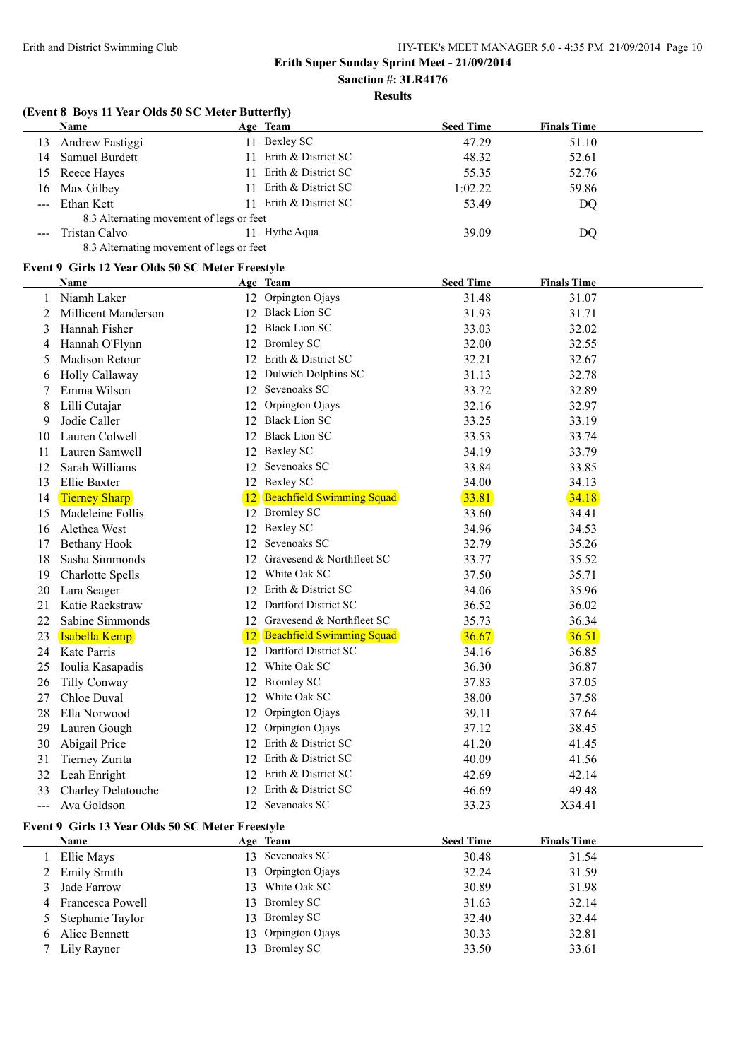## **Results**

#### **(Event 8 Boys 11 Year Olds 50 SC Meter Butterfly)**

|                                                                                                                                                                                                                                                                                                                                                                                              | <b>Name</b>                              | Age Team               | <b>Seed Time</b> | <b>Finals Time</b> |
|----------------------------------------------------------------------------------------------------------------------------------------------------------------------------------------------------------------------------------------------------------------------------------------------------------------------------------------------------------------------------------------------|------------------------------------------|------------------------|------------------|--------------------|
| 13.                                                                                                                                                                                                                                                                                                                                                                                          | Andrew Fastiggi                          | Bexley SC              | 47.29            | 51.10              |
| 14                                                                                                                                                                                                                                                                                                                                                                                           | <b>Samuel Burdett</b>                    | 11 Erith & District SC | 48.32            | 52.61              |
|                                                                                                                                                                                                                                                                                                                                                                                              | 15 Reece Hayes                           | Erith & District SC    | 55.35            | 52.76              |
|                                                                                                                                                                                                                                                                                                                                                                                              | 16 Max Gilbey                            | 11 Erith & District SC | 1:02.22          | 59.86              |
| $\frac{1}{2} \frac{1}{2} \frac{1}{2} \frac{1}{2} \frac{1}{2} \frac{1}{2} \frac{1}{2} \frac{1}{2} \frac{1}{2} \frac{1}{2} \frac{1}{2} \frac{1}{2} \frac{1}{2} \frac{1}{2} \frac{1}{2} \frac{1}{2} \frac{1}{2} \frac{1}{2} \frac{1}{2} \frac{1}{2} \frac{1}{2} \frac{1}{2} \frac{1}{2} \frac{1}{2} \frac{1}{2} \frac{1}{2} \frac{1}{2} \frac{1}{2} \frac{1}{2} \frac{1}{2} \frac{1}{2} \frac{$ | Ethan Kett                               | 11 Erith & District SC | 53.49            | DQ                 |
|                                                                                                                                                                                                                                                                                                                                                                                              | 8.3 Alternating movement of legs or feet |                        |                  |                    |
|                                                                                                                                                                                                                                                                                                                                                                                              | Tristan Calvo                            | 11 Hythe Agua          | 39.09            | DQ                 |
|                                                                                                                                                                                                                                                                                                                                                                                              | 8.3 Alternating movement of legs or feet |                        |                  |                    |

## **Event 9 Girls 12 Year Olds 50 SC Meter Freestyle**

|       | Name                                             | <u>Age Team</u>              | <b>Seed Time</b> | <b>Finals Time</b> |  |
|-------|--------------------------------------------------|------------------------------|------------------|--------------------|--|
| 1     | Niamh Laker                                      | 12 Orpington Ojays           | 31.48            | 31.07              |  |
| 2     | Millicent Manderson                              | 12 Black Lion SC             | 31.93            | 31.71              |  |
| 3     | Hannah Fisher                                    | 12 Black Lion SC             | 33.03            | 32.02              |  |
| 4     | Hannah O'Flynn                                   | 12 Bromley SC                | 32.00            | 32.55              |  |
| 5     | <b>Madison Retour</b>                            | 12 Erith & District SC       | 32.21            | 32.67              |  |
| 6     | Holly Callaway                                   | 12 Dulwich Dolphins SC       | 31.13            | 32.78              |  |
| 7     | Emma Wilson                                      | 12 Sevenoaks SC              | 33.72            | 32.89              |  |
| 8     | Lilli Cutajar                                    | 12 Orpington Ojays           | 32.16            | 32.97              |  |
| 9     | Jodie Caller                                     | 12 Black Lion SC             | 33.25            | 33.19              |  |
| 10    | Lauren Colwell                                   | 12 Black Lion SC             | 33.53            | 33.74              |  |
| 11    | Lauren Samwell                                   | 12 Bexley SC                 | 34.19            | 33.79              |  |
| 12    | Sarah Williams                                   | 12 Sevenoaks SC              | 33.84            | 33.85              |  |
| 13    | Ellie Baxter                                     | 12 Bexley SC                 | 34.00            | 34.13              |  |
| 14    | <b>Tierney Sharp</b>                             | 12 Beachfield Swimming Squad | 33.81            | 34.18              |  |
| 15    | Madeleine Follis                                 | 12 Bromley SC                | 33.60            | 34.41              |  |
| 16    | Alethea West                                     | 12 Bexley SC                 | 34.96            | 34.53              |  |
| 17    | <b>Bethany Hook</b>                              | 12 Sevenoaks SC              | 32.79            | 35.26              |  |
| 18    | Sasha Simmonds                                   | 12 Gravesend & Northfleet SC | 33.77            | 35.52              |  |
| 19    | <b>Charlotte Spells</b>                          | 12 White Oak SC              | 37.50            | 35.71              |  |
| 20    | Lara Seager                                      | 12 Erith & District SC       | 34.06            | 35.96              |  |
| 21    | Katie Rackstraw                                  | 12 Dartford District SC      | 36.52            | 36.02              |  |
| 22    | Sabine Simmonds                                  | 12 Gravesend & Northfleet SC | 35.73            | 36.34              |  |
| 23    | Isabella Kemp                                    | 12 Beachfield Swimming Squad | 36.67            | 36.51              |  |
| 24    | Kate Parris                                      | 12 Dartford District SC      | 34.16            | 36.85              |  |
| 25    | Ioulia Kasapadis                                 | 12 White Oak SC              | 36.30            | 36.87              |  |
| 26    | Tilly Conway                                     | 12 Bromley SC                | 37.83            | 37.05              |  |
| 27    | Chloe Duval                                      | 12 White Oak SC              | 38.00            | 37.58              |  |
| 28    | Ella Norwood                                     | 12 Orpington Ojays           | 39.11            | 37.64              |  |
| 29    | Lauren Gough                                     | 12 Orpington Ojays           | 37.12            | 38.45              |  |
| 30    | Abigail Price                                    | 12 Erith & District SC       | 41.20            | 41.45              |  |
| 31    | Tierney Zurita                                   | 12 Erith & District SC       | 40.09            | 41.56              |  |
| 32    | Leah Enright                                     | 12 Erith & District SC       | 42.69            | 42.14              |  |
| 33    | Charley Delatouche                               | 12 Erith & District SC       | 46.69            | 49.48              |  |
| $---$ | Ava Goldson                                      | 12 Sevenoaks SC              | 33.23            | X34.41             |  |
|       | Event 9 Girls 13 Year Olds 50 SC Meter Freestyle |                              |                  |                    |  |
|       | Name                                             | Age Team                     | <b>Seed Time</b> | <b>Finals Time</b> |  |
| 1     | Ellie Mays                                       | 13 Sevenoaks SC              | 30.48            | 31.54              |  |
| 2     | <b>Emily Smith</b>                               | 13 Orpington Ojays           | 32.24            | 31.59              |  |
| 3     | Jade Farrow                                      | 13 White Oak SC              | 30.89            | 31.98              |  |
| 4     | Francesca Powell                                 | 13 Bromley SC                | 31.63            | 32.14              |  |
| 5     | Stephanie Taylor                                 | 13 Bromley SC                | 32.40            | 32.44              |  |

6 Alice Bennett 13 Orpington Ojays 30.33 32.81<br>
7 Lily Rayner 13 Bromley SC 33.50 33.61 Lily Rayner 13 Bromley SC 33.50 33.61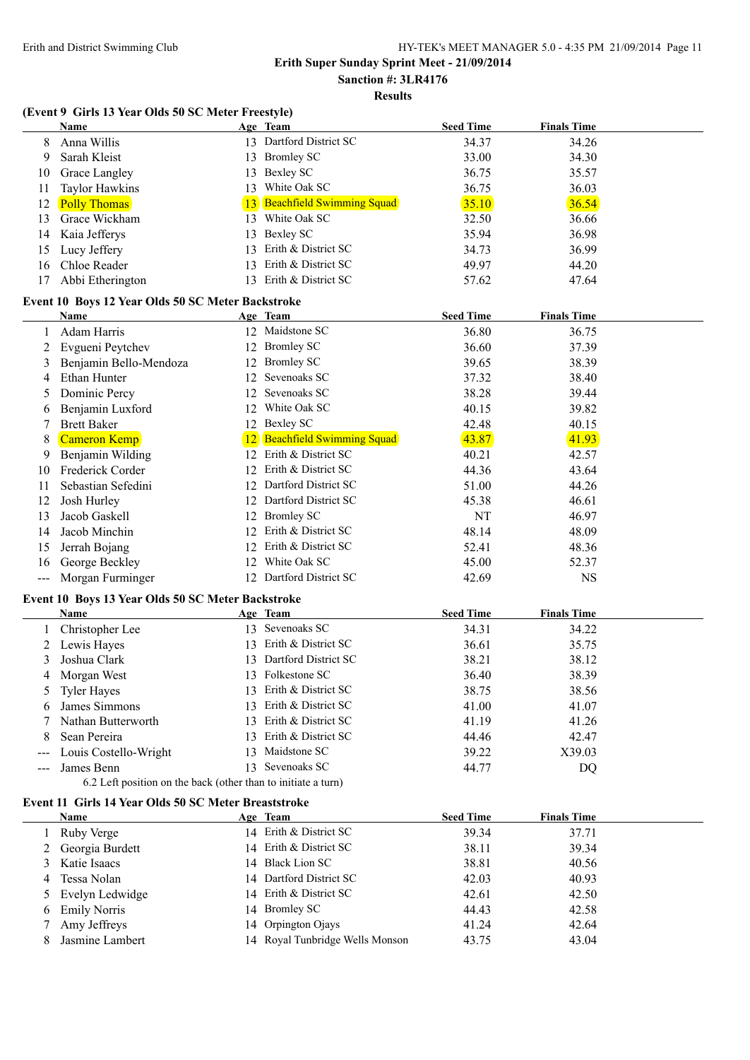**Sanction #: 3LR4176**

**Results**

# **(Event 9 Girls 13 Year Olds 50 SC Meter Freestyle)**

|                                        | (EVEILE 7) GILIS 15 TEAL ORDS 50 SC METEL PTEESLYIE)          |    |                                 |                  |                    |  |
|----------------------------------------|---------------------------------------------------------------|----|---------------------------------|------------------|--------------------|--|
|                                        | <b>Name</b>                                                   |    | Age Team                        | <b>Seed Time</b> | <b>Finals Time</b> |  |
| 8                                      | Anna Willis                                                   |    | 13 Dartford District SC         | 34.37            | 34.26              |  |
| 9                                      | Sarah Kleist                                                  |    | 13 Bromley SC                   | 33.00            | 34.30              |  |
| 10                                     | Grace Langley                                                 |    | 13 Bexley SC                    | 36.75            | 35.57              |  |
| 11                                     | <b>Taylor Hawkins</b>                                         |    | 13 White Oak SC                 | 36.75            | 36.03              |  |
| 12                                     | <b>Polly Thomas</b>                                           |    | 13 Beachfield Swimming Squad    | 35.10            | 36.54              |  |
| 13                                     | Grace Wickham                                                 |    | 13 White Oak SC                 | 32.50            | 36.66              |  |
| 14                                     | Kaia Jefferys                                                 |    | 13 Bexley SC                    | 35.94            | 36.98              |  |
| 15                                     | Lucy Jeffery                                                  |    | 13 Erith & District SC          | 34.73            | 36.99              |  |
| 16                                     | Chloe Reader                                                  |    | 13 Erith & District SC          | 49.97            | 44.20              |  |
| 17                                     | Abbi Etherington                                              |    | 13 Erith & District SC          | 57.62            | 47.64              |  |
|                                        |                                                               |    |                                 |                  |                    |  |
|                                        | Event 10 Boys 12 Year Olds 50 SC Meter Backstroke             |    |                                 |                  |                    |  |
|                                        | Name<br>Adam Harris                                           |    | Age Team<br>12 Maidstone SC     | <b>Seed Time</b> | <b>Finals Time</b> |  |
| 1                                      |                                                               |    |                                 | 36.80            | 36.75              |  |
| 2                                      | Evgueni Peytchev                                              |    | 12 Bromley SC                   | 36.60            | 37.39              |  |
| 3                                      | Benjamin Bello-Mendoza                                        |    | 12 Bromley SC                   | 39.65            | 38.39              |  |
| 4                                      | Ethan Hunter                                                  |    | 12 Sevenoaks SC                 | 37.32            | 38.40              |  |
| 5                                      | Dominic Percy                                                 |    | 12 Sevenoaks SC                 | 38.28            | 39.44              |  |
| 6                                      | Benjamin Luxford                                              |    | 12 White Oak SC                 | 40.15            | 39.82              |  |
| 7                                      | <b>Brett Baker</b>                                            |    | 12 Bexley SC                    | 42.48            | 40.15              |  |
| 8                                      | Cameron Kemp                                                  |    | 12 Beachfield Swimming Squad    | 43.87            | 41.93              |  |
| 9                                      | Benjamin Wilding                                              |    | 12 Erith & District SC          | 40.21            | 42.57              |  |
| 10                                     | Frederick Corder                                              |    | 12 Erith & District SC          | 44.36            | 43.64              |  |
| 11                                     | Sebastian Sefedini                                            |    | 12 Dartford District SC         | 51.00            | 44.26              |  |
| 12                                     | Josh Hurley                                                   |    | 12 Dartford District SC         | 45.38            | 46.61              |  |
| 13                                     | Jacob Gaskell                                                 |    | 12 Bromley SC                   | NT               | 46.97              |  |
| 14                                     | Jacob Minchin                                                 |    | 12 Erith & District SC          | 48.14            | 48.09              |  |
| 15                                     | Jerrah Bojang                                                 |    | 12 Erith & District SC          | 52.41            | 48.36              |  |
| 16                                     | George Beckley                                                |    | 12 White Oak SC                 | 45.00            | 52.37              |  |
| $\scriptstyle\cdots\scriptstyle\cdots$ | Morgan Furminger                                              |    | 12 Dartford District SC         | 42.69            | <b>NS</b>          |  |
|                                        | Event 10 Boys 13 Year Olds 50 SC Meter Backstroke             |    |                                 |                  |                    |  |
|                                        | Name                                                          |    | Age Team                        | <b>Seed Time</b> | <b>Finals Time</b> |  |
| 1                                      | Christopher Lee                                               |    | 13 Sevenoaks SC                 | 34.31            | 34.22              |  |
| 2                                      | Lewis Hayes                                                   |    | 13 Erith & District SC          | 36.61            | 35.75              |  |
| 3                                      | Joshua Clark                                                  |    | 13 Dartford District SC         | 38.21            | 38.12              |  |
| 4                                      | Morgan West                                                   |    | 13 Folkestone SC                | 36.40            | 38.39              |  |
|                                        | <b>Tyler Hayes</b>                                            |    | 13 Erith & District SC          | 38.75            | 38.56              |  |
| 5                                      | James Simmons                                                 |    | Erith & District SC             | 41.00            | 41.07              |  |
| 6                                      | Nathan Butterworth                                            | 13 | 13 Erith & District SC          | 41.19            | 41.26              |  |
| 7                                      |                                                               |    | 13 Erith & District SC          | 44.46            |                    |  |
| 8                                      | Sean Pereira                                                  |    | 13 Maidstone SC                 |                  | 42.47              |  |
| $---$                                  | Louis Costello-Wright                                         |    | 13 Sevenoaks SC                 | 39.22            | X39.03             |  |
| ---                                    | James Benn                                                    |    |                                 | 44.77            | DQ                 |  |
|                                        | 6.2 Left position on the back (other than to initiate a turn) |    |                                 |                  |                    |  |
|                                        | <b>Event 11 Girls 14 Year Olds 50 SC Meter Breaststroke</b>   |    |                                 |                  |                    |  |
|                                        | <b>Name</b>                                                   |    | Age Team                        | <b>Seed Time</b> | <b>Finals Time</b> |  |
| 1                                      | Ruby Verge                                                    |    | 14 Erith & District SC          | 39.34            | 37.71              |  |
| 2                                      | Georgia Burdett                                               |    | 14 Erith & District SC          | 38.11            | 39.34              |  |
| 3                                      | Katie Isaacs                                                  |    | 14 Black Lion SC                | 38.81            | 40.56              |  |
| 4                                      | Tessa Nolan                                                   | 14 | Dartford District SC            | 42.03            | 40.93              |  |
| 5                                      | Evelyn Ledwidge                                               | 14 | Erith & District SC             | 42.61            | 42.50              |  |
| 6                                      | <b>Emily Norris</b>                                           | 14 | <b>Bromley SC</b>               | 44.43            | 42.58              |  |
| 7                                      | Amy Jeffreys                                                  |    | 14 Orpington Ojays              | 41.24            | 42.64              |  |
| 8                                      | Jasmine Lambert                                               |    | 14 Royal Tunbridge Wells Monson | 43.75            | 43.04              |  |
|                                        |                                                               |    |                                 |                  |                    |  |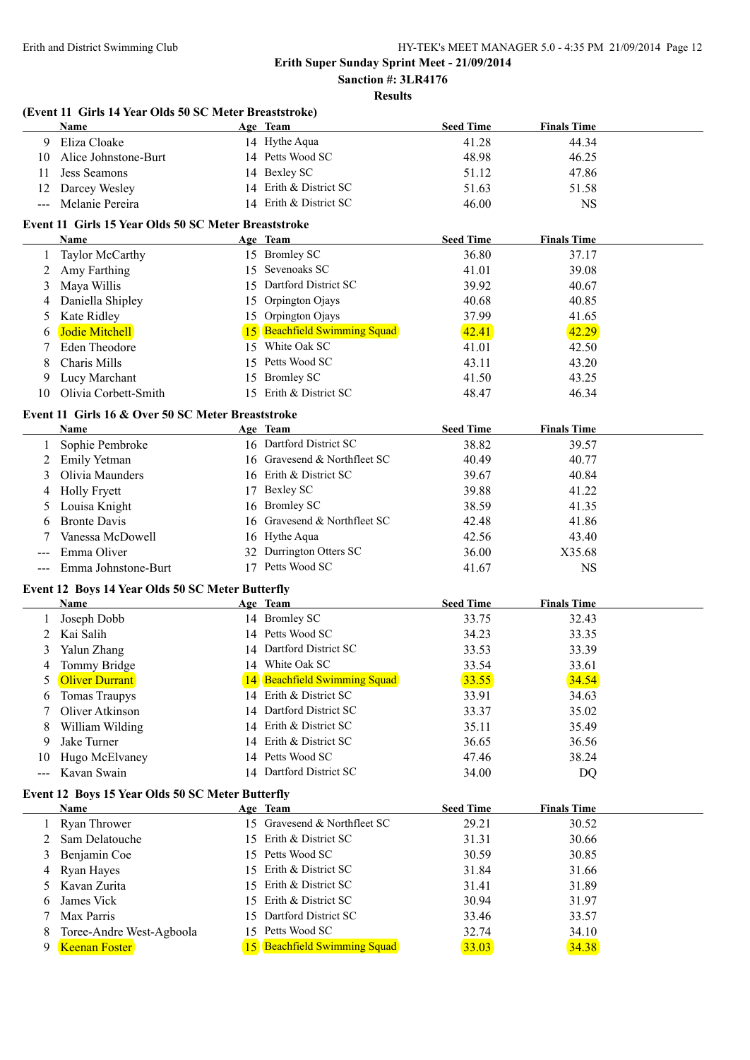## **Sanction #: 3LR4176 Results**

| ۰, |  |
|----|--|
|    |  |

|         | (Event 11 Girls 14 Year Olds 50 SC Meter Breaststroke) |    |                              |                  |                    |  |
|---------|--------------------------------------------------------|----|------------------------------|------------------|--------------------|--|
|         | <b>Name</b>                                            |    | Age Team                     | <b>Seed Time</b> | <b>Finals Time</b> |  |
| 9       | Eliza Cloake                                           |    | 14 Hythe Aqua                | 41.28            | 44.34              |  |
| 10      | Alice Johnstone-Burt                                   |    | 14 Petts Wood SC             | 48.98            | 46.25              |  |
| 11      | <b>Jess Seamons</b>                                    |    | 14 Bexley SC                 | 51.12            | 47.86              |  |
| 12      | Darcey Wesley                                          |    | 14 Erith & District SC       | 51.63            | 51.58              |  |
| $---$   | Melanie Pereira                                        |    | 14 Erith & District SC       | 46.00            | <b>NS</b>          |  |
|         | Event 11 Girls 15 Year Olds 50 SC Meter Breaststroke   |    |                              |                  |                    |  |
|         | Name                                                   |    | Age Team                     | <b>Seed Time</b> | <b>Finals Time</b> |  |
| 1       | Taylor McCarthy                                        |    | 15 Bromley SC                | 36.80            | 37.17              |  |
| 2       | Amy Farthing                                           |    | 15 Sevenoaks SC              | 41.01            | 39.08              |  |
| 3       | Maya Willis                                            |    | 15 Dartford District SC      | 39.92            | 40.67              |  |
| 4       | Daniella Shipley                                       | 15 | Orpington Ojays              | 40.68            | 40.85              |  |
| 5       | Kate Ridley                                            |    | 15 Orpington Ojays           | 37.99            | 41.65              |  |
| 6       | Jodie Mitchell                                         |    | 15 Beachfield Swimming Squad | 42.41            | 42.29              |  |
|         | <b>Eden Theodore</b>                                   | 15 | White Oak SC                 | 41.01            | 42.50              |  |
| 8       | Charis Mills                                           | 15 | Petts Wood SC                | 43.11            | 43.20              |  |
|         | Lucy Marchant                                          |    | 15 Bromley SC                | 41.50            | 43.25              |  |
| 9<br>10 | Olivia Corbett-Smith                                   |    | 15 Erith & District SC       |                  |                    |  |
|         |                                                        |    |                              | 48.47            | 46.34              |  |
|         | Event 11 Girls 16 & Over 50 SC Meter Breaststroke      |    |                              |                  |                    |  |
|         | <b>Name</b>                                            |    | Age Team                     | <b>Seed Time</b> | <b>Finals Time</b> |  |
|         | Sophie Pembroke                                        |    | 16 Dartford District SC      | 38.82            | 39.57              |  |
| 2       | <b>Emily Yetman</b>                                    |    | 16 Gravesend & Northfleet SC | 40.49            | 40.77              |  |
| 3       | Olivia Maunders                                        |    | 16 Erith & District SC       | 39.67            | 40.84              |  |
| 4       | <b>Holly Fryett</b>                                    |    | 17 Bexley SC                 | 39.88            | 41.22              |  |
|         | Louisa Knight                                          |    | 16 Bromley SC                | 38.59            | 41.35              |  |
| 6       | <b>Bronte Davis</b>                                    | 16 | Gravesend & Northfleet SC    | 42.48            | 41.86              |  |
|         | Vanessa McDowell                                       |    | 16 Hythe Aqua                | 42.56            | 43.40              |  |
| ---     | Emma Oliver                                            |    | 32 Durrington Otters SC      | 36.00            | X35.68             |  |
| $---$   | Emma Johnstone-Burt                                    |    | 17 Petts Wood SC             | 41.67            | <b>NS</b>          |  |
|         | Event 12 Boys 14 Year Olds 50 SC Meter Butterfly       |    |                              |                  |                    |  |
|         | <b>Name</b>                                            |    | Age Team                     | <b>Seed Time</b> | <b>Finals Time</b> |  |
|         | Joseph Dobb                                            |    | 14 Bromley SC                | 33.75            | 32.43              |  |
| 2       | Kai Salih                                              |    | 14 Petts Wood SC             | 34.23            | 33.35              |  |
|         | Yalun Zhang                                            |    | 14 Dartford District SC      | 33.53            | 33.39              |  |
| 4       | Tommy Bridge                                           |    | 14 White Oak SC              | 33.54            | 33.61              |  |
|         | <b>Oliver Durrant</b>                                  |    | 14 Beachfield Swimming Squad | 33.55            | 34.54              |  |
| 6       | <b>Tomas Traupys</b>                                   |    | 14 Erith & District SC       | 33.91            | 34.63              |  |
|         | Oliver Atkinson                                        |    | 14 Dartford District SC      | 33.37            | 35.02              |  |
| 8       | William Wilding                                        |    | 14 Erith & District SC       | 35.11            | 35.49              |  |
| 9       | Jake Turner                                            |    | 14 Erith & District SC       | 36.65            | 36.56              |  |
| 10      | Hugo McElvaney                                         |    | 14 Petts Wood SC             | 47.46            | 38.24              |  |
| ---     | Kavan Swain                                            |    | 14 Dartford District SC      | 34.00            | DQ                 |  |
|         | Event 12 Boys 15 Year Olds 50 SC Meter Butterfly       |    |                              |                  |                    |  |
|         | <b>Name</b>                                            |    | Age Team                     | <b>Seed Time</b> | <b>Finals Time</b> |  |
| 1       | Ryan Thrower                                           |    | 15 Gravesend & Northfleet SC | 29.21            | 30.52              |  |
| 2       | Sam Delatouche                                         |    | 15 Erith & District SC       | 31.31            | 30.66              |  |
| 3       | Benjamin Coe                                           |    | 15 Petts Wood SC             | 30.59            | 30.85              |  |
| 4       | Ryan Hayes                                             |    | 15 Erith & District SC       | 31.84            | 31.66              |  |
| 5       | Kavan Zurita                                           | 15 | Erith & District SC          | 31.41            | 31.89              |  |
| 6       | James Vick                                             | 15 | Erith & District SC          | 30.94            | 31.97              |  |
| 7       | Max Parris                                             | 15 | Dartford District SC         | 33.46            | 33.57              |  |
| 8       | Toree-Andre West-Agboola                               |    | 15 Petts Wood SC             | 32.74            | 34.10              |  |
|         | Keenan Foster                                          |    | 15 Beachfield Swimming Squad | 33.03            | 34.38              |  |
| 9       |                                                        |    |                              |                  |                    |  |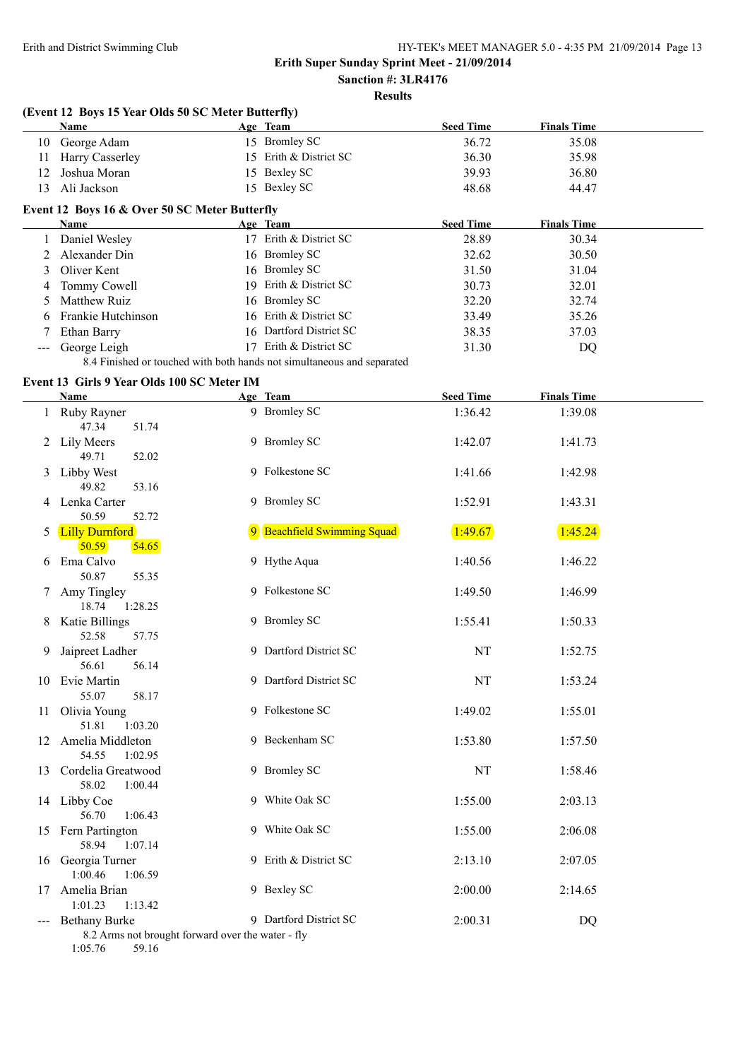$\overline{a}$ 

#### **Erith Super Sunday Sprint Meet - 21/09/2014 Sanction #: 3LR4176**

# **Results**

|    | (Event 12 Boys 15 Year Olds 50 SC Meter Butterfly) |    |                                                                        |                  |                    |
|----|----------------------------------------------------|----|------------------------------------------------------------------------|------------------|--------------------|
|    | Name                                               |    | Age Team                                                               | <b>Seed Time</b> | <b>Finals Time</b> |
| 10 | George Adam                                        |    | 15 Bromley SC                                                          | 36.72            | 35.08              |
| 11 | Harry Casserley                                    | 15 | Erith & District SC                                                    | 36.30            | 35.98              |
| 12 | Joshua Moran                                       |    | 15 Bexley SC                                                           | 39.93            | 36.80              |
| 13 | Ali Jackson                                        | 15 | Bexley SC                                                              | 48.68            | 44.47              |
|    | Event 12 Boys 16 & Over 50 SC Meter Butterfly      |    |                                                                        |                  |                    |
|    | Name                                               |    | Age Team                                                               | <b>Seed Time</b> | <b>Finals Time</b> |
|    | Daniel Wesley                                      | 17 | Erith & District SC                                                    | 28.89            | 30.34              |
|    | Alexander Din                                      |    | 16 Bromley SC                                                          | 32.62            | 30.50              |
| 3  | Oliver Kent                                        |    | 16 Bromley SC                                                          | 31.50            | 31.04              |
| 4  | Tommy Cowell                                       | 19 | Erith & District SC                                                    | 30.73            | 32.01              |
| 5. | Matthew Ruiz                                       |    | 16 Bromley SC                                                          | 32.20            | 32.74              |
| 6  | Frankie Hutchinson                                 |    | 16 Erith & District SC                                                 | 33.49            | 35.26              |
|    | Ethan Barry                                        | 16 | Dartford District SC                                                   | 38.35            | 37.03              |
|    | George Leigh                                       | 17 | Erith & District SC                                                    | 31.30            | DQ                 |
|    |                                                    |    | 8.4 Finished or touched with both hands not simultaneous and separated |                  |                    |

#### **Event 13 Girls 9 Year Olds 100 SC Meter IM**

|    | <b>Name</b>                                                                                   | Age Team                    | <b>Seed Time</b> | <b>Finals Time</b> |  |
|----|-----------------------------------------------------------------------------------------------|-----------------------------|------------------|--------------------|--|
|    | 1 Ruby Rayner<br>47.34<br>51.74                                                               | 9 Bromley SC                | 1:36.42          | 1:39.08            |  |
| 2  | Lily Meers<br>49.71<br>52.02                                                                  | 9 Bromley SC                | 1:42.07          | 1:41.73            |  |
| 3  | Libby West<br>49.82<br>53.16                                                                  | 9 Folkestone SC             | 1:41.66          | 1:42.98            |  |
| 4  | Lenka Carter<br>50.59<br>52.72                                                                | 9 Bromley SC                | 1:52.91          | 1:43.31            |  |
| 5  | <b>Lilly Durnford</b><br>50.59<br>54.65                                                       | 9 Beachfield Swimming Squad | 1:49.67          | 1:45.24            |  |
| 6  | Ema Calvo<br>50.87<br>55.35                                                                   | 9 Hythe Aqua                | 1:40.56          | 1:46.22            |  |
|    | Amy Tingley<br>18.74<br>1:28.25                                                               | 9 Folkestone SC             | 1:49.50          | 1:46.99            |  |
| 8  | Katie Billings<br>52.58<br>57.75                                                              | 9 Bromley SC                | 1:55.41          | 1:50.33            |  |
| 9  | Jaipreet Ladher<br>56.61<br>56.14                                                             | 9 Dartford District SC      | NT               | 1:52.75            |  |
| 10 | Evie Martin<br>55.07<br>58.17                                                                 | 9 Dartford District SC      | <b>NT</b>        | 1:53.24            |  |
| 11 | Olivia Young<br>51.81<br>1:03.20                                                              | 9 Folkestone SC             | 1:49.02          | 1:55.01            |  |
|    | 12 Amelia Middleton<br>54.55<br>1:02.95                                                       | 9 Beckenham SC              | 1:53.80          | 1:57.50            |  |
|    | 13 Cordelia Greatwood<br>58.02<br>1:00.44                                                     | 9 Bromley SC                | NT               | 1:58.46            |  |
|    | 14 Libby Coe<br>56.70<br>1:06.43                                                              | 9 White Oak SC              | 1:55.00          | 2:03.13            |  |
|    | 15 Fern Partington<br>58.94<br>1:07.14                                                        | 9 White Oak SC              | 1:55.00          | 2:06.08            |  |
|    | 16 Georgia Turner<br>1:00.46<br>1:06.59                                                       | 9 Erith & District SC       | 2:13.10          | 2:07.05            |  |
|    | 17 Amelia Brian<br>1:01.23<br>1:13.42                                                         | 9 Bexley SC                 | 2:00.00          | 2:14.65            |  |
|    | <b>Bethany Burke</b><br>8.2 Arms not brought forward over the water - fly<br>1:05.76<br>59.16 | 9 Dartford District SC      | 2:00.31          | <b>DQ</b>          |  |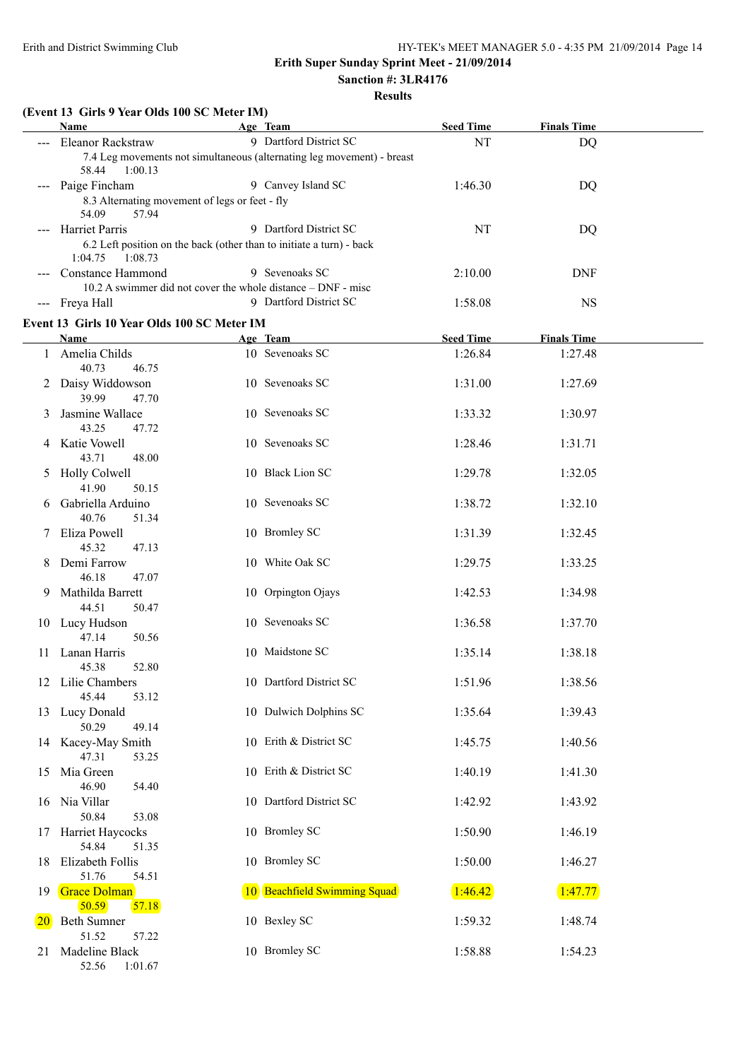#### **Sanction #: 3LR4176 Results**

| ٦ı | esiil |  |
|----|-------|--|
|    |       |  |

|           | (Event 13 Girls 9 Year Olds 100 SC Meter IM)<br>Name                                                             | Age Team                                                               | <b>Seed Time</b> | <b>Finals Time</b> |  |
|-----------|------------------------------------------------------------------------------------------------------------------|------------------------------------------------------------------------|------------------|--------------------|--|
|           | Eleanor Rackstraw                                                                                                | 9 Dartford District SC                                                 | NT               | <b>DQ</b>          |  |
|           | 58.44<br>1:00.13                                                                                                 | 7.4 Leg movements not simultaneous (alternating leg movement) - breast |                  |                    |  |
|           | Paige Fincham<br>8.3 Alternating movement of legs or feet - fly<br>54.09<br>57.94                                | 9 Canvey Island SC                                                     | 1:46.30          | <b>DQ</b>          |  |
|           | --- Harriet Parris<br>6.2 Left position on the back (other than to initiate a turn) - back<br>1:04.75<br>1:08.73 | 9 Dartford District SC                                                 | NT               | <b>DQ</b>          |  |
|           | Constance Hammond<br>10.2 A swimmer did not cover the whole distance – DNF - misc                                | 9 Sevenoaks SC                                                         | 2:10.00          | <b>DNF</b>         |  |
|           | --- Freya Hall<br>Event 13 Girls 10 Year Olds 100 SC Meter IM                                                    | 9 Dartford District SC                                                 | 1:58.08          | <b>NS</b>          |  |
|           | <b>Name</b>                                                                                                      | Age Team                                                               | <b>Seed Time</b> | <b>Finals Time</b> |  |
| 1         | Amelia Childs                                                                                                    | 10 Sevenoaks SC                                                        | 1:26.84          | 1:27.48            |  |
|           | 40.73<br>46.75<br>2 Daisy Widdowson<br>39.99<br>47.70                                                            | 10 Sevenoaks SC                                                        | 1:31.00          | 1:27.69            |  |
| 3         | Jasmine Wallace<br>43.25<br>47.72                                                                                | 10 Sevenoaks SC                                                        | 1:33.32          | 1:30.97            |  |
|           | 4 Katie Vowell<br>43.71<br>48.00                                                                                 | 10 Sevenoaks SC                                                        | 1:28.46          | 1:31.71            |  |
| 5         | <b>Holly Colwell</b><br>41.90<br>50.15                                                                           | 10 Black Lion SC                                                       | 1:29.78          | 1:32.05            |  |
| 6         | Gabriella Arduino<br>40.76<br>51.34                                                                              | 10 Sevenoaks SC                                                        | 1:38.72          | 1:32.10            |  |
|           | Eliza Powell<br>45.32<br>47.13                                                                                   | 10 Bromley SC                                                          | 1:31.39          | 1:32.45            |  |
| 8         | Demi Farrow<br>46.18<br>47.07                                                                                    | 10 White Oak SC                                                        | 1:29.75          | 1:33.25            |  |
| 9.        | Mathilda Barrett<br>44.51<br>50.47                                                                               | 10 Orpington Ojays                                                     | 1:42.53          | 1:34.98            |  |
|           | 10 Lucy Hudson<br>47.14<br>50.56                                                                                 | 10 Sevenoaks SC                                                        | 1:36.58          | 1:37.70            |  |
| 11        | Lanan Harris<br>52.80<br>45.38                                                                                   | 10 Maidstone SC                                                        | 1:35.14          | 1:38.18            |  |
|           | 12 Lilie Chambers<br>45.44<br>53.12                                                                              | 10 Dartford District SC                                                | 1:51.96          | 1:38.56            |  |
|           | 13 Lucy Donald<br>50.29<br>49.14                                                                                 | 10 Dulwich Dolphins SC                                                 | 1:35.64          | 1:39.43            |  |
|           | 14 Kacey-May Smith<br>47.31<br>53.25                                                                             | 10 Erith & District SC                                                 | 1:45.75          | 1:40.56            |  |
| 15        | Mia Green<br>46.90<br>54.40                                                                                      | 10 Erith & District SC                                                 | 1:40.19          | 1:41.30            |  |
|           | 16 Nia Villar<br>50.84<br>53.08                                                                                  | 10 Dartford District SC                                                | 1:42.92          | 1:43.92            |  |
| 17        | Harriet Haycocks<br>54.84<br>51.35                                                                               | 10 Bromley SC                                                          | 1:50.90          | 1:46.19            |  |
| 18        | Elizabeth Follis<br>51.76<br>54.51                                                                               | 10 Bromley SC                                                          | 1:50.00          | 1:46.27            |  |
| 19.       | Grace Dolman<br>50.59<br>57.18                                                                                   | 10 Beachfield Swimming Squad                                           | 1:46.42          | 1:47.77            |  |
| <b>20</b> | <b>Beth Sumner</b><br>51.52<br>57.22                                                                             | 10 Bexley SC                                                           | 1:59.32          | 1:48.74            |  |
| 21        | Madeline Black<br>52.56<br>1:01.67                                                                               | 10 Bromley SC                                                          | 1:58.88          | 1:54.23            |  |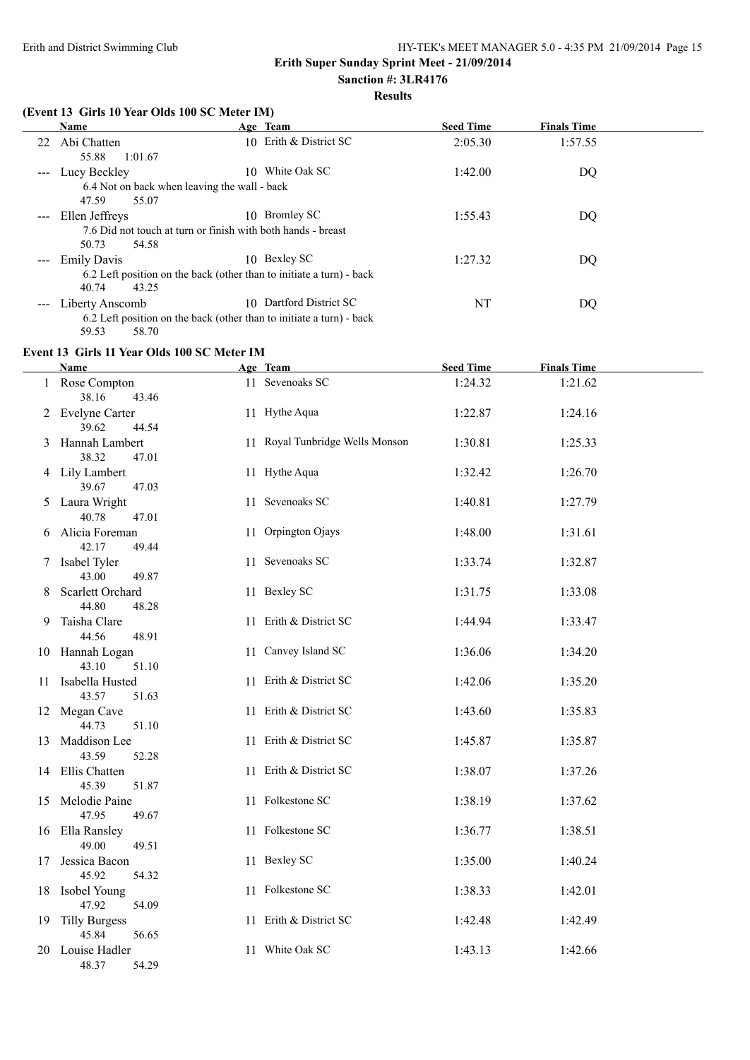# **Results**

#### **(Event 13 Girls 10 Year Olds 100 SC Meter IM)**

|                     | <b>Name</b>                                                          | Age Team                | <b>Seed Time</b> | <b>Finals Time</b> |
|---------------------|----------------------------------------------------------------------|-------------------------|------------------|--------------------|
| 22                  | Abi Chatten                                                          | 10 Erith & District SC  | 2:05.30          | 1:57.55            |
|                     | 1:01.67<br>55.88                                                     |                         |                  |                    |
| $\qquad \qquad - -$ | Lucy Beckley<br>10.                                                  | White Oak SC            | 1:42.00          | DQ                 |
|                     | 6.4 Not on back when leaving the wall - back                         |                         |                  |                    |
|                     | 47.59<br>55.07                                                       |                         |                  |                    |
|                     | --- Ellen Jeffreys                                                   | 10 Bromley SC           | 1:55.43          | DQ.                |
|                     | 7.6 Did not touch at turn or finish with both hands - breast         |                         |                  |                    |
|                     | 50.73<br>54.58                                                       |                         |                  |                    |
| $\qquad \qquad - -$ | <b>Emily Davis</b>                                                   | 10 Bexley SC            | 1:27.32          | DQ.                |
|                     | 6.2 Left position on the back (other than to initiate a turn) - back |                         |                  |                    |
|                     | 43.25<br>40.74                                                       |                         |                  |                    |
| $\qquad \qquad - -$ | Liberty Anscomb                                                      | 10 Dartford District SC | NT               | DQ                 |
|                     | 6.2 Left position on the back (other than to initiate a turn) - back |                         |                  |                    |

#### **Event 13 Girls 11 Year Olds 100 SC Meter IM**

59.53 58.70

|    | <b>Name</b>                          | Age Team                        | <b>Seed Time</b> | <b>Finals Time</b> |  |
|----|--------------------------------------|---------------------------------|------------------|--------------------|--|
|    | 1 Rose Compton<br>38.16<br>43.46     | 11 Sevenoaks SC                 | 1:24.32          | 1:21.62            |  |
|    | 2 Evelyne Carter<br>39.62<br>44.54   | 11 Hythe Aqua                   | 1:22.87          | 1:24.16            |  |
|    | 3 Hannah Lambert<br>38.32<br>47.01   | 11 Royal Tunbridge Wells Monson | 1:30.81          | 1:25.33            |  |
|    | 4 Lily Lambert<br>39.67<br>47.03     | 11 Hythe Aqua                   | 1:32.42          | 1:26.70            |  |
|    | 5 Laura Wright<br>40.78<br>47.01     | 11 Sevenoaks SC                 | 1:40.81          | 1:27.79            |  |
| 6  | Alicia Foreman<br>42.17<br>49.44     | 11 Orpington Ojays              | 1:48.00          | 1:31.61            |  |
|    | 7 Isabel Tyler<br>43.00<br>49.87     | 11 Sevenoaks SC                 | 1:33.74          | 1:32.87            |  |
| 8  | Scarlett Orchard<br>44.80<br>48.28   | 11 Bexley SC                    | 1:31.75          | 1:33.08            |  |
| 9  | Taisha Clare<br>44.56<br>48.91       | 11 Erith & District SC          | 1:44.94          | 1:33.47            |  |
|    | 10 Hannah Logan<br>43.10<br>51.10    | 11 Canvey Island SC             | 1:36.06          | 1:34.20            |  |
|    | 11 Isabella Husted<br>43.57<br>51.63 | 11 Erith & District SC          | 1:42.06          | 1:35.20            |  |
|    | 12 Megan Cave<br>44.73<br>51.10      | 11 Erith & District SC          | 1:43.60          | 1:35.83            |  |
|    | 13 Maddison Lee<br>43.59<br>52.28    | 11 Erith & District SC          | 1:45.87          | 1:35.87            |  |
|    | 14 Ellis Chatten<br>45.39<br>51.87   | 11 Erith & District SC          | 1:38.07          | 1:37.26            |  |
|    | 15 Melodie Paine<br>47.95<br>49.67   | 11 Folkestone SC                | 1:38.19          | 1:37.62            |  |
|    | 16 Ella Ransley<br>49.00<br>49.51    | 11 Folkestone SC                | 1:36.77          | 1:38.51            |  |
| 17 | Jessica Bacon<br>45.92<br>54.32      | 11 Bexley SC                    | 1:35.00          | 1:40.24            |  |
|    | 18 Isobel Young<br>47.92<br>54.09    | 11 Folkestone SC                | 1:38.33          | 1:42.01            |  |
|    | 19 Tilly Burgess<br>45.84<br>56.65   | 11 Erith & District SC          | 1:42.48          | 1:42.49            |  |
|    | 20 Louise Hadler<br>54.29<br>48.37   | 11 White Oak SC                 | 1:43.13          | 1:42.66            |  |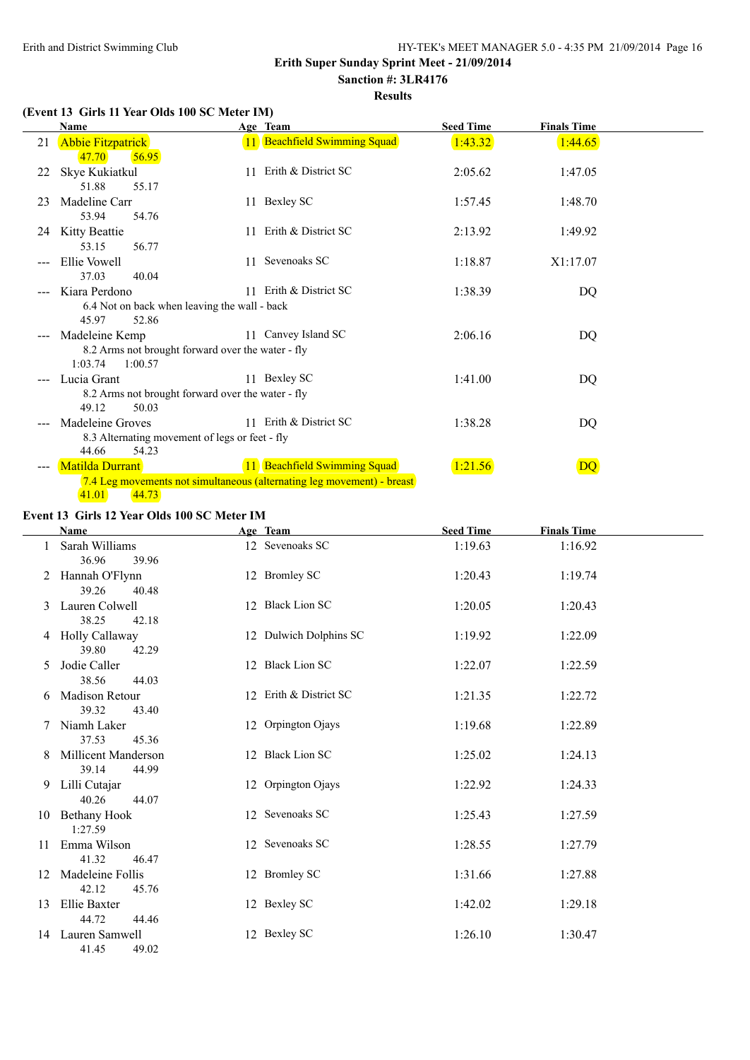## **Erith Super Sunday Sprint Meet - 21/09/2014**

**Sanction #: 3LR4176 Results**

#### **(Event 13 Girls 11 Year Olds 100 SC Meter IM)**

|    | Name                                                                |     | Age Team                                                               | <b>Seed Time</b> | <b>Finals Time</b> |  |
|----|---------------------------------------------------------------------|-----|------------------------------------------------------------------------|------------------|--------------------|--|
| 21 | <b>Abbie Fitzpatrick</b>                                            |     | 11 Beachfield Swimming Squad                                           | 1:43.32          | 1:44.65            |  |
|    | 47.70<br>56.95                                                      |     |                                                                        |                  |                    |  |
| 22 | Skye Kukiatkul                                                      |     | 11 Erith & District SC                                                 | 2:05.62          | 1:47.05            |  |
|    | 51.88<br>55.17                                                      |     |                                                                        |                  |                    |  |
| 23 | Madeline Carr                                                       |     | 11 Bexley SC                                                           | 1:57.45          | 1:48.70            |  |
|    | 53.94<br>54.76                                                      |     |                                                                        |                  |                    |  |
| 24 | Kitty Beattie                                                       | 11. | Erith & District SC                                                    | 2:13.92          | 1:49.92            |  |
|    | 53.15<br>56.77                                                      |     |                                                                        |                  |                    |  |
|    | Ellie Vowell                                                        |     | 11 Sevenoaks SC                                                        | 1:18.87          | X1:17.07           |  |
|    | 37.03<br>40.04                                                      |     |                                                                        |                  |                    |  |
|    | Kiara Perdono                                                       |     | 11 Erith & District SC                                                 | 1:38.39          | DQ                 |  |
|    | 6.4 Not on back when leaving the wall - back                        |     |                                                                        |                  |                    |  |
|    | 52.86<br>45.97                                                      |     | 11 Canvey Island SC                                                    | 2:06.16          |                    |  |
|    | Madeleine Kemp<br>8.2 Arms not brought forward over the water - fly |     |                                                                        |                  | DQ                 |  |
|    | 1:03.74<br>1:00.57                                                  |     |                                                                        |                  |                    |  |
|    | Lucia Grant                                                         |     | 11 Bexley SC                                                           | 1:41.00          | DQ                 |  |
|    | 8.2 Arms not brought forward over the water - fly                   |     |                                                                        |                  |                    |  |
|    | 49.12<br>50.03                                                      |     |                                                                        |                  |                    |  |
|    | Madeleine Groves                                                    |     | 11 Erith & District SC                                                 | 1:38.28          | DQ                 |  |
|    | 8.3 Alternating movement of legs or feet - fly                      |     |                                                                        |                  |                    |  |
|    | 44.66<br>54.23                                                      |     |                                                                        |                  |                    |  |
|    | <b>Matilda Durrant</b>                                              |     | 11 Beachfield Swimming Squad                                           | 1:21.56          | DQ                 |  |
|    |                                                                     |     | 7.4 Leg movements not simultaneous (alternating leg movement) - breast |                  |                    |  |
|    | 41.01<br>44.73                                                      |     |                                                                        |                  |                    |  |

#### **Event 13 Girls 12 Year Olds 100 SC Meter IM**

|    | <b>Name</b>                                  | Age Team               | <b>Seed Time</b> | <b>Finals Time</b> |
|----|----------------------------------------------|------------------------|------------------|--------------------|
|    | Sarah Williams<br>36.96<br>39.96             | 12 Sevenoaks SC        | 1:19.63          | 1:16.92            |
| 2  | Hannah O'Flynn<br>39.26<br>40.48             | 12 Bromley SC          | 1:20.43          | 1:19.74            |
| 3  | Lauren Colwell<br>38.25<br>42.18             | 12 Black Lion SC       | 1:20.05          | 1:20.43            |
|    | 4 Holly Callaway<br>39.80<br>42.29           | 12 Dulwich Dolphins SC | 1:19.92          | 1:22.09            |
| 5. | Jodie Caller<br>38.56<br>44.03               | 12 Black Lion SC       | 1:22.07          | 1:22.59            |
|    | 6 Madison Retour<br>39.32<br>43.40           | 12 Erith & District SC | 1:21.35          | 1:22.72            |
|    | Niamh Laker<br>37.53<br>45.36                | 12 Orpington Ojays     | 1:19.68          | 1:22.89            |
| 8  | <b>Millicent Manderson</b><br>39.14<br>44.99 | 12 Black Lion SC       | 1:25.02          | 1:24.13            |
|    | 9 Lilli Cutajar<br>40.26<br>44.07            | 12 Orpington Ojays     | 1:22.92          | 1:24.33            |
|    | 10 Bethany Hook<br>1:27.59                   | 12 Sevenoaks SC        | 1:25.43          | 1:27.59            |
| 11 | Emma Wilson<br>41.32<br>46.47                | 12 Sevenoaks SC        | 1:28.55          | 1:27.79            |
| 12 | Madeleine Follis<br>42.12<br>45.76           | 12 Bromley SC          | 1:31.66          | 1:27.88            |
| 13 | Ellie Baxter<br>44.72<br>44.46               | 12 Bexley SC           | 1:42.02          | 1:29.18            |
|    | 14 Lauren Samwell<br>41.45<br>49.02          | 12 Bexley SC           | 1:26.10          | 1:30.47            |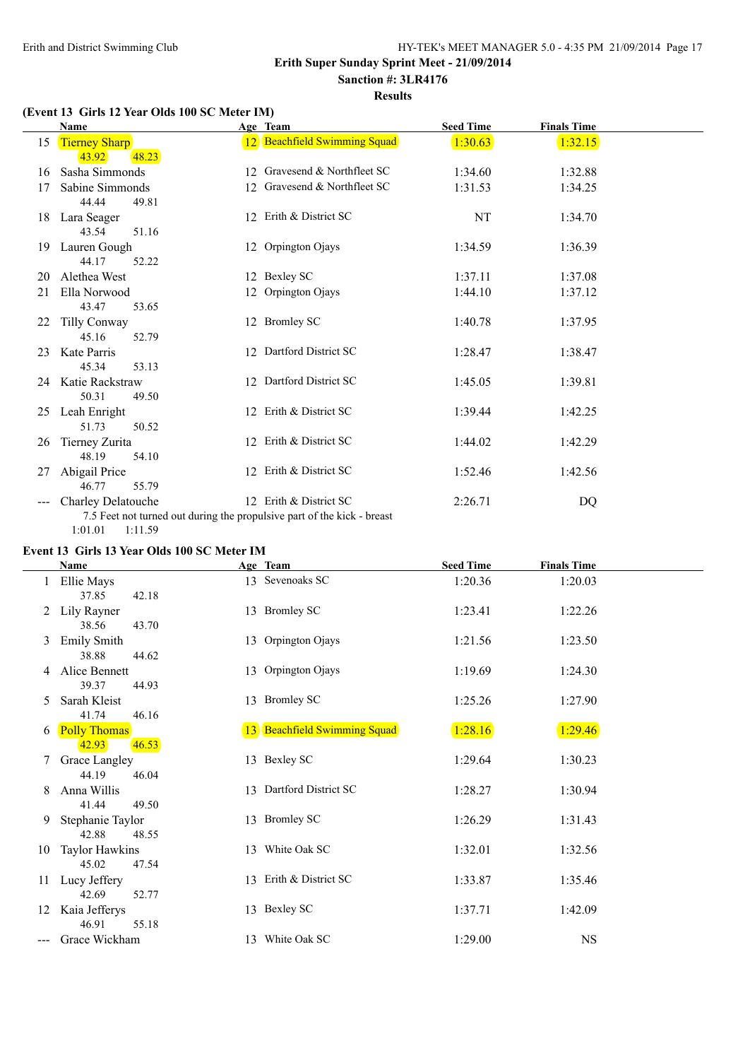## **Erith Super Sunday Sprint Meet - 21/09/2014**

# **Sanction #: 3LR4176**

### **Results**

## **(Event 13 Girls 12 Year Olds 100 SC Meter IM)**

|    | Name                 |    | Age Team                                                                | <b>Seed Time</b> | <b>Finals Time</b> |  |
|----|----------------------|----|-------------------------------------------------------------------------|------------------|--------------------|--|
| 15 | <b>Tierney Sharp</b> |    | 12 Beachfield Swimming Squad                                            | 1:30.63          | 1:32.15            |  |
|    | 48.23<br>43.92       |    |                                                                         |                  |                    |  |
| 16 | Sasha Simmonds       |    | 12 Gravesend & Northfleet SC                                            | 1:34.60          | 1:32.88            |  |
| 17 | Sabine Simmonds      |    | 12 Gravesend & Northfleet SC                                            | 1:31.53          | 1:34.25            |  |
|    | 44.44<br>49.81       |    |                                                                         |                  |                    |  |
| 18 | Lara Seager          |    | 12 Erith & District SC                                                  | NT               | 1:34.70            |  |
|    | 43.54<br>51.16       |    |                                                                         |                  |                    |  |
| 19 | Lauren Gough         |    | 12 Orpington Ojays                                                      | 1:34.59          | 1:36.39            |  |
|    | 44.17<br>52.22       |    |                                                                         |                  |                    |  |
| 20 | Alethea West         |    | 12 Bexley SC                                                            | 1:37.11          | 1:37.08            |  |
| 21 | Ella Norwood         |    | 12 Orpington Ojays                                                      | 1:44.10          | 1:37.12            |  |
|    | 43.47<br>53.65       |    |                                                                         |                  |                    |  |
| 22 | Tilly Conway         |    | 12 Bromley SC                                                           | 1:40.78          | 1:37.95            |  |
|    | 45.16<br>52.79       |    |                                                                         |                  |                    |  |
| 23 | Kate Parris          |    | 12 Dartford District SC                                                 | 1:28.47          | 1:38.47            |  |
|    | 45.34<br>53.13       |    |                                                                         |                  |                    |  |
| 24 | Katie Rackstraw      |    | 12 Dartford District SC                                                 | 1:45.05          | 1:39.81            |  |
|    | 50.31<br>49.50       |    |                                                                         |                  |                    |  |
| 25 | Leah Enright         |    | 12 Erith & District SC                                                  | 1:39.44          | 1:42.25            |  |
|    | 51.73<br>50.52       |    |                                                                         |                  |                    |  |
| 26 | Tierney Zurita       | 12 | Erith & District SC                                                     | 1:44.02          | 1:42.29            |  |
|    | 48.19<br>54.10       |    |                                                                         |                  |                    |  |
| 27 | Abigail Price        |    | 12 Erith & District SC                                                  | 1:52.46          | 1:42.56            |  |
|    | 46.77<br>55.79       |    |                                                                         |                  |                    |  |
|    | Charley Delatouche   |    | 12 Erith & District SC                                                  | 2:26.71          | DQ                 |  |
|    |                      |    | 7.5 Feet not turned out during the propulsive part of the kick - breast |                  |                    |  |
|    | 1:01.01<br>1:11.59   |    |                                                                         |                  |                    |  |

#### **Event 13 Girls 13 Year Olds 100 SC Meter IM**

|    | Name                                    | Age Team                     | <b>Seed Time</b> | <b>Finals Time</b> |
|----|-----------------------------------------|------------------------------|------------------|--------------------|
|    | Ellie Mays<br>37.85<br>42.18            | 13 Sevenoaks SC              | 1:20.36          | 1:20.03            |
| 2  | Lily Rayner<br>43.70<br>38.56           | 13 Bromley SC                | 1:23.41          | 1:22.26            |
| 3  | <b>Emily Smith</b><br>38.88<br>44.62    | 13 Orpington Ojays           | 1:21.56          | 1:23.50            |
| 4  | Alice Bennett<br>39.37<br>44.93         | 13 Orpington Ojays           | 1:19.69          | 1:24.30            |
| 5  | Sarah Kleist<br>41.74<br>46.16          | 13 Bromley SC                | 1:25.26          | 1:27.90            |
| 6  | <b>Polly Thomas</b><br>46.53<br>42.93   | 13 Beachfield Swimming Squad | 1:28.16          | 1:29.46            |
| 7  | Grace Langley<br>44.19<br>46.04         | 13 Bexley SC                 | 1:29.64          | 1:30.23            |
| 8  | Anna Willis<br>41.44<br>49.50           | 13 Dartford District SC      | 1:28.27          | 1:30.94            |
| 9  | Stephanie Taylor<br>42.88<br>48.55      | 13 Bromley SC                | 1:26.29          | 1:31.43            |
| 10 | <b>Taylor Hawkins</b><br>45.02<br>47.54 | 13 White Oak SC              | 1:32.01          | 1:32.56            |
| 11 | Lucy Jeffery<br>42.69<br>52.77          | 13 Erith & District SC       | 1:33.87          | 1:35.46            |
| 12 | Kaia Jefferys<br>46.91<br>55.18         | 13 Bexley SC                 | 1:37.71          | 1:42.09            |
|    | Grace Wickham                           | 13 White Oak SC              | 1:29.00          | <b>NS</b>          |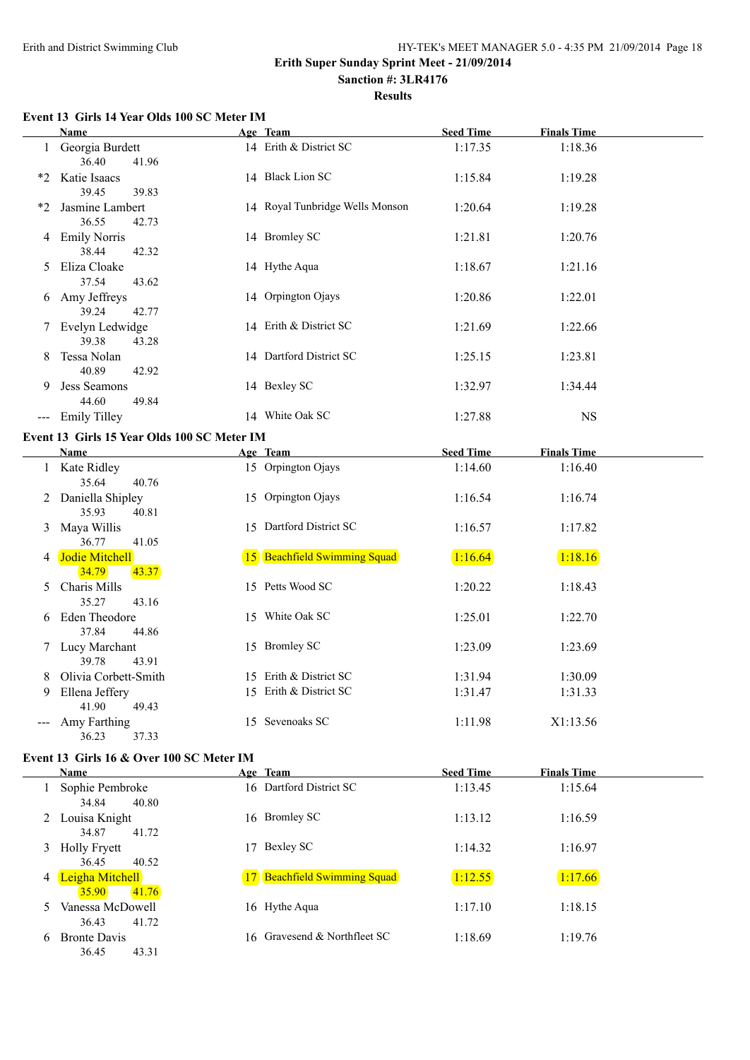#### **Erith Super Sunday Sprint Meet - 21/09/2014 Sanction #: 3LR4176**

**Results**

#### **Event 13 Girls 14 Year Olds 100 SC Meter IM**

|    | Name                         |                                             | Age Team                        | <b>Seed Time</b> | <b>Finals Time</b> |  |
|----|------------------------------|---------------------------------------------|---------------------------------|------------------|--------------------|--|
|    | 1 Georgia Burdett<br>36.40   | 41.96                                       | 14 Erith & District SC          | 1:17.35          | 1:18.36            |  |
|    | *2 Katie Isaacs<br>39.45     | 39.83                                       | 14 Black Lion SC                | 1:15.84          | 1:19.28            |  |
| *2 | Jasmine Lambert<br>36.55     | 42.73                                       | 14 Royal Tunbridge Wells Monson | 1:20.64          | 1:19.28            |  |
| 4  | <b>Emily Norris</b><br>38.44 | 42.32                                       | 14 Bromley SC                   | 1:21.81          | 1:20.76            |  |
| 5. | Eliza Cloake<br>37.54        | 43.62                                       | 14 Hythe Aqua                   | 1:18.67          | 1:21.16            |  |
|    | 6 Amy Jeffreys<br>39.24      | 42.77                                       | 14 Orpington Ojays              | 1:20.86          | 1:22.01            |  |
|    | 7 Evelyn Ledwidge<br>39.38   | 43.28                                       | 14 Erith & District SC          | 1:21.69          | 1:22.66            |  |
| 8  | Tessa Nolan<br>40.89         | 42.92                                       | 14 Dartford District SC         | 1:25.15          | 1:23.81            |  |
| 9  | Jess Seamons<br>44.60        | 49.84                                       | 14 Bexley SC                    | 1:32.97          | 1:34.44            |  |
|    | --- Emily Tilley             |                                             | 14 White Oak SC                 | 1:27.88          | <b>NS</b>          |  |
|    |                              | Event 13 Girls 15 Year Olds 100 SC Meter IM |                                 |                  |                    |  |
|    | Name                         |                                             | Age Team                        | <b>Seed Time</b> | <b>Finals Time</b> |  |
|    | 1 Kate Ridley<br>35.64       | 40.76                                       | 15 Orpington Ojays              | 1:14.60          | 1:16.40            |  |
| 2  | Daniella Shipley<br>35.93    | 40.81                                       | 15 Orpington Ojays              | 1:16.54          | 1:16.74            |  |
| 3  | Maya Willis<br>36.77         | 41.05                                       | 15 Dartford District SC         | 1:16.57          | 1:17.82            |  |
|    | 4 Jodie Mitchell<br>34.79    | 43.37                                       | 15 Beachfield Swimming Squad    | 1:16.64          | 1:18.16            |  |
| 5. | Charis Mills<br>35.27        | 43.16                                       | 15 Petts Wood SC                | 1:20.22          | 1:18.43            |  |
| 6  | Eden Theodore<br>37.84       | 44.86                                       | 15 White Oak SC                 | 1:25.01          | 1:22.70            |  |
| 7  | Lucy Marchant<br>39.78       | 43.91                                       | 15 Bromley SC                   | 1:23.09          | 1:23.69            |  |
| 8  | Olivia Corbett-Smith         |                                             | 15 Erith & District SC          | 1:31.94          | 1:30.09            |  |
| 9  | Ellena Jeffery<br>41.90      | 49.43                                       | 15 Erith & District SC          | 1:31.47          | 1:31.33            |  |
|    | --- Amy Farthing<br>36.23    | 37.33                                       | 15 Sevenoaks SC                 | 1:11.98          | X1:13.56           |  |
|    |                              | Event 13 Girls 16 & Over 100 SC Meter IM    |                                 |                  |                    |  |

|   | Name                                  |    | Age Team                     | <b>Seed Time</b> | <b>Finals Time</b> |
|---|---------------------------------------|----|------------------------------|------------------|--------------------|
|   | Sophie Pembroke<br>34.84<br>40.80     |    | 16 Dartford District SC      | 1:13.45          | 1:15.64            |
|   | 2 Louisa Knight<br>34.87<br>41.72     |    | 16 Bromley SC                | 1:13.12          | 1:16.59            |
|   | 3 Holly Fryett<br>36.45<br>40.52      | 17 | Bexley SC                    | 1:14.32          | 1:16.97            |
| 4 | Leigha Mitchell<br>41.76<br>35.90     |    | 17 Beachfield Swimming Squad | 1:12.55          | 1:17.66            |
| 5 | Vanessa McDowell<br>36.43<br>41.72    |    | 16 Hythe Aqua                | 1:17.10          | 1:18.15            |
| 6 | <b>Bronte Davis</b><br>36.45<br>43.31 |    | 16 Gravesend & Northfleet SC | 1:18.69          | 1:19.76            |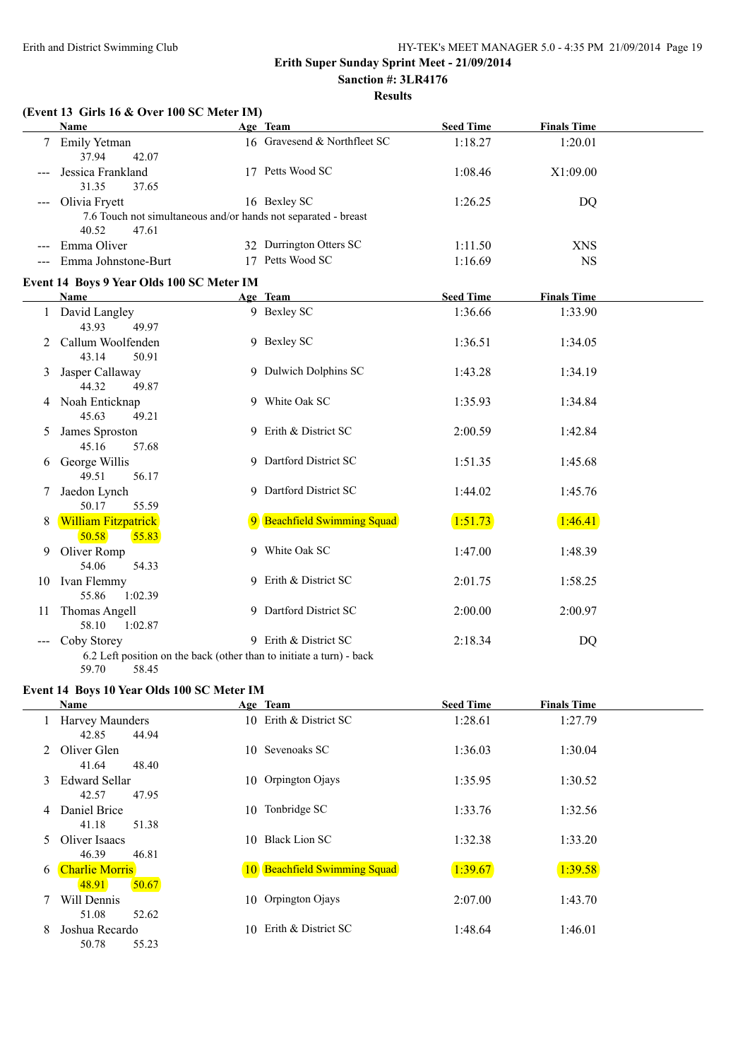**Results**

|   | (Event 13 Girls 16 & Over 100 SC Meter IM)                                       |                              |                  |                    |  |
|---|----------------------------------------------------------------------------------|------------------------------|------------------|--------------------|--|
|   | <b>Name</b>                                                                      | Age Team                     | <b>Seed Time</b> | <b>Finals Time</b> |  |
|   | 7 Emily Yetman<br>37.94<br>42.07                                                 | 16 Gravesend & Northfleet SC | 1:18.27          | 1:20.01            |  |
|   | Jessica Frankland<br>31.35<br>37.65                                              | 17 Petts Wood SC             | 1:08.46          | X1:09.00           |  |
|   | Olivia Fryett                                                                    | 16 Bexley SC                 | 1:26.25          | DQ                 |  |
|   | 7.6 Touch not simultaneous and/or hands not separated - breast<br>40.52<br>47.61 |                              |                  |                    |  |
|   | Emma Oliver                                                                      | 32 Durrington Otters SC      | 1:11.50          | <b>XNS</b>         |  |
|   | --- Emma Johnstone-Burt                                                          | 17 Petts Wood SC             | 1:16.69          | <b>NS</b>          |  |
|   | Event 14 Boys 9 Year Olds 100 SC Meter IM                                        |                              |                  |                    |  |
|   | <b>Name</b>                                                                      | Age Team                     | <b>Seed Time</b> | <b>Finals Time</b> |  |
|   | 1 David Langley<br>43.93<br>49.97                                                | 9 Bexley SC                  | 1:36.66          | 1:33.90            |  |
| 2 | Callum Woolfenden<br>43.14<br>50.91                                              | 9 Bexley SC                  | 1:36.51          | 1:34.05            |  |
| 3 | Jasper Callaway<br>44.32<br>49.87                                                | 9 Dulwich Dolphins SC        | 1:43.28          | 1:34.19            |  |
|   | 4 Noah Enticknap<br>45.63<br>49.21                                               | 9 White Oak SC               | 1:35.93          | 1:34.84            |  |
| 5 | James Sproston<br>45.16<br>57.68                                                 | 9 Erith & District SC        | 2:00.59          | 1:42.84            |  |
| 6 | George Willis<br>49.51<br>56.17                                                  | 9 Dartford District SC       | 1:51.35          | 1:45.68            |  |
|   | Jaedon Lynch<br>50.17<br>55.59                                                   | 9 Dartford District SC       | 1:44.02          | 1:45.76            |  |
| 8 | <b>William Fitzpatrick</b><br>50.58<br>55.83                                     | 9 Beachfield Swimming Squad  | 1:51.73          | 1:46.41            |  |
| 9 | Oliver Romp<br>54.06<br>54.33                                                    | 9 White Oak SC               | 1:47.00          | 1:48.39            |  |
|   | 10 Ivan Flemmy<br>55.86<br>1:02.39                                               | 9 Erith & District SC        | 2:01.75          | 1:58.25            |  |
|   | 11 Thomas Angell<br>58.10<br>1:02.87                                             | 9 Dartford District SC       | 2:00.00          | 2:00.97            |  |
|   | Coby Storey                                                                      | 9 Erith & District SC        | 2:18.34          | DQ                 |  |
|   | 6.2 Left position on the back (other than to initiate a turn) - back             |                              |                  |                    |  |
|   | 59.70<br>58.45                                                                   |                              |                  |                    |  |

# **Event 14 Boys 10 Year Olds 100 SC Meter IM**

|                | <b>Name</b>                             |    | Age Team                     | <b>Seed Time</b> | <b>Finals Time</b> |
|----------------|-----------------------------------------|----|------------------------------|------------------|--------------------|
|                | Harvey Maunders<br>44.94<br>42.85       |    | 10 Erith & District SC       | 1:28.61          | 1:27.79            |
| $\overline{2}$ | Oliver Glen<br>41.64<br>48.40           |    | 10 Sevenoaks SC              | 1:36.03          | 1:30.04            |
| 3              | <b>Edward Sellar</b><br>42.57<br>47.95  |    | 10 Orpington Ojays           | 1:35.95          | 1:30.52            |
| 4              | Daniel Brice<br>51.38<br>41.18          |    | 10 Tonbridge SC              | 1:33.76          | 1:32.56            |
| 5.             | Oliver Isaacs<br>46.39<br>46.81         | 10 | <b>Black Lion SC</b>         | 1:32.38          | 1:33.20            |
| 6              | <b>Charlie Morris</b><br>50.67<br>48.91 |    | 10 Beachfield Swimming Squad | 1:39.67          | 1:39.58            |
|                | Will Dennis<br>51.08<br>52.62           |    | 10 Orpington Ojays           | 2:07.00          | 1:43.70            |
| 8              | Joshua Recardo<br>50.78<br>55.23        | 10 | Erith & District SC          | 1:48.64          | 1:46.01            |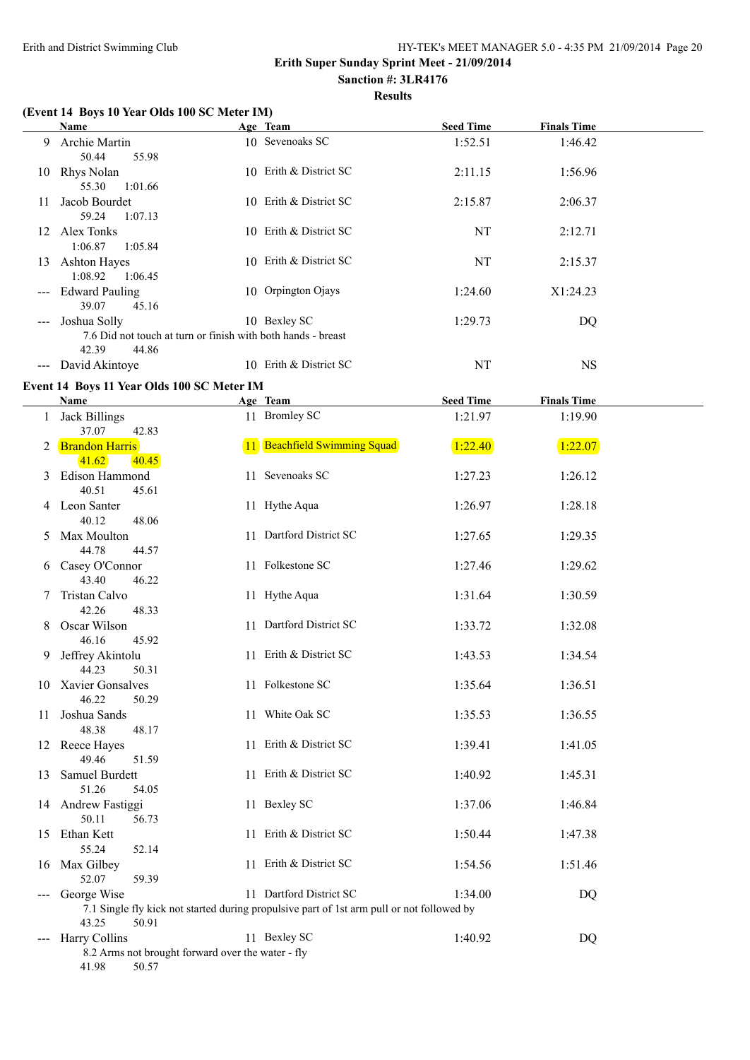#### **Erith Super Sunday Sprint Meet - 21/09/2014 Sanction #: 3LR4176**

# **Results**

### **(Event 14 Boys 10 Year Olds 100 SC Meter IM)**

|                                          | Name                                                         |     | Age Team               | <b>Seed Time</b> | <b>Finals Time</b> |
|------------------------------------------|--------------------------------------------------------------|-----|------------------------|------------------|--------------------|
| 9                                        | <b>Archie Martin</b>                                         |     | 10 Sevenoaks SC        | 1:52.51          | 1:46.42            |
|                                          | 50.44<br>55.98                                               |     |                        |                  |                    |
| 10                                       | Rhys Nolan                                                   |     | 10 Erith & District SC | 2:11.15          | 1:56.96            |
|                                          | 1:01.66<br>55.30                                             |     |                        |                  |                    |
| 11                                       | Jacob Bourdet                                                |     | 10 Erith & District SC | 2:15.87          | 2:06.37            |
|                                          | 1:07.13<br>59.24                                             |     |                        |                  |                    |
| 12                                       | Alex Tonks                                                   |     | 10 Erith & District SC | NT               | 2:12.71            |
|                                          | 1:05.84<br>1:06.87                                           |     |                        |                  |                    |
| 13                                       | <b>Ashton Hayes</b>                                          |     | 10 Erith & District SC | NT               | 2:15.37            |
|                                          | 1:08.92<br>1:06.45                                           |     |                        |                  |                    |
|                                          | --- Edward Pauling                                           |     | 10 Orpington Ojays     | 1:24.60          | X1:24.23           |
|                                          | 39.07<br>45.16                                               |     |                        |                  |                    |
| $\hspace{0.05cm} \ldots \hspace{0.05cm}$ | Joshua Solly                                                 |     | 10 Bexley SC           | 1:29.73          | DQ                 |
|                                          | 7.6 Did not touch at turn or finish with both hands - breast |     |                        |                  |                    |
|                                          | 42.39<br>44.86                                               |     |                        |                  |                    |
| $\qquad \qquad - -$                      | David Akintoye                                               | 10. | Erith & District SC    | NT               | <b>NS</b>          |

#### **Event 14 Boys 11 Year Olds 100 SC Meter IM**

|              | <b>Name</b>                                                                              | Age Team                                                                                                             | <b>Seed Time</b> | <b>Finals Time</b> |  |
|--------------|------------------------------------------------------------------------------------------|----------------------------------------------------------------------------------------------------------------------|------------------|--------------------|--|
| $\mathbf{1}$ | <b>Jack Billings</b>                                                                     | 11 Bromley SC                                                                                                        | 1:21.97          | 1:19.90            |  |
|              | 37.07<br>42.83<br>2 Brandon Harris<br>40.45<br>41.62                                     | 11 Beachfield Swimming Squad                                                                                         | 1:22.40          | 1:22.07            |  |
|              | 3 Edison Hammond<br>40.51<br>45.61                                                       | 11 Sevenoaks SC                                                                                                      | 1:27.23          | 1:26.12            |  |
|              | 4 Leon Santer<br>40.12<br>48.06                                                          | 11 Hythe Aqua                                                                                                        | 1:26.97          | 1:28.18            |  |
| 5            | Max Moulton<br>44.78<br>44.57                                                            | 11 Dartford District SC                                                                                              | 1:27.65          | 1:29.35            |  |
|              | 6 Casey O'Connor<br>43.40<br>46.22                                                       | 11 Folkestone SC                                                                                                     | 1:27.46          | 1:29.62            |  |
| 7            | Tristan Calvo<br>42.26<br>48.33                                                          | 11 Hythe Aqua                                                                                                        | 1:31.64          | 1:30.59            |  |
| 8            | Oscar Wilson<br>46.16<br>45.92                                                           | 11 Dartford District SC                                                                                              | 1:33.72          | 1:32.08            |  |
| 9.           | Jeffrey Akintolu<br>44.23<br>50.31                                                       | 11 Erith & District SC                                                                                               | 1:43.53          | 1:34.54            |  |
|              | 10 Xavier Gonsalves<br>46.22<br>50.29                                                    | 11 Folkestone SC                                                                                                     | 1:35.64          | 1:36.51            |  |
|              | 11 Joshua Sands<br>48.38<br>48.17                                                        | 11 White Oak SC                                                                                                      | 1:35.53          | 1:36.55            |  |
|              | 12 Reece Hayes<br>49.46<br>51.59                                                         | 11 Erith & District SC                                                                                               | 1:39.41          | 1:41.05            |  |
|              | 13 Samuel Burdett<br>51.26<br>54.05                                                      | 11 Erith & District SC                                                                                               | 1:40.92          | 1:45.31            |  |
|              | 14 Andrew Fastiggi<br>50.11<br>56.73                                                     | 11 Bexley SC                                                                                                         | 1:37.06          | 1:46.84            |  |
|              | 15 Ethan Kett<br>55.24<br>52.14                                                          | 11 Erith & District SC                                                                                               | 1:50.44          | 1:47.38            |  |
|              | 16 Max Gilbey<br>52.07<br>59.39                                                          | 11 Erith & District SC                                                                                               | 1:54.56          | 1:51.46            |  |
| --- 1        | George Wise<br>43.25<br>50.91                                                            | 11 Dartford District SC<br>7.1 Single fly kick not started during propulsive part of 1st arm pull or not followed by | 1:34.00          | <b>DQ</b>          |  |
|              | --- Harry Collins<br>8.2 Arms not brought forward over the water - fly<br>41.98<br>50.57 | 11 Bexley SC                                                                                                         | 1:40.92          | DQ                 |  |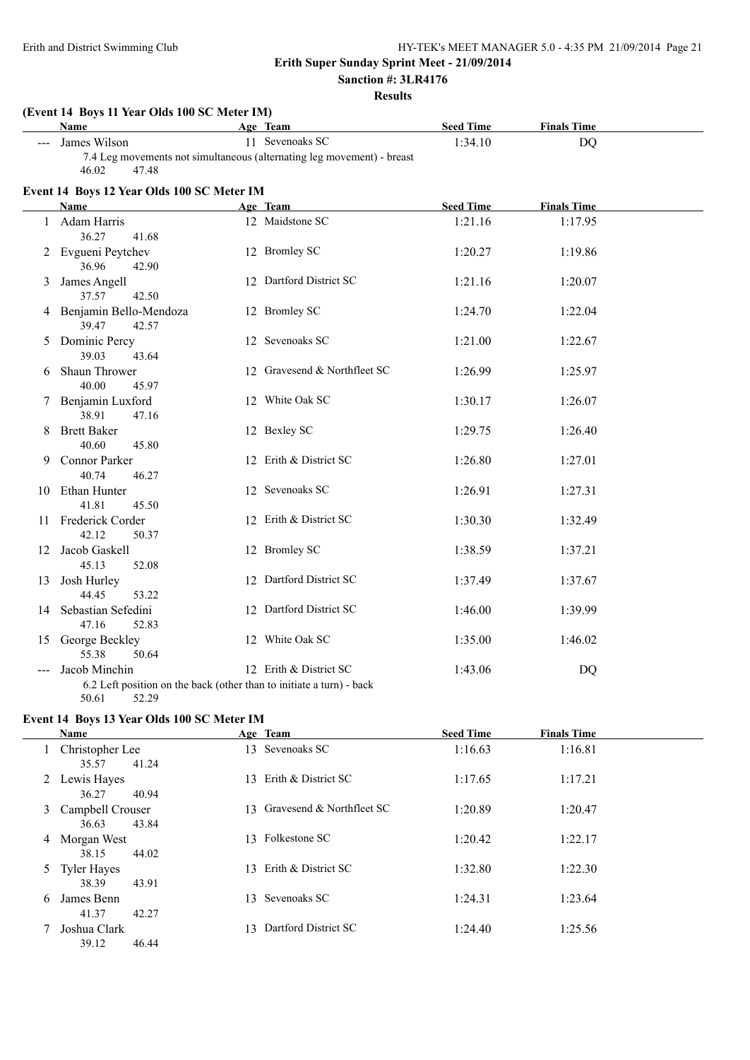# **Sanction #: 3LR4176**

**Results**

|       | (Event 14 Boys 11 Year Olds 100 SC Meter IM)<br><b>Name</b> | Age Team                                                                                       | <b>Seed Time</b> | <b>Finals Time</b> |  |
|-------|-------------------------------------------------------------|------------------------------------------------------------------------------------------------|------------------|--------------------|--|
| ---   | James Wilson<br>46.02<br>47.48                              | 11 Sevenoaks SC<br>7.4 Leg movements not simultaneous (alternating leg movement) - breast      | 1:34.10          | <b>DQ</b>          |  |
|       | Event 14 Boys 12 Year Olds 100 SC Meter IM                  |                                                                                                |                  |                    |  |
|       | Name                                                        | Age Team                                                                                       | <b>Seed Time</b> | <b>Finals Time</b> |  |
|       | 1 Adam Harris<br>36.27<br>41.68                             | 12 Maidstone SC                                                                                | 1:21.16          | 1:17.95            |  |
|       | 2 Evgueni Peytchev<br>36.96<br>42.90                        | 12 Bromley SC                                                                                  | 1:20.27          | 1:19.86            |  |
| 3     | James Angell<br>37.57<br>42.50                              | 12 Dartford District SC                                                                        | 1:21.16          | 1:20.07            |  |
|       | 4 Benjamin Bello-Mendoza<br>39.47<br>42.57                  | 12 Bromley SC                                                                                  | 1:24.70          | 1:22.04            |  |
| 5     | Dominic Percy<br>39.03<br>43.64                             | 12 Sevenoaks SC                                                                                | 1:21.00          | 1:22.67            |  |
| 6     | Shaun Thrower<br>40.00<br>45.97                             | 12 Gravesend & Northfleet SC                                                                   | 1:26.99          | 1:25.97            |  |
| 7     | Benjamin Luxford<br>38.91<br>47.16                          | 12 White Oak SC                                                                                | 1:30.17          | 1:26.07            |  |
| 8     | <b>Brett Baker</b><br>40.60<br>45.80                        | 12 Bexley SC                                                                                   | 1:29.75          | 1:26.40            |  |
| 9     | Connor Parker<br>40.74<br>46.27                             | 12 Erith & District SC                                                                         | 1:26.80          | 1:27.01            |  |
|       | 10 Ethan Hunter<br>41.81<br>45.50                           | 12 Sevenoaks SC                                                                                | 1:26.91          | 1:27.31            |  |
|       | 11 Frederick Corder<br>42.12<br>50.37                       | 12 Erith & District SC                                                                         | 1:30.30          | 1:32.49            |  |
|       | 12 Jacob Gaskell<br>45.13<br>52.08                          | 12 Bromley SC                                                                                  | 1:38.59          | 1:37.21            |  |
| 13    | Josh Hurley<br>44.45<br>53.22                               | 12 Dartford District SC                                                                        | 1:37.49          | 1:37.67            |  |
|       | 14 Sebastian Sefedini<br>47.16<br>52.83                     | 12 Dartford District SC                                                                        | 1:46.00          | 1:39.99            |  |
|       | 15 George Beckley<br>55.38<br>50.64                         | 12 White Oak SC                                                                                | 1:35.00          | 1:46.02            |  |
| $---$ | Jacob Minchin<br>52.29<br>50.61                             | 12 Erith & District SC<br>6.2 Left position on the back (other than to initiate a turn) - back | 1:43.06          | <b>DQ</b>          |  |

### **Event 14 Boys 13 Year Olds 100 SC Meter IM**

|   | <b>Name</b>                                      | Age Team                     | <b>Seed Time</b> | <b>Finals Time</b> |  |
|---|--------------------------------------------------|------------------------------|------------------|--------------------|--|
|   | Christopher Lee<br>41.24<br>35.57                | 13 Sevenoaks SC              | 1:16.63          | 1:16.81            |  |
|   | 2 Lewis Hayes<br>36.27<br>40.94                  | Erith & District SC<br>13.   | 1:17.65          | 1:17.21            |  |
| 3 | Campbell Crouser<br>43.84<br>36.63               | 13 Gravesend & Northfleet SC | 1:20.89          | 1:20.47            |  |
| 4 | Morgan West<br>44.02<br>38.15                    | 13 Folkestone SC             | 1:20.42          | 1:22.17            |  |
| 5 | Tyler Hayes                                      | 13 Erith & District SC       | 1:32.80          | 1:22.30            |  |
| 6 | 38.39<br>43.91<br>James Benn                     | Sevenoaks SC<br>13.          | 1:24.31          | 1:23.64            |  |
|   | 41.37<br>42.27<br>Joshua Clark<br>39.12<br>46.44 | Dartford District SC<br>13.  | 1:24.40          | 1:25.56            |  |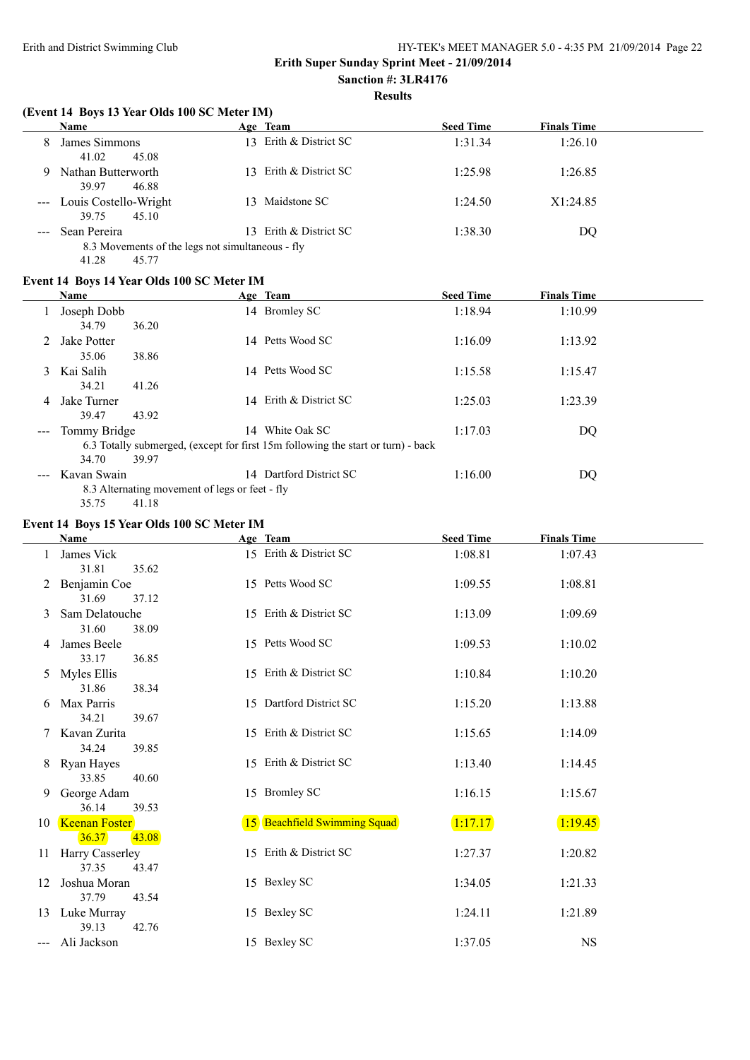#### **Results**

#### **(Event 14 Boys 13 Year Olds 100 SC Meter IM)**

|   | <b>Name</b>                                                          | Age Team                               | <b>Seed Time</b> | <b>Finals Time</b> |  |
|---|----------------------------------------------------------------------|----------------------------------------|------------------|--------------------|--|
| 8 | James Simmons<br>41.02<br>45.08                                      | Erith & District SC<br>13 <sup>7</sup> | 1:31.34          | 1:26.10            |  |
| 9 | Nathan Butterworth<br>39.97<br>46.88                                 | 13 Erith & District SC                 | 1:25.98          | 1:26.85            |  |
|   | --- Louis Costello-Wright<br>45.10<br>39.75                          | Maidstone SC<br>13.                    | 1:24.50          | X1:24.85           |  |
|   | --- Sean Pereira<br>8.3 Movements of the legs not simultaneous - fly | 13 Erith & District SC                 | 1:38.30          | DO                 |  |
|   | 41.28<br>45.77                                                       |                                        |                  |                    |  |

#### **Event 14 Boys 14 Year Olds 100 SC Meter IM**

|                                                                                                                                                                                                                                                                                                                                                                                              | Name            |                                                | Age Team                                                                         | <b>Seed Time</b> | <b>Finals Time</b> |  |
|----------------------------------------------------------------------------------------------------------------------------------------------------------------------------------------------------------------------------------------------------------------------------------------------------------------------------------------------------------------------------------------------|-----------------|------------------------------------------------|----------------------------------------------------------------------------------|------------------|--------------------|--|
|                                                                                                                                                                                                                                                                                                                                                                                              | Joseph Dobb     |                                                | 14 Bromley SC                                                                    | 1:18.94          | 1:10.99            |  |
|                                                                                                                                                                                                                                                                                                                                                                                              | 34.79           | 36.20                                          |                                                                                  |                  |                    |  |
| 2                                                                                                                                                                                                                                                                                                                                                                                            | Jake Potter     |                                                | 14 Petts Wood SC                                                                 | 1:16.09          | 1:13.92            |  |
|                                                                                                                                                                                                                                                                                                                                                                                              | 35.06           | 38.86                                          |                                                                                  |                  |                    |  |
| 3                                                                                                                                                                                                                                                                                                                                                                                            | Kai Salih       |                                                | 14 Petts Wood SC                                                                 | 1:15.58          | 1:15.47            |  |
|                                                                                                                                                                                                                                                                                                                                                                                              | 34.21           | 41.26                                          |                                                                                  |                  |                    |  |
| 4                                                                                                                                                                                                                                                                                                                                                                                            | Jake Turner     |                                                | 14 Erith & District SC                                                           | 1:25.03          | 1:23.39            |  |
|                                                                                                                                                                                                                                                                                                                                                                                              | 39.47           | 43.92                                          |                                                                                  |                  |                    |  |
| $\frac{1}{2} \frac{1}{2} \frac{1}{2} \frac{1}{2} \frac{1}{2} \frac{1}{2} \frac{1}{2} \frac{1}{2} \frac{1}{2} \frac{1}{2} \frac{1}{2} \frac{1}{2} \frac{1}{2} \frac{1}{2} \frac{1}{2} \frac{1}{2} \frac{1}{2} \frac{1}{2} \frac{1}{2} \frac{1}{2} \frac{1}{2} \frac{1}{2} \frac{1}{2} \frac{1}{2} \frac{1}{2} \frac{1}{2} \frac{1}{2} \frac{1}{2} \frac{1}{2} \frac{1}{2} \frac{1}{2} \frac{$ | Tommy Bridge    |                                                | 14 White Oak SC                                                                  | 1:17.03          | DQ                 |  |
|                                                                                                                                                                                                                                                                                                                                                                                              |                 |                                                | 6.3 Totally submerged, (except for first 15m following the start or turn) - back |                  |                    |  |
|                                                                                                                                                                                                                                                                                                                                                                                              | 34.70           | 39.97                                          |                                                                                  |                  |                    |  |
|                                                                                                                                                                                                                                                                                                                                                                                              | --- Kavan Swain |                                                | 14 Dartford District SC                                                          | 1:16.00          | DQ                 |  |
|                                                                                                                                                                                                                                                                                                                                                                                              |                 | 8.3 Alternating movement of legs or feet - fly |                                                                                  |                  |                    |  |
|                                                                                                                                                                                                                                                                                                                                                                                              | 35.75           | 41.18                                          |                                                                                  |                  |                    |  |

#### **Event 14 Boys 15 Year Olds 100 SC Meter IM**

|    | <b>Name</b>                            | Age Team                     | <b>Seed Time</b> | <b>Finals Time</b> |  |
|----|----------------------------------------|------------------------------|------------------|--------------------|--|
|    | James Vick<br>31.81<br>35.62           | 15 Erith & District SC       | 1:08.81          | 1:07.43            |  |
|    | Benjamin Coe<br>31.69<br>37.12         | 15 Petts Wood SC             | 1:09.55          | 1:08.81            |  |
|    | Sam Delatouche<br>31.60<br>38.09       | 15 Erith & District SC       | 1:13.09          | 1:09.69            |  |
| 4  | James Beele<br>33.17<br>36.85          | 15 Petts Wood SC             | 1:09.53          | 1:10.02            |  |
| 5. | Myles Ellis<br>31.86<br>38.34          | 15 Erith & District SC       | 1:10.84          | 1:10.20            |  |
| 6  | Max Parris<br>34.21<br>39.67           | 15 Dartford District SC      | 1:15.20          | 1:13.88            |  |
|    | Kavan Zurita<br>34.24<br>39.85         | 15 Erith & District SC       | 1:15.65          | 1:14.09            |  |
| 8  | Ryan Hayes<br>33.85<br>40.60           | 15 Erith & District SC       | 1:13.40          | 1:14.45            |  |
| 9  | George Adam<br>36.14<br>39.53          | 15 Bromley SC                | 1:16.15          | 1:15.67            |  |
| 10 | <b>Keenan Foster</b><br>36.37<br>43.08 | 15 Beachfield Swimming Squad | 1:17.17          | 1:19.45            |  |
| 11 | Harry Casserley<br>37.35<br>43.47      | 15 Erith & District SC       | 1:27.37          | 1:20.82            |  |
| 12 | Joshua Moran<br>37.79<br>43.54         | 15 Bexley SC                 | 1:34.05          | 1:21.33            |  |
| 13 | Luke Murray<br>39.13<br>42.76          | 15 Bexley SC                 | 1:24.11          | 1:21.89            |  |
|    | Ali Jackson                            | 15 Bexley SC                 | 1:37.05          | <b>NS</b>          |  |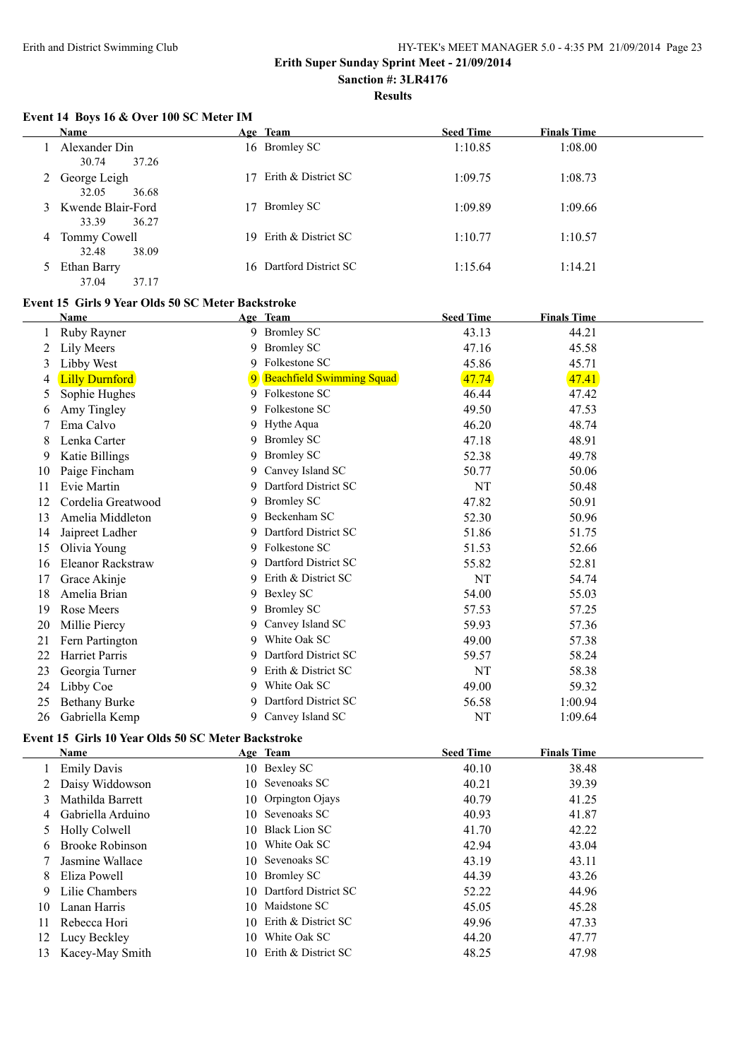$\overline{a}$ 

#### Erith and District Swimming Club HY-TEK's MEET MANAGER 5.0 - 4:35 PM 21/09/2014 Page 23

#### **Erith Super Sunday Sprint Meet - 21/09/2014 Sanction #: 3LR4176**

**Results**

#### **Event 14 Boys 16 & Over 100 SC Meter IM**

|   | Name                                  |    | Age Team               | <b>Seed Time</b> | <b>Finals Time</b> |
|---|---------------------------------------|----|------------------------|------------------|--------------------|
|   | Alexander Din<br>30.74<br>37.26       |    | 16 Bromley SC          | 1:10.85          | 1:08.00            |
| 2 | George Leigh<br>32.05<br>36.68        |    | 17 Erith & District SC | 1:09.75          | 1:08.73            |
|   | 3 Kwende Blair-Ford<br>33.39<br>36.27 | 17 | <b>Bromley SC</b>      | 1:09.89          | 1:09.66            |
| 4 | Tommy Cowell<br>32.48<br>38.09        | 19 | Erith & District SC    | 1:10.77          | 1:10.57            |
|   | Ethan Barry<br>37.04<br>37.17         | 16 | Dartford District SC   | 1:15.64          | 1:14.21            |

#### **Event 15 Girls 9 Year Olds 50 SC Meter Backstroke**

|    | Name                     |    | Age Team                         | <b>Seed Time</b> | <b>Finals Time</b> |  |
|----|--------------------------|----|----------------------------------|------------------|--------------------|--|
|    | Ruby Rayner              |    | 9 Bromley SC                     | 43.13            | 44.21              |  |
| 2  | Lily Meers               | 9  | <b>Bromley SC</b>                | 47.16            | 45.58              |  |
| 3  | Libby West               | 9  | Folkestone SC                    | 45.86            | 45.71              |  |
| 4  | <b>Lilly Durnford</b>    | 9  | <b>Beachfield Swimming Squad</b> | 47.74            | 47.41              |  |
| 5  | Sophie Hughes            |    | 9 Folkestone SC                  | 46.44            | 47.42              |  |
| 6  | Amy Tingley              | 9. | Folkestone SC                    | 49.50            | 47.53              |  |
|    | Ema Calvo                | 9. | Hythe Aqua                       | 46.20            | 48.74              |  |
| 8  | Lenka Carter             | 9. | <b>Bromley SC</b>                | 47.18            | 48.91              |  |
| 9  | Katie Billings           | 9  | <b>Bromley SC</b>                | 52.38            | 49.78              |  |
| 10 | Paige Fincham            | 9  | Canvey Island SC                 | 50.77            | 50.06              |  |
| 11 | Evie Martin              | 9  | Dartford District SC             | NT               | 50.48              |  |
| 12 | Cordelia Greatwood       | 9. | <b>Bromley SC</b>                | 47.82            | 50.91              |  |
| 13 | Amelia Middleton         | 9  | Beckenham SC                     | 52.30            | 50.96              |  |
| 14 | Jaipreet Ladher          | 9  | Dartford District SC             | 51.86            | 51.75              |  |
| 15 | Olivia Young             | 9  | Folkestone SC                    | 51.53            | 52.66              |  |
| 16 | <b>Eleanor Rackstraw</b> | 9  | Dartford District SC             | 55.82            | 52.81              |  |
| 17 | Grace Akinje             | 9. | Erith & District SC              | NT               | 54.74              |  |
| 18 | Amelia Brian             | 9. | Bexley SC                        | 54.00            | 55.03              |  |
| 19 | Rose Meers               | 9  | <b>Bromley SC</b>                | 57.53            | 57.25              |  |
| 20 | Millie Piercy            | 9  | Canvey Island SC                 | 59.93            | 57.36              |  |
| 21 | Fern Partington          | 9  | White Oak SC                     | 49.00            | 57.38              |  |
| 22 | <b>Harriet Parris</b>    | 9  | Dartford District SC             | 59.57            | 58.24              |  |
| 23 | Georgia Turner           | 9  | Erith & District SC              | NT               | 58.38              |  |
| 24 | Libby Coe                | 9  | White Oak SC                     | 49.00            | 59.32              |  |
| 25 | <b>Bethany Burke</b>     | 9  | Dartford District SC             | 56.58            | 1:00.94            |  |
| 26 | Gabriella Kemp           | 9  | Canvey Island SC                 | NT               | 1:09.64            |  |

#### **Event 15 Girls 10 Year Olds 50 SC Meter Backstroke**

|     | Name                   |     | Age Team                | <b>Seed Time</b> | <b>Finals Time</b> |  |
|-----|------------------------|-----|-------------------------|------------------|--------------------|--|
|     | <b>Emily Davis</b>     |     | 10 Bexley SC            | 40.10            | 38.48              |  |
|     | Daisy Widdowson        |     | 10 Sevenoaks SC         | 40.21            | 39.39              |  |
| 3   | Mathilda Barrett       |     | 10 Orpington Ojays      | 40.79            | 41.25              |  |
|     | 4 Gabriella Arduino    |     | 10 Sevenoaks SC         | 40.93            | 41.87              |  |
|     | 5 Holly Colwell        |     | 10 Black Lion SC        | 41.70            | 42.22              |  |
| 6.  | <b>Brooke Robinson</b> | 10. | White Oak SC            | 42.94            | 43.04              |  |
|     | Jasmine Wallace        | 10. | Sevenoaks SC            | 43.19            | 43.11              |  |
| 8   | Eliza Powell           |     | 10 Bromley SC           | 44.39            | 43.26              |  |
| 9   | Lilie Chambers         |     | 10 Dartford District SC | 52.22            | 44.96              |  |
| 10  | Lanan Harris           | 10. | Maidstone SC            | 45.05            | 45.28              |  |
| 11  | Rebecca Hori           |     | 10 Erith & District SC  | 49.96            | 47.33              |  |
| 12  | Lucy Beckley           | 10  | White Oak SC            | 44.20            | 47.77              |  |
| 13. | Kacey-May Smith        | 10. | Erith & District SC     | 48.25            | 47.98              |  |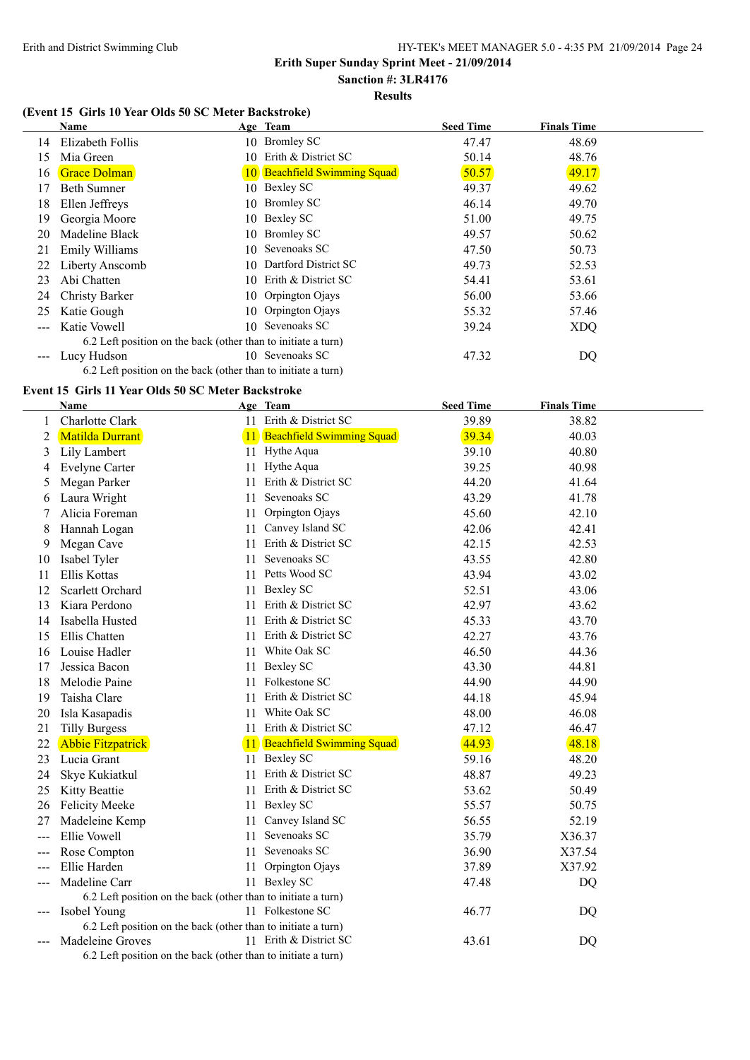#### **Sanction #: 3LR4176 Results**

## **(Event 15 Girls 10 Year Olds 50 SC Meter Backstroke)**

|                      | Name                                                          |     | Age Team                     | <b>Seed Time</b> | <b>Finals Time</b> |
|----------------------|---------------------------------------------------------------|-----|------------------------------|------------------|--------------------|
| 14                   | Elizabeth Follis                                              |     | 10 Bromley SC                | 47.47            | 48.69              |
| 15                   | Mia Green                                                     | 10. | Erith & District SC          | 50.14            | 48.76              |
| 16                   | <b>Grace Dolman</b>                                           |     | 10 Beachfield Swimming Squad | 50.57            | 49.17              |
| 17                   | Beth Sumner                                                   |     | 10 Bexley SC                 | 49.37            | 49.62              |
| 18                   | Ellen Jeffreys                                                |     | 10 Bromley SC                | 46.14            | 49.70              |
| 19                   | Georgia Moore                                                 | 10- | Bexley SC                    | 51.00            | 49.75              |
| 20                   | Madeline Black                                                | 10  | <b>Bromley SC</b>            | 49.57            | 50.62              |
| 21                   | Emily Williams                                                |     | 10 Sevenoaks SC              | 47.50            | 50.73              |
| 22                   | Liberty Anscomb                                               | 10- | Dartford District SC         | 49.73            | 52.53              |
| 23                   | Abi Chatten                                                   |     | 10 Erith & District SC       | 54.41            | 53.61              |
| 24                   | Christy Barker                                                |     | 10 Orpington Ojays           | 56.00            | 53.66              |
| 25                   | Katie Gough                                                   |     | 10 Orpington Ojays           | 55.32            | 57.46              |
|                      | Katie Vowell                                                  |     | 10 Sevenoaks SC              | 39.24            | <b>XDQ</b>         |
|                      | 6.2 Left position on the back (other than to initiate a turn) |     |                              |                  |                    |
| $\sim$ $\sim$ $\sim$ | Lucy Hudson                                                   | 10- | Sevenoaks SC                 | 47.32            | DQ                 |
|                      | 6.2 Left position on the back (other than to initiate a turn) |     |                              |                  |                    |

#### **Event 15 Girls 11 Year Olds 50 SC Meter Backstroke**

|    | <b>Name</b>                                                   |    | Age Team                     | <b>Seed Time</b> | <b>Finals Time</b> |
|----|---------------------------------------------------------------|----|------------------------------|------------------|--------------------|
| 1  | Charlotte Clark                                               |    | 11 Erith & District SC       | 39.89            | 38.82              |
| 2  | Matilda Durrant                                               |    | 11 Beachfield Swimming Squad | 39.34            | 40.03              |
| 3  | Lily Lambert                                                  |    | 11 Hythe Aqua                | 39.10            | 40.80              |
| 4  | Evelyne Carter                                                | 11 | Hythe Aqua                   | 39.25            | 40.98              |
| 5  | Megan Parker                                                  | 11 | Erith & District SC          | 44.20            | 41.64              |
| 6  | Laura Wright                                                  | 11 | Sevenoaks SC                 | 43.29            | 41.78              |
|    | Alicia Foreman                                                | 11 | Orpington Ojays              | 45.60            | 42.10              |
| 8  | Hannah Logan                                                  | 11 | Canvey Island SC             | 42.06            | 42.41              |
| 9  | Megan Cave                                                    | 11 | Erith & District SC          | 42.15            | 42.53              |
| 10 | Isabel Tyler                                                  | 11 | Sevenoaks SC                 | 43.55            | 42.80              |
| 11 | Ellis Kottas                                                  |    | 11 Petts Wood SC             | 43.94            | 43.02              |
| 12 | Scarlett Orchard                                              |    | 11 Bexley SC                 | 52.51            | 43.06              |
| 13 | Kiara Perdono                                                 |    | 11 Erith & District SC       | 42.97            | 43.62              |
| 14 | Isabella Husted                                               | 11 | Erith & District SC          | 45.33            | 43.70              |
| 15 | Ellis Chatten                                                 |    | 11 Erith & District SC       | 42.27            | 43.76              |
| 16 | Louise Hadler                                                 |    | 11 White Oak SC              | 46.50            | 44.36              |
| 17 | Jessica Bacon                                                 | 11 | <b>Bexley SC</b>             | 43.30            | 44.81              |
| 18 | Melodie Paine                                                 |    | 11 Folkestone SC             | 44.90            | 44.90              |
| 19 | Taisha Clare                                                  | 11 | Erith & District SC          | 44.18            | 45.94              |
| 20 | Isla Kasapadis                                                |    | 11 White Oak SC              | 48.00            | 46.08              |
| 21 | <b>Tilly Burgess</b>                                          |    | 11 Erith & District SC       | 47.12            | 46.47              |
| 22 | <b>Abbie Fitzpatrick</b>                                      |    | 11 Beachfield Swimming Squad | 44.93            | 48.18              |
| 23 | Lucia Grant                                                   |    | 11 Bexley SC                 | 59.16            | 48.20              |
| 24 | Skye Kukiatkul                                                | 11 | Erith & District SC          | 48.87            | 49.23              |
| 25 | Kitty Beattie                                                 | 11 | Erith & District SC          | 53.62            | 50.49              |
| 26 | <b>Felicity Meeke</b>                                         | 11 | <b>Bexley SC</b>             | 55.57            | 50.75              |
| 27 | Madeleine Kemp                                                | 11 | Canvey Island SC             | 56.55            | 52.19              |
|    | Ellie Vowell                                                  | 11 | Sevenoaks SC                 | 35.79            | X36.37             |
|    | Rose Compton                                                  | 11 | Sevenoaks SC                 | 36.90            | X37.54             |
|    | Ellie Harden                                                  | 11 | Orpington Ojays              | 37.89            | X37.92             |
|    | Madeline Carr                                                 |    | 11 Bexley SC                 | 47.48            | DQ                 |
|    | 6.2 Left position on the back (other than to initiate a turn) |    |                              |                  |                    |
|    | Isobel Young                                                  |    | 11 Folkestone SC             | 46.77            | DQ                 |
|    | 6.2 Left position on the back (other than to initiate a turn) |    |                              |                  |                    |
|    | Madeleine Groves                                              |    | 11 Erith & District SC       | 43.61            | DQ                 |
|    | 6.2 Left position on the back (other than to initiate a turn) |    |                              |                  |                    |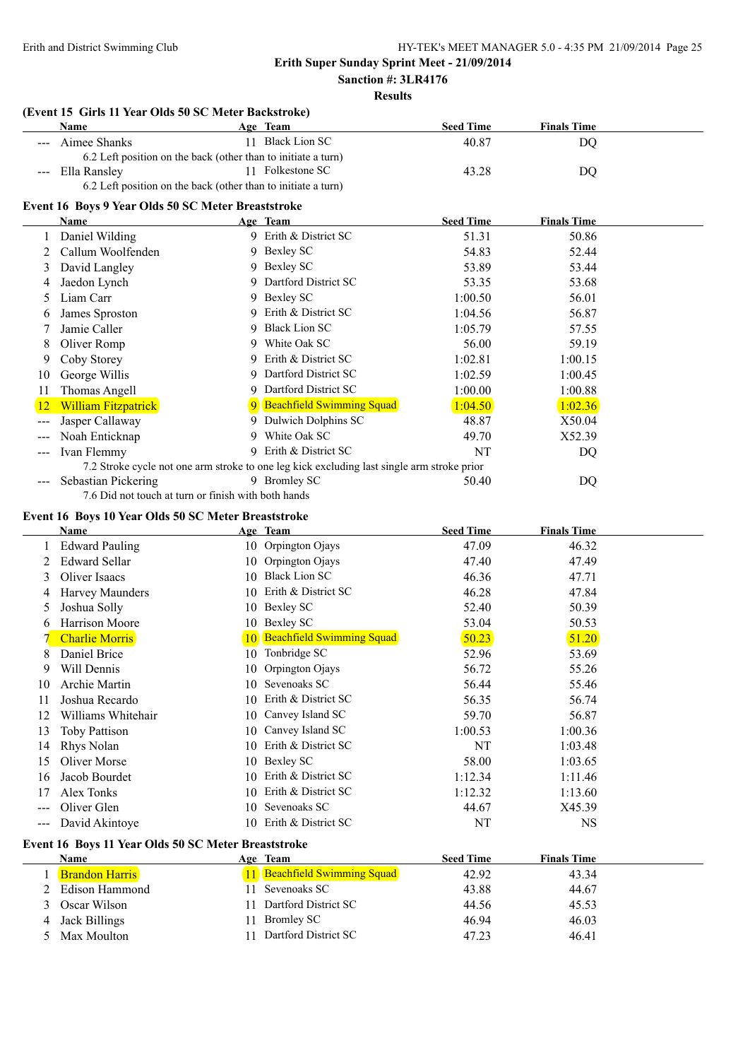# **Results**

## **(Event 15 Girls 11 Year Olds 50 SC Meter Backstroke)**

|     | <b>Name</b>                                                   |    | Age Team                                                                                   | <b>Seed Time</b> | <b>Finals Time</b>  |  |
|-----|---------------------------------------------------------------|----|--------------------------------------------------------------------------------------------|------------------|---------------------|--|
|     | Aimee Shanks                                                  |    | 11 Black Lion SC                                                                           | 40.87            | DQ                  |  |
|     | 6.2 Left position on the back (other than to initiate a turn) |    |                                                                                            |                  |                     |  |
|     | Ella Ransley                                                  |    | 11 Folkestone SC                                                                           | 43.28            | DQ                  |  |
|     | 6.2 Left position on the back (other than to initiate a turn) |    |                                                                                            |                  |                     |  |
|     | Event 16 Boys 9 Year Olds 50 SC Meter Breaststroke            |    |                                                                                            |                  |                     |  |
|     | <b>Name</b>                                                   |    | Age Team                                                                                   | <b>Seed Time</b> | <b>Finals Time</b>  |  |
|     | Daniel Wilding                                                |    | 9 Erith & District SC                                                                      | 51.31            | 50.86               |  |
| 2   | Callum Woolfenden                                             |    | 9 Bexley SC                                                                                | 54.83            | 52.44               |  |
| 3   | David Langley                                                 | 9  | Bexley SC                                                                                  | 53.89            | 53.44               |  |
| 4   | Jaedon Lynch                                                  | 9  | Dartford District SC                                                                       | 53.35            | 53.68               |  |
| 5   | Liam Carr                                                     | 9  | <b>Bexley SC</b>                                                                           | 1:00.50          | 56.01               |  |
| 6   | James Sproston                                                | 9  | Erith & District SC                                                                        | 1:04.56          | 56.87               |  |
|     | Jamie Caller                                                  | 9  | <b>Black Lion SC</b>                                                                       | 1:05.79          | 57.55               |  |
| 8   | Oliver Romp                                                   | 9. | White Oak SC                                                                               | 56.00            | 59.19               |  |
| 9   | Coby Storey                                                   | 9  | Erith & District SC                                                                        | 1:02.81          | 1:00.15             |  |
| 10  | George Willis                                                 |    | Dartford District SC                                                                       | 1:02.59          | 1:00.45             |  |
| 11  | Thomas Angell                                                 | 9  | Dartford District SC                                                                       | 1:00.00          | 1:00.88             |  |
| 12  | <b>William Fitzpatrick</b>                                    |    | 9 Beachfield Swimming Squad                                                                | 1:04.50          | 1:02.36             |  |
| --- | Jasper Callaway                                               |    | 9 Dulwich Dolphins SC                                                                      | 48.87            | X50.04              |  |
|     | Noah Enticknap                                                | 9  | White Oak SC                                                                               | 49.70            | X52.39              |  |
| --- | Ivan Flemmy                                                   |    | 9 Erith & District SC                                                                      | <b>NT</b>        | DQ                  |  |
|     |                                                               |    | 7.2 Stroke cycle not one arm stroke to one leg kick excluding last single arm stroke prior |                  |                     |  |
|     | Sebastian Pickering                                           |    | 9 Bromley SC                                                                               | 50.40            | D <sub>O</sub>      |  |
|     | 7.6 Did not touch at turn or finish with both hands           |    |                                                                                            |                  |                     |  |
|     | Event 16 Boys 10 Year Olds 50 SC Meter Breaststroke           |    |                                                                                            |                  |                     |  |
|     | <b>Name</b>                                                   |    | Age Team                                                                                   | <b>Seed Time</b> | <b>Finals Time</b>  |  |
|     | <b>Edward Pauling</b>                                         |    | 10 Orpington Ojays                                                                         | 47.09            | 46.32               |  |
|     | <b>Edward Sellar</b>                                          |    | 10 Orpington Ojays                                                                         | 47.40            | 47.49               |  |
| 3   | Oliver Isaacs                                                 |    | 10 Black Lion SC                                                                           | 46.36            | 47.71               |  |
|     | $\prod_{\alpha} \mathbf{w}_{\alpha}$                          |    | $10$ Erith & District $8C$                                                                 | AC.20            | $A \rightarrow O A$ |  |

|     | Oliver Isaacs         | 10 | Black Lion SC                | 46.36   | 47.71     |  |
|-----|-----------------------|----|------------------------------|---------|-----------|--|
| 4   | Harvey Maunders       |    | 10 Erith & District SC       | 46.28   | 47.84     |  |
| 5.  | Joshua Solly          |    | 10 Bexley SC                 | 52.40   | 50.39     |  |
|     | <b>Harrison Moore</b> |    | 10 Bexley SC                 | 53.04   | 50.53     |  |
|     | <b>Charlie Morris</b> |    | 10 Beachfield Swimming Squad | 50.23   | 51.20     |  |
|     | Daniel Brice          | 10 | Tonbridge SC                 | 52.96   | 53.69     |  |
| 9   | Will Dennis           |    | 10 Orpington Ojays           | 56.72   | 55.26     |  |
| 10  | Archie Martin         | 10 | Sevenoaks SC                 | 56.44   | 55.46     |  |
| 11  | Joshua Recardo        |    | 10 Erith & District SC       | 56.35   | 56.74     |  |
| 12  | Williams Whitehair    | 10 | Canvey Island SC             | 59.70   | 56.87     |  |
| 13  | <b>Toby Pattison</b>  | 10 | Canvey Island SC             | 1:00.53 | 1:00.36   |  |
| 14  | Rhys Nolan            |    | 10 Erith & District SC       | NT      | 1:03.48   |  |
| 15  | Oliver Morse          |    | 10 Bexley SC                 | 58.00   | 1:03.65   |  |
| 16  | Jacob Bourdet         | 10 | Erith & District SC          | 1:12.34 | 1:11.46   |  |
| 17  | Alex Tonks            | 10 | Erith & District SC          | 1:12.32 | 1:13.60   |  |
|     | Oliver Glen           | 10 | Sevenoaks SC                 | 44.67   | X45.39    |  |
| --- | David Akintoye        | 10 | Erith & District SC          | NT      | <b>NS</b> |  |
|     |                       |    |                              |         |           |  |

# **Event 16 Boys 11 Year Olds 50 SC Meter Breaststroke**

|   | Name                  | Age Team                     | <b>Seed Time</b> | <b>Finals Time</b> |
|---|-----------------------|------------------------------|------------------|--------------------|
|   | <b>Brandon Harris</b> | 11 Beachfield Swimming Squad | 42.92            | 43.34              |
|   | Edison Hammond        | Sevenoaks SC                 | 43.88            | 44.67              |
|   | Oscar Wilson          | Dartford District SC         | 44.56            | 45.53              |
| 4 | Jack Billings         | Bromley SC                   | 46.94            | 46.03              |
|   | Max Moulton           | Dartford District SC         | 47.23            | 46.41              |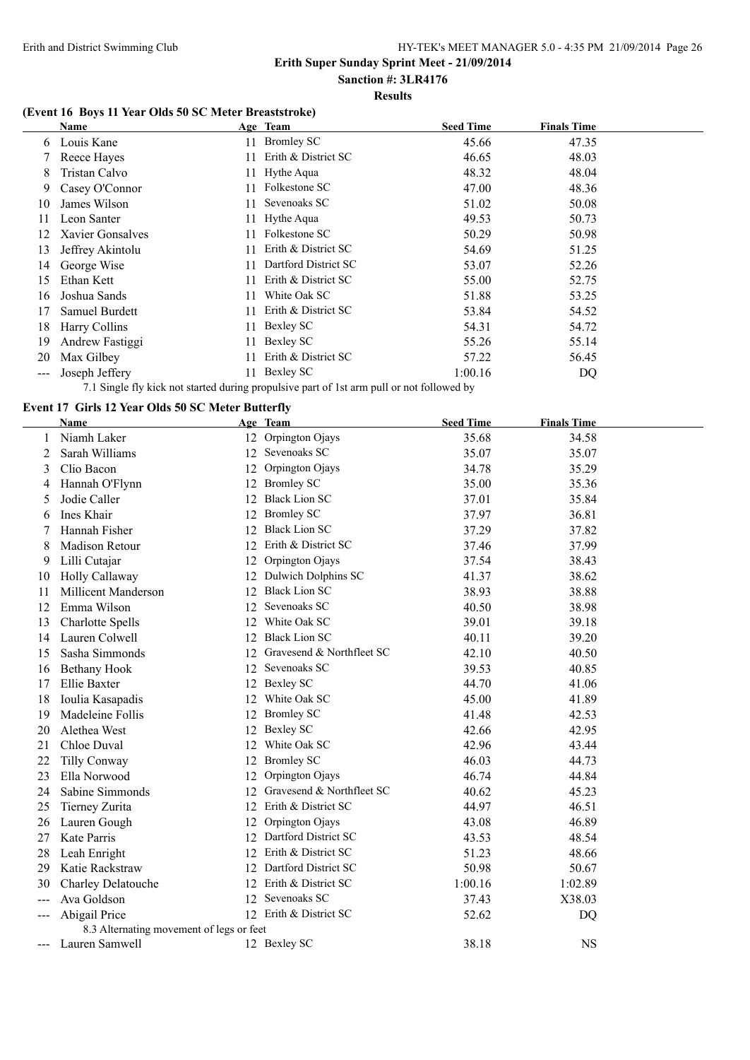#### **Sanction #: 3LR4176 Results**

### **(Event 16 Boys 11 Year Olds 50 SC Meter Breaststroke)**

|                     | Name             |     | Age Team             | <b>Seed Time</b> | <b>Finals Time</b> |  |
|---------------------|------------------|-----|----------------------|------------------|--------------------|--|
| 6                   | Louis Kane       | 11. | <b>Bromley SC</b>    | 45.66            | 47.35              |  |
|                     | Reece Hayes      |     | Erith & District SC  | 46.65            | 48.03              |  |
| 8                   | Tristan Calvo    |     | 11 Hythe Aqua        | 48.32            | 48.04              |  |
| 9.                  | Casey O'Connor   | 11. | Folkestone SC        | 47.00            | 48.36              |  |
| 10                  | James Wilson     | 11  | Sevenoaks SC         | 51.02            | 50.08              |  |
| 11                  | Leon Santer      |     | 11 Hythe Aqua        | 49.53            | 50.73              |  |
| 12                  | Xavier Gonsalves |     | Folkestone SC        | 50.29            | 50.98              |  |
| 13                  | Jeffrey Akintolu | 11. | Erith & District SC  | 54.69            | 51.25              |  |
| 14                  | George Wise      | 11. | Dartford District SC | 53.07            | 52.26              |  |
| 15                  | Ethan Kett       | 11. | Erith & District SC  | 55.00            | 52.75              |  |
| 16                  | Joshua Sands     | 11. | White Oak SC         | 51.88            | 53.25              |  |
| 17                  | Samuel Burdett   | 11  | Erith & District SC  | 53.84            | 54.52              |  |
| 18                  | Harry Collins    | 11- | Bexley SC            | 54.31            | 54.72              |  |
| 19                  | Andrew Fastiggi  | 11. | Bexley SC            | 55.26            | 55.14              |  |
| 20                  | Max Gilbey       | 11. | Erith & District SC  | 57.22            | 56.45              |  |
| $\qquad \qquad - -$ | Joseph Jeffery   | 11. | Bexley SC            | 1:00.16          | DQ                 |  |

7.1 Single fly kick not started during propulsive part of 1st arm pull or not followed by

#### **Event 17 Girls 12 Year Olds 50 SC Meter Butterfly**

|                     | <b>Name</b>                              |    | Age Team                  | <b>Seed Time</b> | <b>Finals Time</b> |
|---------------------|------------------------------------------|----|---------------------------|------------------|--------------------|
|                     | Niamh Laker                              | 12 | Orpington Ojays           | 35.68            | 34.58              |
| 2                   | Sarah Williams                           |    | 12 Sevenoaks SC           | 35.07            | 35.07              |
| 3                   | Clio Bacon                               | 12 | Orpington Ojays           | 34.78            | 35.29              |
| 4                   | Hannah O'Flynn                           |    | 12 Bromley SC             | 35.00            | 35.36              |
| 5                   | Jodie Caller                             | 12 | <b>Black Lion SC</b>      | 37.01            | 35.84              |
| 6                   | Ines Khair                               |    | 12 Bromley SC             | 37.97            | 36.81              |
|                     | Hannah Fisher                            | 12 | <b>Black Lion SC</b>      | 37.29            | 37.82              |
| 8                   | Madison Retour                           | 12 | Erith & District SC       | 37.46            | 37.99              |
| 9                   | Lilli Cutajar                            | 12 | Orpington Ojays           | 37.54            | 38.43              |
| 10                  | Holly Callaway                           |    | 12 Dulwich Dolphins SC    | 41.37            | 38.62              |
| 11                  | <b>Millicent Manderson</b>               | 12 | <b>Black Lion SC</b>      | 38.93            | 38.88              |
| 12                  | Emma Wilson                              | 12 | Sevenoaks SC              | 40.50            | 38.98              |
| 13                  | <b>Charlotte Spells</b>                  | 12 | White Oak SC              | 39.01            | 39.18              |
| 14                  | Lauren Colwell                           | 12 | <b>Black Lion SC</b>      | 40.11            | 39.20              |
| 15                  | Sasha Simmonds                           | 12 | Gravesend & Northfleet SC | 42.10            | 40.50              |
| 16                  | Bethany Hook                             | 12 | Sevenoaks SC              | 39.53            | 40.85              |
| 17                  | Ellie Baxter                             |    | 12 Bexley SC              | 44.70            | 41.06              |
| 18                  | Ioulia Kasapadis                         |    | 12 White Oak SC           | 45.00            | 41.89              |
| 19                  | Madeleine Follis                         |    | 12 Bromley SC             | 41.48            | 42.53              |
| 20                  | Alethea West                             |    | 12 Bexley SC              | 42.66            | 42.95              |
| 21                  | Chloe Duval                              | 12 | White Oak SC              | 42.96            | 43.44              |
| 22                  | <b>Tilly Conway</b>                      |    | 12 Bromley SC             | 46.03            | 44.73              |
| 23                  | Ella Norwood                             | 12 | Orpington Ojays           | 46.74            | 44.84              |
| 24                  | Sabine Simmonds                          | 12 | Gravesend & Northfleet SC | 40.62            | 45.23              |
| 25                  | Tierney Zurita                           | 12 | Erith & District SC       | 44.97            | 46.51              |
| 26                  | Lauren Gough                             | 12 | Orpington Ojays           | 43.08            | 46.89              |
| 27                  | Kate Parris                              | 12 | Dartford District SC      | 43.53            | 48.54              |
| 28                  | Leah Enright                             | 12 | Erith & District SC       | 51.23            | 48.66              |
| 29                  | Katie Rackstraw                          | 12 | Dartford District SC      | 50.98            | 50.67              |
| 30                  | Charley Delatouche                       |    | 12 Erith & District SC    | 1:00.16          | 1:02.89            |
| $---$               | Ava Goldson                              |    | 12 Sevenoaks SC           | 37.43            | X38.03             |
| $\qquad \qquad - -$ | Abigail Price                            |    | 12 Erith & District SC    | 52.62            | DQ                 |
|                     | 8.3 Alternating movement of legs or feet |    |                           |                  |                    |
| $---$               | Lauren Samwell                           |    | 12 Bexley SC              | 38.18            | <b>NS</b>          |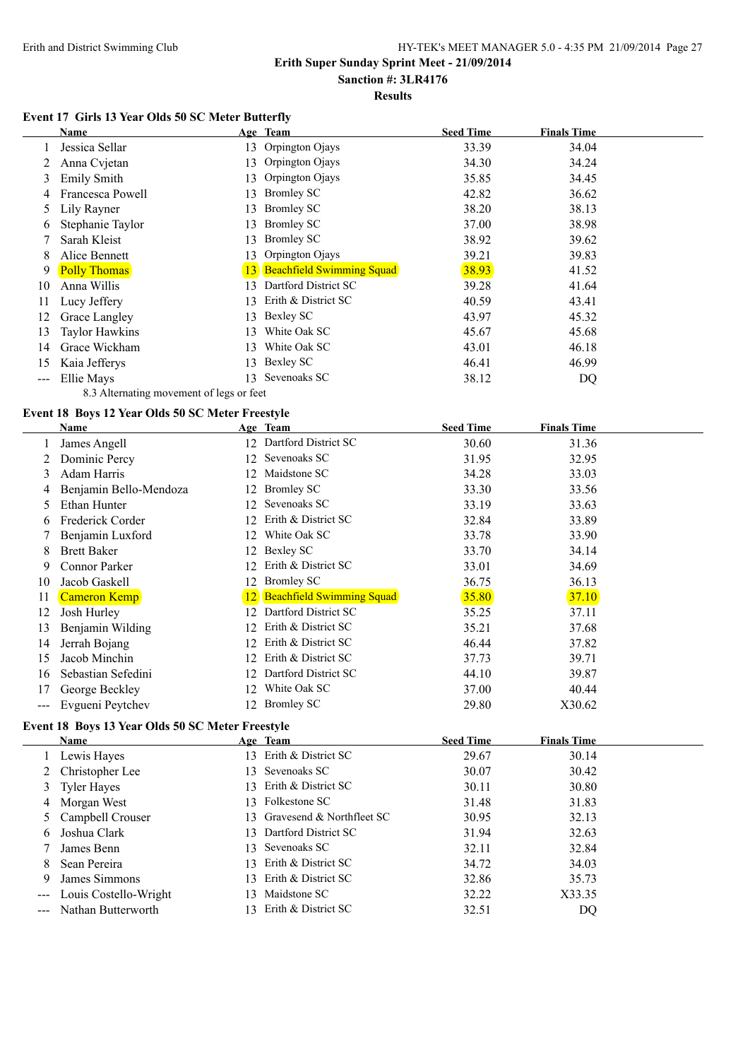# **Erith Super Sunday Sprint Meet - 21/09/2014**

# **Sanction #: 3LR4176**

**Results**

#### **Event 17 Girls 13 Year Olds 50 SC Meter Butterfly**

|     | Name                  |    | Age Team                     | <b>Seed Time</b> | <b>Finals Time</b> |
|-----|-----------------------|----|------------------------------|------------------|--------------------|
|     | Jessica Sellar        |    | 13 Orpington Ojays           | 33.39            | 34.04              |
|     | Anna Cvjetan          | 13 | Orpington Ojays              | 34.30            | 34.24              |
| 3   | <b>Emily Smith</b>    | 13 | Orpington Ojays              | 35.85            | 34.45              |
| 4   | Francesca Powell      | 13 | <b>Bromley SC</b>            | 42.82            | 36.62              |
| 5.  | Lily Rayner           | 13 | <b>Bromley SC</b>            | 38.20            | 38.13              |
| 6   | Stephanie Taylor      | 13 | <b>Bromley SC</b>            | 37.00            | 38.98              |
|     | Sarah Kleist          | 13 | <b>Bromley SC</b>            | 38.92            | 39.62              |
| 8   | Alice Bennett         | 13 | Orpington Ojays              | 39.21            | 39.83              |
| 9   | <b>Polly Thomas</b>   |    | 13 Beachfield Swimming Squad | 38.93            | 41.52              |
| 10  | Anna Willis           | 13 | Dartford District SC         | 39.28            | 41.64              |
| 11  | Lucy Jeffery          | 13 | Erith & District SC          | 40.59            | 43.41              |
| 12  | Grace Langley         | 13 | Bexley SC                    | 43.97            | 45.32              |
| 13  | <b>Taylor Hawkins</b> | 13 | White Oak SC                 | 45.67            | 45.68              |
| 14  | Grace Wickham         | 13 | White Oak SC                 | 43.01            | 46.18              |
| 15  | Kaia Jefferys         | 13 | Bexley SC                    | 46.41            | 46.99              |
| --- | Ellie Mays            | 13 | Sevenoaks SC                 | 38.12            | DQ                 |
|     |                       |    |                              |                  |                    |

#### 8.3 Alternating movement of legs or feet **Event 18 Boys 12 Year Olds 50 SC Meter Freestyle**

|               | <b>Name</b>            |     | Age Team                     | <b>Seed Time</b> | <b>Finals Time</b> |  |
|---------------|------------------------|-----|------------------------------|------------------|--------------------|--|
|               | James Angell           |     | 12 Dartford District SC      | 30.60            | 31.36              |  |
|               | Dominic Percy          | 12  | Sevenoaks SC                 | 31.95            | 32.95              |  |
| 3             | Adam Harris            | 12  | Maidstone SC                 | 34.28            | 33.03              |  |
| 4             | Benjamin Bello-Mendoza | 12  | <b>Bromley SC</b>            | 33.30            | 33.56              |  |
| $\mathcal{L}$ | Ethan Hunter           | 12  | Sevenoaks SC                 | 33.19            | 33.63              |  |
| 6             | Frederick Corder       | 12  | Erith & District SC          | 32.84            | 33.89              |  |
|               | Benjamin Luxford       | 12  | White Oak SC                 | 33.78            | 33.90              |  |
| 8             | <b>Brett Baker</b>     | 12  | Bexley SC                    | 33.70            | 34.14              |  |
| 9             | Connor Parker          | 12. | Erith & District SC          | 33.01            | 34.69              |  |
| 10            | Jacob Gaskell          | 12  | <b>Bromley SC</b>            | 36.75            | 36.13              |  |
| 11            | <b>Cameron Kemp</b>    |     | 12 Beachfield Swimming Squad | 35.80            | 37.10              |  |
| 12            | Josh Hurley            | 12  | Dartford District SC         | 35.25            | 37.11              |  |
| 13            | Benjamin Wilding       | 12  | Erith & District SC          | 35.21            | 37.68              |  |
| 14            | Jerrah Bojang          | 12  | Erith & District SC          | 46.44            | 37.82              |  |
| 15            | Jacob Minchin          | 12  | Erith & District SC          | 37.73            | 39.71              |  |
| 16            | Sebastian Sefedini     | 12  | Dartford District SC         | 44.10            | 39.87              |  |
| 17            | George Beckley         | 12  | White Oak SC                 | 37.00            | 40.44              |  |
| ---           | Evgueni Peytchev       |     | 12 Bromley SC                | 29.80            | X30.62             |  |

#### **Event 18 Boys 13 Year Olds 50 SC Meter Freestyle**

|    | Name                      |                        | Age Team                     | <b>Seed Time</b> | <b>Finals Time</b> |  |
|----|---------------------------|------------------------|------------------------------|------------------|--------------------|--|
|    | Lewis Hayes               |                        | 13 Erith & District SC       | 29.67            | 30.14              |  |
|    | 2 Christopher Lee         |                        | 13 Sevenoaks SC              | 30.07            | 30.42              |  |
|    | 3 Tyler Hayes             |                        | 13 Erith & District SC       | 30.11            | 30.80              |  |
|    | 4 Morgan West             |                        | 13 Folkestone SC             | 31.48            | 31.83              |  |
|    | 5 Campbell Crouser        |                        | 13 Gravesend & Northfleet SC | 30.95            | 32.13              |  |
| 6. | Joshua Clark              |                        | 13 Dartford District SC      | 31.94            | 32.63              |  |
|    | James Benn                | 13.                    | Sevenoaks SC                 | 32.11            | 32.84              |  |
| 8. | Sean Pereira              |                        | 13 Erith & District SC       | 34.72            | 34.03              |  |
| 9  | James Simmons             |                        | 13 Erith & District SC       | 32.86            | 35.73              |  |
|    | --- Louis Costello-Wright | $\sqrt{3}$             | Maidstone SC                 | 32.22            | X33.35             |  |
|    | --- Nathan Butterworth    | $\left 3\right\rangle$ | Erith & District SC          | 32.51            | DQ                 |  |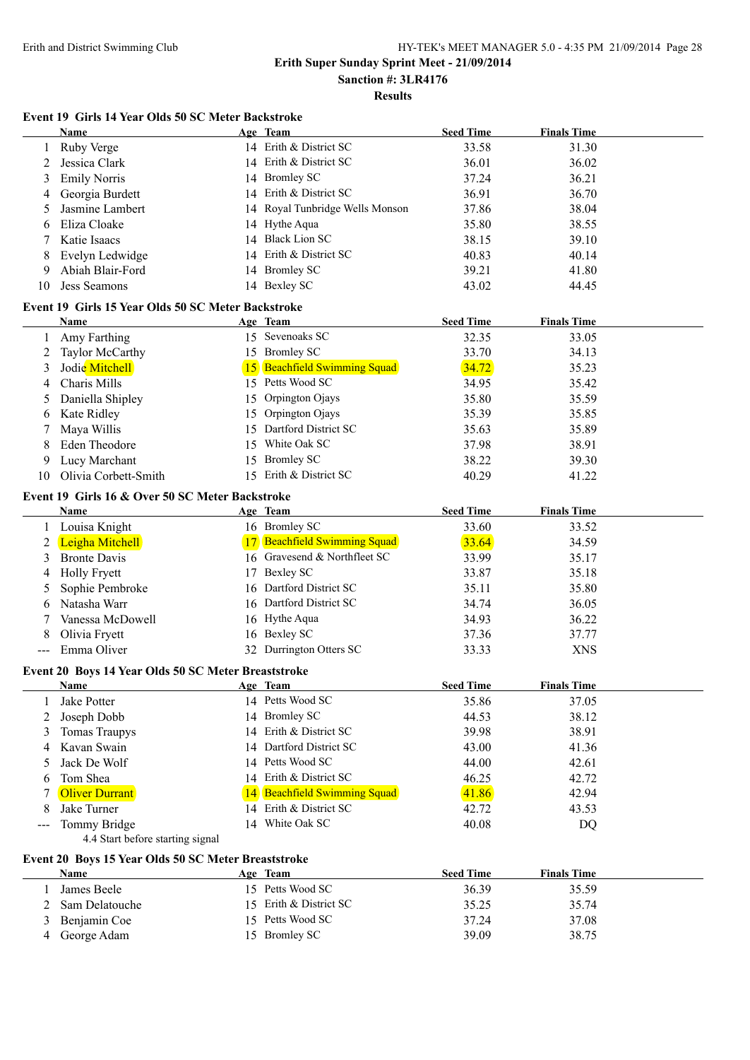**Results**

#### **Event 19 Girls 14 Year Olds 50 SC Meter Backstroke**

|       | Name                                                | Age Team                        | <b>Seed Time</b> | <b>Finals Time</b> |
|-------|-----------------------------------------------------|---------------------------------|------------------|--------------------|
|       | Ruby Verge                                          | 14 Erith & District SC          | 33.58            | 31.30              |
| 2     | Jessica Clark                                       | 14 Erith & District SC          | 36.01            | 36.02              |
| 3     | <b>Emily Norris</b>                                 | 14 Bromley SC                   | 37.24            | 36.21              |
| 4     | Georgia Burdett                                     | 14 Erith & District SC          | 36.91            | 36.70              |
| 5     | Jasmine Lambert                                     | 14 Royal Tunbridge Wells Monson | 37.86            | 38.04              |
| 6     | Eliza Cloake                                        | 14 Hythe Aqua                   | 35.80            | 38.55              |
|       | Katie Isaacs                                        | 14 Black Lion SC                | 38.15            | 39.10              |
| 8     | Evelyn Ledwidge                                     | 14 Erith & District SC          | 40.83            | 40.14              |
| 9     | Abiah Blair-Ford                                    | 14 Bromley SC                   | 39.21            | 41.80              |
| 10    | Jess Seamons                                        | 14 Bexley SC                    | 43.02            | 44.45              |
|       | Event 19 Girls 15 Year Olds 50 SC Meter Backstroke  |                                 |                  |                    |
|       | Name                                                | Age Team                        | <b>Seed Time</b> | <b>Finals Time</b> |
| 1     | Amy Farthing                                        | 15 Sevenoaks SC                 | 32.35            | 33.05              |
| 2     | Taylor McCarthy                                     | 15 Bromley SC                   | 33.70            | 34.13              |
| 3     | Jodie Mitchell                                      | 15 Beachfield Swimming Squad    | 34.72            | 35.23              |
| 4     | Charis Mills                                        | 15 Petts Wood SC                | 34.95            | 35.42              |
| 5     | Daniella Shipley                                    | 15 Orpington Ojays              | 35.80            | 35.59              |
| 6     | Kate Ridley                                         | 15 Orpington Ojays              | 35.39            | 35.85              |
| 7     | Maya Willis                                         | 15 Dartford District SC         | 35.63            | 35.89              |
| 8     | Eden Theodore                                       | 15 White Oak SC                 | 37.98            | 38.91              |
| 9     | Lucy Marchant                                       | 15 Bromley SC                   | 38.22            | 39.30              |
| 10    | Olivia Corbett-Smith                                | 15 Erith & District SC          | 40.29            | 41.22              |
|       | Event 19 Girls 16 & Over 50 SC Meter Backstroke     |                                 |                  |                    |
|       | Name                                                | Age Team                        | <b>Seed Time</b> | <b>Finals Time</b> |
|       | Louisa Knight                                       | 16 Bromley SC                   | 33.60            | 33.52              |
| 2     | Leigha Mitchell                                     | 17 Beachfield Swimming Squad    | 33.64            | 34.59              |
| 3     | <b>Bronte Davis</b>                                 | 16 Gravesend & Northfleet SC    | 33.99            | 35.17              |
| 4     | <b>Holly Fryett</b>                                 | 17 Bexley SC                    | 33.87            | 35.18              |
| 5     | Sophie Pembroke                                     | 16 Dartford District SC         | 35.11            | 35.80              |
| 6     | Natasha Warr                                        | 16 Dartford District SC         | 34.74            | 36.05              |
| 7     | Vanessa McDowell                                    | 16 Hythe Aqua                   | 34.93            | 36.22              |
| 8     | Olivia Fryett                                       | 16 Bexley SC                    | 37.36            | 37.77              |
| $---$ | Emma Oliver                                         | 32 Durrington Otters SC         | 33.33            | <b>XNS</b>         |
|       | Event 20 Boys 14 Year Olds 50 SC Meter Breaststroke |                                 |                  |                    |
|       | <b>Name</b>                                         | Age Team                        | <b>Seed Time</b> | <b>Finals Time</b> |
|       | Jake Potter                                         | 14 Petts Wood SC                | 35.86            | 37.05              |
| 2     | Joseph Dobb                                         | 14 Bromley SC                   | 44.53            | 38.12              |
| 3     | <b>Tomas Traupys</b>                                | 14 Erith & District SC          | 39.98            | 38.91              |
| 4     | Kavan Swain                                         | 14 Dartford District SC         | 43.00            | 41.36              |
| 5     | Jack De Wolf                                        | 14 Petts Wood SC                | 44.00            | 42.61              |
| 6     | Tom Shea                                            | 14 Erith & District SC          | 46.25            | 42.72              |
| 7     | <b>Oliver Durrant</b>                               | 14 Beachfield Swimming Squad    | 41.86            | 42.94              |
| 8     | Jake Turner                                         | 14 Erith & District SC          | 42.72            | 43.53              |
|       | Tommy Bridge<br>4.4 Start before starting signal    | 14 White Oak SC                 | 40.08            | DQ                 |
|       | Event 20 Boys 15 Year Olds 50 SC Meter Breaststroke |                                 |                  |                    |
|       | Name                                                | Age Team                        | <b>Seed Time</b> | <b>Finals Time</b> |
| 1     | James Beele                                         | 15 Petts Wood SC                | 36.39            | 35.59              |
| 2     | Sam Delatouche                                      | 15 Erith & District SC          | 35.25            | 35.74              |
| 3     | Benjamin Coe                                        | 15 Petts Wood SC                | 37.24            | 37.08              |
| 4     | George Adam                                         | 15 Bromley SC                   | 39.09            | 38.75              |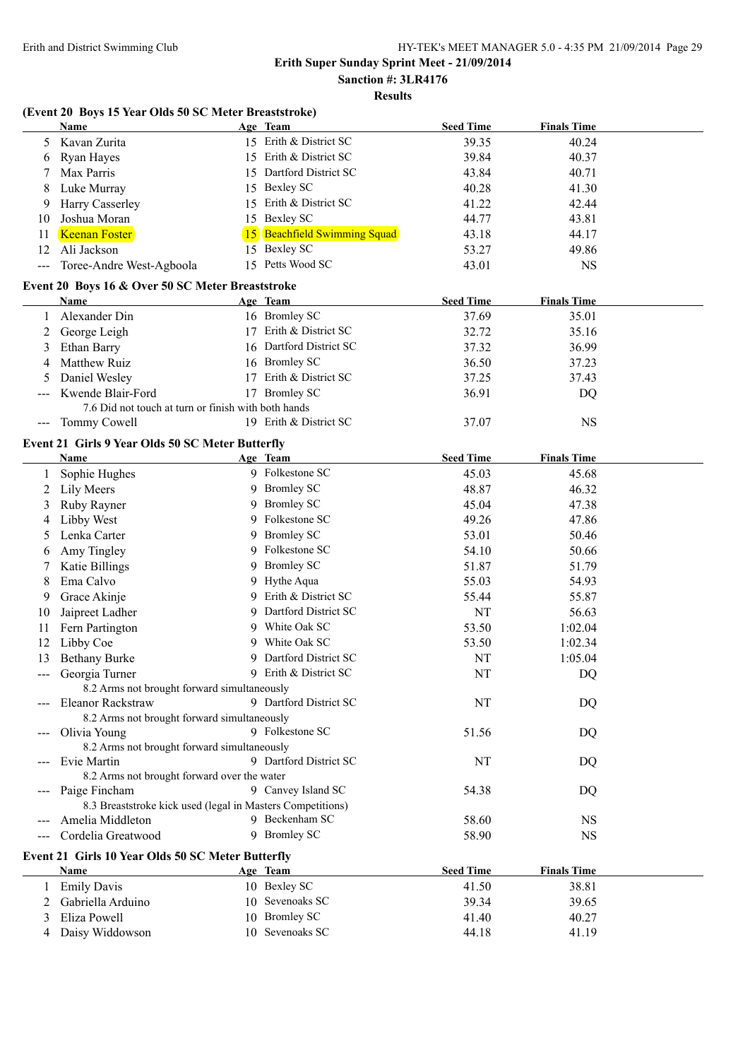**Sanction #: 3LR4176 Results**

#### **(Event 20 Boys 15 Year Olds 50 SC Meter Breaststroke)**

|                     | <b>Name</b>                                                | Age Team                     | <b>Seed Time</b> | <b>Finals Time</b> |  |
|---------------------|------------------------------------------------------------|------------------------------|------------------|--------------------|--|
| 5                   | Kavan Zurita                                               | 15 Erith & District SC       | 39.35            | 40.24              |  |
| 6                   | Ryan Hayes                                                 | 15 Erith & District SC       | 39.84            | 40.37              |  |
|                     | Max Parris                                                 | 15 Dartford District SC      | 43.84            | 40.71              |  |
| 8                   | Luke Murray                                                | 15 Bexley SC                 | 40.28            | 41.30              |  |
| 9                   | Harry Casserley                                            | 15 Erith & District SC       | 41.22            | 42.44              |  |
| 10                  | Joshua Moran                                               | 15 Bexley SC                 | 44.77            | 43.81              |  |
| 11                  | <b>Keenan Foster</b>                                       | 15 Beachfield Swimming Squad | 43.18            | 44.17              |  |
| 12                  | Ali Jackson                                                | 15 Bexley SC                 | 53.27            | 49.86              |  |
| $\qquad \qquad - -$ | Toree-Andre West-Agboola                                   | 15 Petts Wood SC             | 43.01            | <b>NS</b>          |  |
|                     |                                                            |                              |                  |                    |  |
|                     | Event 20 Boys 16 & Over 50 SC Meter Breaststroke           |                              |                  |                    |  |
|                     | Name                                                       | Age Team                     | <b>Seed Time</b> | <b>Finals Time</b> |  |
| 1                   | Alexander Din                                              | 16 Bromley SC                | 37.69            | 35.01              |  |
| 2                   | George Leigh                                               | 17 Erith & District SC       | 32.72            | 35.16              |  |
| 3                   | Ethan Barry                                                | 16 Dartford District SC      | 37.32            | 36.99              |  |
| 4                   | Matthew Ruiz                                               | 16 Bromley SC                | 36.50            | 37.23              |  |
| 5                   | Daniel Wesley                                              | 17 Erith & District SC       | 37.25            | 37.43              |  |
|                     | Kwende Blair-Ford                                          | 17 Bromley SC                | 36.91            | <b>DQ</b>          |  |
|                     | 7.6 Did not touch at turn or finish with both hands        |                              |                  |                    |  |
| $\qquad \qquad - -$ | Tommy Cowell                                               | 19 Erith & District SC       | 37.07            | <b>NS</b>          |  |
|                     | Event 21 Girls 9 Year Olds 50 SC Meter Butterfly           |                              |                  |                    |  |
|                     | Name                                                       | Age Team                     | <b>Seed Time</b> | <b>Finals Time</b> |  |
|                     | Sophie Hughes                                              | 9 Folkestone SC              | 45.03            | 45.68              |  |
| 2                   | Lily Meers                                                 | 9 Bromley SC                 | 48.87            | 46.32              |  |
| 3                   | Ruby Rayner                                                | 9 Bromley SC                 | 45.04            | 47.38              |  |
| 4                   | Libby West                                                 | 9 Folkestone SC              | 49.26            | 47.86              |  |
| 5                   | Lenka Carter                                               | 9 Bromley SC                 | 53.01            | 50.46              |  |
| 6                   | Amy Tingley                                                | 9 Folkestone SC              | 54.10            | 50.66              |  |
|                     | Katie Billings                                             | 9 Bromley SC                 | 51.87            | 51.79              |  |
| 8                   | Ema Calvo                                                  | 9 Hythe Aqua                 | 55.03            | 54.93              |  |
| 9                   | Grace Akinje                                               | 9 Erith & District SC        | 55.44            | 55.87              |  |
| 10                  | Jaipreet Ladher                                            | 9 Dartford District SC       | NT               | 56.63              |  |
| 11                  | Fern Partington                                            | 9 White Oak SC               | 53.50            | 1:02.04            |  |
| 12                  | Libby Coe                                                  | 9 White Oak SC               | 53.50            | 1:02.34            |  |
| 13                  | <b>Bethany Burke</b>                                       | 9 Dartford District SC       | NT               | 1:05.04            |  |
| $---$               | Georgia Turner                                             | 9 Erith & District SC        | NT               | DQ                 |  |
|                     | 8.2 Arms not brought forward simultaneously                |                              |                  |                    |  |
|                     | Eleanor Rackstraw                                          | 9 Dartford District SC       | NT               | <b>DQ</b>          |  |
|                     | 8.2 Arms not brought forward simultaneously                |                              |                  |                    |  |
|                     | Olivia Young                                               | 9 Folkestone SC              | 51.56            | DQ                 |  |
|                     | 8.2 Arms not brought forward simultaneously                |                              |                  |                    |  |
|                     | Evie Martin                                                | 9 Dartford District SC       | NT               | DQ                 |  |
|                     | 8.2 Arms not brought forward over the water                |                              |                  |                    |  |
|                     | Paige Fincham                                              | 9 Canvey Island SC           | 54.38            | DQ                 |  |
|                     | 8.3 Breaststroke kick used (legal in Masters Competitions) |                              |                  |                    |  |
|                     | Amelia Middleton                                           | 9 Beckenham SC               | 58.60            | <b>NS</b>          |  |
|                     | Cordelia Greatwood                                         | 9 Bromley SC                 | 58.90            | <b>NS</b>          |  |
|                     |                                                            |                              |                  |                    |  |
|                     | Event 21 Girls 10 Year Olds 50 SC Meter Butterfly          |                              |                  |                    |  |
|                     | Name                                                       | Age Team                     | <b>Seed Time</b> | <b>Finals Time</b> |  |
|                     | <b>Emily Davis</b>                                         | 10 Bexley SC                 | 41.50            | 38.81              |  |
| 2                   | Gabriella Arduino                                          | 10 Sevenoaks SC              | 39.34            | 39.65              |  |
| 3                   | Eliza Powell                                               | 10 Bromley SC                | 41.40            | 40.27              |  |
| 4                   | Daisy Widdowson                                            | 10 Sevenoaks SC              | 44.18            | 41.19              |  |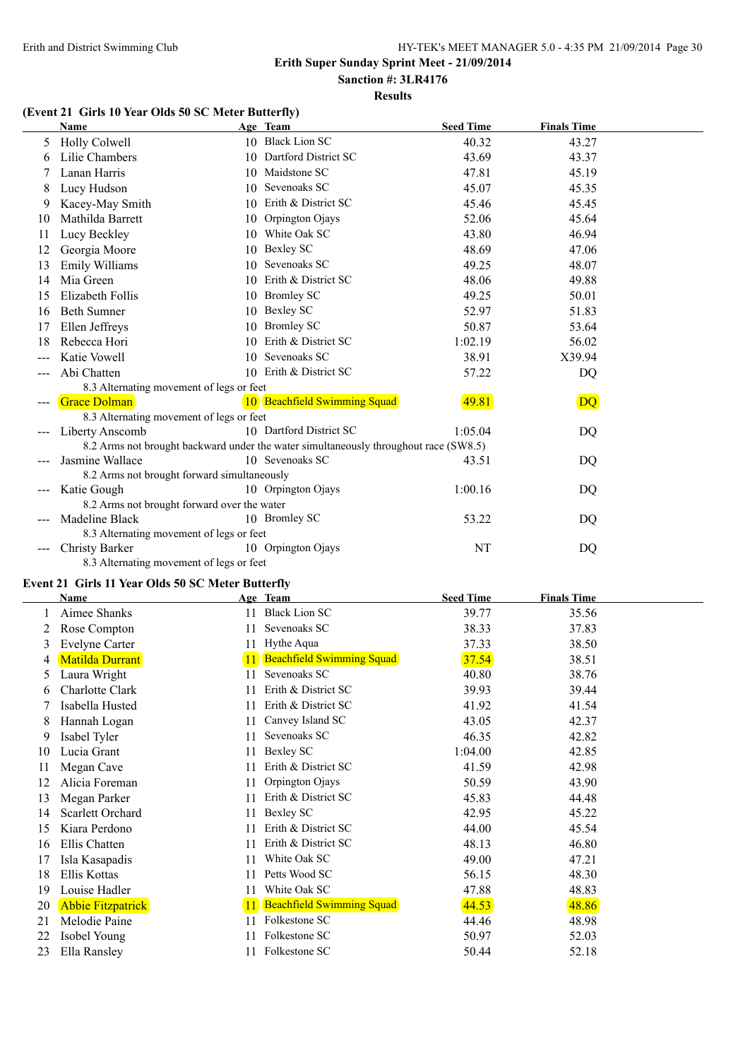# **Sanction #: 3LR4176**

# **Results**

## **(Event 21 Girls 10 Year Olds 50 SC Meter Butterfly)**

|                            | Name                                        |    | Age Team                                                                             | <b>Seed Time</b> | <b>Finals Time</b> |  |
|----------------------------|---------------------------------------------|----|--------------------------------------------------------------------------------------|------------------|--------------------|--|
| 5                          | Holly Colwell                               |    | 10 Black Lion SC                                                                     | 40.32            | 43.27              |  |
| 6                          | Lilie Chambers                              |    | 10 Dartford District SC                                                              | 43.69            | 43.37              |  |
|                            | Lanan Harris                                |    | 10 Maidstone SC                                                                      | 47.81            | 45.19              |  |
| 8                          | Lucy Hudson                                 |    | 10 Sevenoaks SC                                                                      | 45.07            | 45.35              |  |
| 9                          | Kacey-May Smith                             | 10 | Erith & District SC                                                                  | 45.46            | 45.45              |  |
| 10                         | Mathilda Barrett                            | 10 | Orpington Ojays                                                                      | 52.06            | 45.64              |  |
| 11                         | Lucy Beckley                                |    | 10 White Oak SC                                                                      | 43.80            | 46.94              |  |
| 12                         | Georgia Moore                               |    | 10 Bexley SC                                                                         | 48.69            | 47.06              |  |
| 13                         | Emily Williams                              | 10 | Sevenoaks SC                                                                         | 49.25            | 48.07              |  |
| 14                         | Mia Green                                   |    | 10 Erith & District SC                                                               | 48.06            | 49.88              |  |
| 15                         | Elizabeth Follis                            |    | 10 Bromley SC                                                                        | 49.25            | 50.01              |  |
| 16                         | <b>Beth Sumner</b>                          | 10 | Bexley SC                                                                            | 52.97            | 51.83              |  |
| 17                         | Ellen Jeffreys                              | 10 | <b>Bromley SC</b>                                                                    | 50.87            | 53.64              |  |
| 18                         | Rebecca Hori                                | 10 | Erith & District SC                                                                  | 1:02.19          | 56.02              |  |
|                            | Katie Vowell                                | 10 | Sevenoaks SC                                                                         | 38.91            | X39.94             |  |
|                            | Abi Chatten                                 |    | 10 Erith & District SC                                                               | 57.22            | DQ                 |  |
|                            | 8.3 Alternating movement of legs or feet    |    |                                                                                      |                  |                    |  |
|                            | Grace Dolman                                |    | 10 Beachfield Swimming Squad                                                         | 49.81            | DQ                 |  |
|                            | 8.3 Alternating movement of legs or feet    |    |                                                                                      |                  |                    |  |
|                            | Liberty Anscomb                             |    | 10 Dartford District SC                                                              | 1:05.04          | DQ                 |  |
|                            |                                             |    | 8.2 Arms not brought backward under the water simultaneously throughout race (SW8.5) |                  |                    |  |
|                            | Jasmine Wallace                             |    | 10 Sevenoaks SC                                                                      | 43.51            | DQ                 |  |
|                            | 8.2 Arms not brought forward simultaneously |    |                                                                                      |                  |                    |  |
| $\qquad \qquad \cdots$     | Katie Gough                                 |    | 10 Orpington Ojays                                                                   | 1:00.16          | DQ                 |  |
|                            | 8.2 Arms not brought forward over the water |    |                                                                                      |                  |                    |  |
|                            | Madeline Black                              |    | 10 Bromley SC                                                                        | 53.22            | DQ                 |  |
|                            | 8.3 Alternating movement of legs or feet    |    |                                                                                      |                  |                    |  |
| $\qquad \qquad \text{---}$ | <b>Christy Barker</b>                       |    | 10 Orpington Ojays                                                                   | NT               | DQ                 |  |
|                            | 8.3 Alternating movement of legs or feet    |    |                                                                                      |                  |                    |  |

#### **Event 21 Girls 11 Year Olds 50 SC Meter Butterfly**

|    | Name                     |    | Age Team                         | <b>Seed Time</b> | <b>Finals Time</b> |
|----|--------------------------|----|----------------------------------|------------------|--------------------|
|    | Aimee Shanks             | 11 | <b>Black Lion SC</b>             | 39.77            | 35.56              |
| 2  | Rose Compton             | 11 | Sevenoaks SC                     | 38.33            | 37.83              |
| 3  | <b>Evelyne Carter</b>    | 11 | Hythe Aqua                       | 37.33            | 38.50              |
| 4  | <b>Matilda Durrant</b>   | 11 | <b>Beachfield Swimming Squad</b> | 37.54            | 38.51              |
| 5  | Laura Wright             | 11 | Sevenoaks SC                     | 40.80            | 38.76              |
| 6  | Charlotte Clark          | 11 | Erith & District SC              | 39.93            | 39.44              |
|    | Isabella Husted          | 11 | Erith & District SC              | 41.92            | 41.54              |
| 8  | Hannah Logan             | 11 | Canvey Island SC                 | 43.05            | 42.37              |
| 9  | Isabel Tyler             | 11 | Sevenoaks SC                     | 46.35            | 42.82              |
| 10 | Lucia Grant              | 11 | Bexley SC                        | 1:04.00          | 42.85              |
| 11 | Megan Cave               | 11 | Erith & District SC              | 41.59            | 42.98              |
| 12 | Alicia Foreman           | 11 | Orpington Ojays                  | 50.59            | 43.90              |
| 13 | Megan Parker             | 11 | Erith & District SC              | 45.83            | 44.48              |
| 14 | Scarlett Orchard         | 11 | Bexley SC                        | 42.95            | 45.22              |
| 15 | Kiara Perdono            | 11 | Erith & District SC              | 44.00            | 45.54              |
| 16 | Ellis Chatten            | 11 | Erith & District SC              | 48.13            | 46.80              |
| 17 | Isla Kasapadis           | 11 | White Oak SC                     | 49.00            | 47.21              |
| 18 | Ellis Kottas             | 11 | Petts Wood SC                    | 56.15            | 48.30              |
| 19 | Louise Hadler            | 11 | White Oak SC                     | 47.88            | 48.83              |
| 20 | <b>Abbie Fitzpatrick</b> | 11 | <b>Beachfield Swimming Squad</b> | 44.53            | 48.86              |
| 21 | Melodie Paine            |    | Folkestone SC                    | 44.46            | 48.98              |
| 22 | Isobel Young             |    | Folkestone SC                    | 50.97            | 52.03              |
| 23 | Ella Ransley             | 11 | Folkestone SC                    | 50.44            | 52.18              |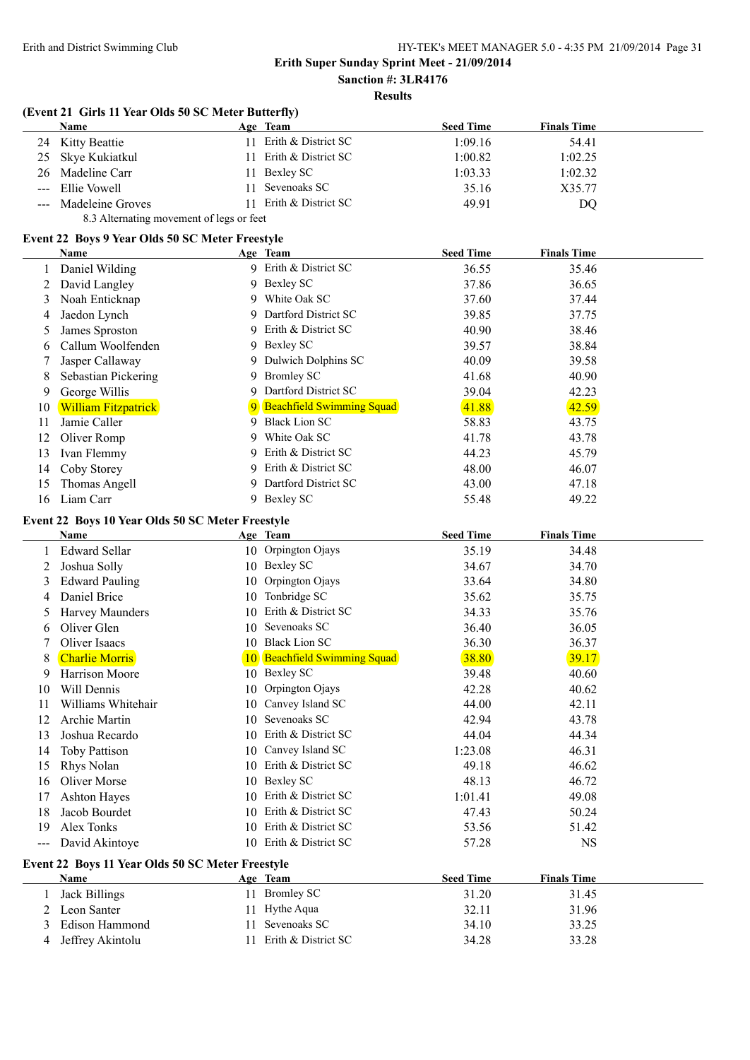# **Sanction #: 3LR4176**

## **Results**

| <b>Name</b><br>Age Team<br><b>Seed Time</b><br><b>Finals Time</b><br>11 Erith & District SC<br>Kitty Beattie<br>1:09.16<br>24<br>Erith & District SC<br>Skye Kukiatkul<br>1:00.82<br>1:02.25<br>25<br>11<br><b>Bexley SC</b><br>Madeline Carr<br>26<br>1:03.33<br>1:02.32<br>11<br>Sevenoaks SC<br>Ellie Vowell<br>35.16<br>X35.77<br>11<br>---<br>Erith & District SC<br>49.91<br>Madeleine Groves<br>11<br>$\qquad \qquad - -$<br>8.3 Alternating movement of legs or feet<br>Event 22 Boys 9 Year Olds 50 SC Meter Freestyle<br><b>Seed Time</b><br><b>Finals Time</b><br>Name<br>Age Team<br>9 Erith & District SC<br>Daniel Wilding<br>36.55<br>$\mathbf{1}$<br>9 Bexley SC<br>37.86<br>David Langley<br>2<br>9 White Oak SC<br>Noah Enticknap<br>37.60<br>3<br>Dartford District SC<br>Jaedon Lynch<br>9<br>39.85<br>4<br>9 Erith & District SC<br>James Sproston<br>40.90<br>5<br>Callum Woolfenden<br>9 Bexley SC<br>39.57<br>6<br>9 Dulwich Dolphins SC<br>Jasper Callaway<br>40.09<br>9 Bromley SC<br>Sebastian Pickering<br>41.68<br>8<br>9 Dartford District SC<br>George Willis<br>39.04<br>9<br><b>Beachfield Swimming Squad</b><br>41.88<br><b>William Fitzpatrick</b><br>10<br>9 Black Lion SC<br>Jamie Caller<br>58.83<br>11<br>White Oak SC<br>Oliver Romp<br>41.78<br>12<br>9.<br>Erith & District SC<br>44.23<br>Ivan Flemmy<br>13<br>9.<br>Erith & District SC<br>Coby Storey<br>48.00<br>14<br>9.<br>9 Dartford District SC<br>Thomas Angell<br>43.00<br>15<br>9 Bexley SC<br>Liam Carr<br>16<br>55.48 | 54.41<br>DQ<br>35.46<br>36.65<br>37.44<br>37.75<br>38.46<br>38.84<br>39.58<br>40.90<br>42.23<br>42.59<br>43.75 |
|------------------------------------------------------------------------------------------------------------------------------------------------------------------------------------------------------------------------------------------------------------------------------------------------------------------------------------------------------------------------------------------------------------------------------------------------------------------------------------------------------------------------------------------------------------------------------------------------------------------------------------------------------------------------------------------------------------------------------------------------------------------------------------------------------------------------------------------------------------------------------------------------------------------------------------------------------------------------------------------------------------------------------------------------------------------------------------------------------------------------------------------------------------------------------------------------------------------------------------------------------------------------------------------------------------------------------------------------------------------------------------------------------------------------------------------------------------------------------------------------------------------------------|----------------------------------------------------------------------------------------------------------------|
|                                                                                                                                                                                                                                                                                                                                                                                                                                                                                                                                                                                                                                                                                                                                                                                                                                                                                                                                                                                                                                                                                                                                                                                                                                                                                                                                                                                                                                                                                                                              |                                                                                                                |
|                                                                                                                                                                                                                                                                                                                                                                                                                                                                                                                                                                                                                                                                                                                                                                                                                                                                                                                                                                                                                                                                                                                                                                                                                                                                                                                                                                                                                                                                                                                              |                                                                                                                |
|                                                                                                                                                                                                                                                                                                                                                                                                                                                                                                                                                                                                                                                                                                                                                                                                                                                                                                                                                                                                                                                                                                                                                                                                                                                                                                                                                                                                                                                                                                                              |                                                                                                                |
|                                                                                                                                                                                                                                                                                                                                                                                                                                                                                                                                                                                                                                                                                                                                                                                                                                                                                                                                                                                                                                                                                                                                                                                                                                                                                                                                                                                                                                                                                                                              |                                                                                                                |
|                                                                                                                                                                                                                                                                                                                                                                                                                                                                                                                                                                                                                                                                                                                                                                                                                                                                                                                                                                                                                                                                                                                                                                                                                                                                                                                                                                                                                                                                                                                              |                                                                                                                |
|                                                                                                                                                                                                                                                                                                                                                                                                                                                                                                                                                                                                                                                                                                                                                                                                                                                                                                                                                                                                                                                                                                                                                                                                                                                                                                                                                                                                                                                                                                                              |                                                                                                                |
|                                                                                                                                                                                                                                                                                                                                                                                                                                                                                                                                                                                                                                                                                                                                                                                                                                                                                                                                                                                                                                                                                                                                                                                                                                                                                                                                                                                                                                                                                                                              |                                                                                                                |
|                                                                                                                                                                                                                                                                                                                                                                                                                                                                                                                                                                                                                                                                                                                                                                                                                                                                                                                                                                                                                                                                                                                                                                                                                                                                                                                                                                                                                                                                                                                              |                                                                                                                |
|                                                                                                                                                                                                                                                                                                                                                                                                                                                                                                                                                                                                                                                                                                                                                                                                                                                                                                                                                                                                                                                                                                                                                                                                                                                                                                                                                                                                                                                                                                                              |                                                                                                                |
|                                                                                                                                                                                                                                                                                                                                                                                                                                                                                                                                                                                                                                                                                                                                                                                                                                                                                                                                                                                                                                                                                                                                                                                                                                                                                                                                                                                                                                                                                                                              |                                                                                                                |
|                                                                                                                                                                                                                                                                                                                                                                                                                                                                                                                                                                                                                                                                                                                                                                                                                                                                                                                                                                                                                                                                                                                                                                                                                                                                                                                                                                                                                                                                                                                              |                                                                                                                |
|                                                                                                                                                                                                                                                                                                                                                                                                                                                                                                                                                                                                                                                                                                                                                                                                                                                                                                                                                                                                                                                                                                                                                                                                                                                                                                                                                                                                                                                                                                                              |                                                                                                                |
|                                                                                                                                                                                                                                                                                                                                                                                                                                                                                                                                                                                                                                                                                                                                                                                                                                                                                                                                                                                                                                                                                                                                                                                                                                                                                                                                                                                                                                                                                                                              |                                                                                                                |
|                                                                                                                                                                                                                                                                                                                                                                                                                                                                                                                                                                                                                                                                                                                                                                                                                                                                                                                                                                                                                                                                                                                                                                                                                                                                                                                                                                                                                                                                                                                              |                                                                                                                |
|                                                                                                                                                                                                                                                                                                                                                                                                                                                                                                                                                                                                                                                                                                                                                                                                                                                                                                                                                                                                                                                                                                                                                                                                                                                                                                                                                                                                                                                                                                                              |                                                                                                                |
|                                                                                                                                                                                                                                                                                                                                                                                                                                                                                                                                                                                                                                                                                                                                                                                                                                                                                                                                                                                                                                                                                                                                                                                                                                                                                                                                                                                                                                                                                                                              |                                                                                                                |
|                                                                                                                                                                                                                                                                                                                                                                                                                                                                                                                                                                                                                                                                                                                                                                                                                                                                                                                                                                                                                                                                                                                                                                                                                                                                                                                                                                                                                                                                                                                              |                                                                                                                |
|                                                                                                                                                                                                                                                                                                                                                                                                                                                                                                                                                                                                                                                                                                                                                                                                                                                                                                                                                                                                                                                                                                                                                                                                                                                                                                                                                                                                                                                                                                                              |                                                                                                                |
|                                                                                                                                                                                                                                                                                                                                                                                                                                                                                                                                                                                                                                                                                                                                                                                                                                                                                                                                                                                                                                                                                                                                                                                                                                                                                                                                                                                                                                                                                                                              |                                                                                                                |
|                                                                                                                                                                                                                                                                                                                                                                                                                                                                                                                                                                                                                                                                                                                                                                                                                                                                                                                                                                                                                                                                                                                                                                                                                                                                                                                                                                                                                                                                                                                              |                                                                                                                |
|                                                                                                                                                                                                                                                                                                                                                                                                                                                                                                                                                                                                                                                                                                                                                                                                                                                                                                                                                                                                                                                                                                                                                                                                                                                                                                                                                                                                                                                                                                                              | 43.78                                                                                                          |
|                                                                                                                                                                                                                                                                                                                                                                                                                                                                                                                                                                                                                                                                                                                                                                                                                                                                                                                                                                                                                                                                                                                                                                                                                                                                                                                                                                                                                                                                                                                              | 45.79                                                                                                          |
|                                                                                                                                                                                                                                                                                                                                                                                                                                                                                                                                                                                                                                                                                                                                                                                                                                                                                                                                                                                                                                                                                                                                                                                                                                                                                                                                                                                                                                                                                                                              | 46.07                                                                                                          |
|                                                                                                                                                                                                                                                                                                                                                                                                                                                                                                                                                                                                                                                                                                                                                                                                                                                                                                                                                                                                                                                                                                                                                                                                                                                                                                                                                                                                                                                                                                                              | 47.18                                                                                                          |
|                                                                                                                                                                                                                                                                                                                                                                                                                                                                                                                                                                                                                                                                                                                                                                                                                                                                                                                                                                                                                                                                                                                                                                                                                                                                                                                                                                                                                                                                                                                              | 49.22                                                                                                          |
| Event 22 Boys 10 Year Olds 50 SC Meter Freestyle                                                                                                                                                                                                                                                                                                                                                                                                                                                                                                                                                                                                                                                                                                                                                                                                                                                                                                                                                                                                                                                                                                                                                                                                                                                                                                                                                                                                                                                                             |                                                                                                                |
| Name<br><b>Seed Time</b><br><b>Finals Time</b><br>Age Team                                                                                                                                                                                                                                                                                                                                                                                                                                                                                                                                                                                                                                                                                                                                                                                                                                                                                                                                                                                                                                                                                                                                                                                                                                                                                                                                                                                                                                                                   |                                                                                                                |
| <b>Edward Sellar</b><br>10 Orpington Ojays<br>35.19                                                                                                                                                                                                                                                                                                                                                                                                                                                                                                                                                                                                                                                                                                                                                                                                                                                                                                                                                                                                                                                                                                                                                                                                                                                                                                                                                                                                                                                                          | 34.48                                                                                                          |
| 10 Bexley SC<br>Joshua Solly<br>34.67<br>2                                                                                                                                                                                                                                                                                                                                                                                                                                                                                                                                                                                                                                                                                                                                                                                                                                                                                                                                                                                                                                                                                                                                                                                                                                                                                                                                                                                                                                                                                   | 34.70                                                                                                          |
| 10 Orpington Ojays<br><b>Edward Pauling</b><br>33.64<br>3                                                                                                                                                                                                                                                                                                                                                                                                                                                                                                                                                                                                                                                                                                                                                                                                                                                                                                                                                                                                                                                                                                                                                                                                                                                                                                                                                                                                                                                                    | 34.80                                                                                                          |
| 10 Tonbridge SC<br>Daniel Brice<br>35.62<br>4                                                                                                                                                                                                                                                                                                                                                                                                                                                                                                                                                                                                                                                                                                                                                                                                                                                                                                                                                                                                                                                                                                                                                                                                                                                                                                                                                                                                                                                                                | 35.75                                                                                                          |
| Erith & District SC<br>Harvey Maunders<br>34.33<br>10<br>$\mathfrak{Z}$                                                                                                                                                                                                                                                                                                                                                                                                                                                                                                                                                                                                                                                                                                                                                                                                                                                                                                                                                                                                                                                                                                                                                                                                                                                                                                                                                                                                                                                      | 35.76                                                                                                          |
| 10 Sevenoaks SC<br>Oliver Glen<br>36.40<br>6                                                                                                                                                                                                                                                                                                                                                                                                                                                                                                                                                                                                                                                                                                                                                                                                                                                                                                                                                                                                                                                                                                                                                                                                                                                                                                                                                                                                                                                                                 | 36.05                                                                                                          |
| 10 Black Lion SC<br>Oliver Isaacs<br>36.30                                                                                                                                                                                                                                                                                                                                                                                                                                                                                                                                                                                                                                                                                                                                                                                                                                                                                                                                                                                                                                                                                                                                                                                                                                                                                                                                                                                                                                                                                   | 36.37                                                                                                          |
| 10 Beachfield Swimming Squad<br>38.80<br>8<br><b>Charlie Morris</b>                                                                                                                                                                                                                                                                                                                                                                                                                                                                                                                                                                                                                                                                                                                                                                                                                                                                                                                                                                                                                                                                                                                                                                                                                                                                                                                                                                                                                                                          | 39.17                                                                                                          |
| Harrison Moore<br>10 Bexley SC<br>39.48<br>9                                                                                                                                                                                                                                                                                                                                                                                                                                                                                                                                                                                                                                                                                                                                                                                                                                                                                                                                                                                                                                                                                                                                                                                                                                                                                                                                                                                                                                                                                 | 40.60                                                                                                          |
| Will Dennis<br>10 Orpington Ojays<br>42.28<br>10                                                                                                                                                                                                                                                                                                                                                                                                                                                                                                                                                                                                                                                                                                                                                                                                                                                                                                                                                                                                                                                                                                                                                                                                                                                                                                                                                                                                                                                                             | 40.62                                                                                                          |
| 10 Canvey Island SC<br>Williams Whitehair<br>44.00<br>11                                                                                                                                                                                                                                                                                                                                                                                                                                                                                                                                                                                                                                                                                                                                                                                                                                                                                                                                                                                                                                                                                                                                                                                                                                                                                                                                                                                                                                                                     | 42.11                                                                                                          |
| 10 Sevenoaks SC<br>12<br>Archie Martin<br>42.94                                                                                                                                                                                                                                                                                                                                                                                                                                                                                                                                                                                                                                                                                                                                                                                                                                                                                                                                                                                                                                                                                                                                                                                                                                                                                                                                                                                                                                                                              | 43.78                                                                                                          |
| Erith & District SC<br>44.04<br>13<br>Joshua Recardo<br>10                                                                                                                                                                                                                                                                                                                                                                                                                                                                                                                                                                                                                                                                                                                                                                                                                                                                                                                                                                                                                                                                                                                                                                                                                                                                                                                                                                                                                                                                   |                                                                                                                |
|                                                                                                                                                                                                                                                                                                                                                                                                                                                                                                                                                                                                                                                                                                                                                                                                                                                                                                                                                                                                                                                                                                                                                                                                                                                                                                                                                                                                                                                                                                                              | 44.34                                                                                                          |
| 10 Canvey Island SC<br>1:23.08<br><b>Toby Pattison</b><br>14                                                                                                                                                                                                                                                                                                                                                                                                                                                                                                                                                                                                                                                                                                                                                                                                                                                                                                                                                                                                                                                                                                                                                                                                                                                                                                                                                                                                                                                                 | 46.31                                                                                                          |
| Erith & District SC<br>Rhys Nolan<br>49.18<br>15<br>10                                                                                                                                                                                                                                                                                                                                                                                                                                                                                                                                                                                                                                                                                                                                                                                                                                                                                                                                                                                                                                                                                                                                                                                                                                                                                                                                                                                                                                                                       | 46.62                                                                                                          |
| Oliver Morse<br>10 Bexley SC<br>48.13<br>16                                                                                                                                                                                                                                                                                                                                                                                                                                                                                                                                                                                                                                                                                                                                                                                                                                                                                                                                                                                                                                                                                                                                                                                                                                                                                                                                                                                                                                                                                  | 46.72                                                                                                          |
| Erith & District SC<br>1:01.41<br><b>Ashton Hayes</b><br>17<br>10                                                                                                                                                                                                                                                                                                                                                                                                                                                                                                                                                                                                                                                                                                                                                                                                                                                                                                                                                                                                                                                                                                                                                                                                                                                                                                                                                                                                                                                            | 49.08                                                                                                          |
| Erith & District SC<br>18<br>Jacob Bourdet<br>47.43<br>10                                                                                                                                                                                                                                                                                                                                                                                                                                                                                                                                                                                                                                                                                                                                                                                                                                                                                                                                                                                                                                                                                                                                                                                                                                                                                                                                                                                                                                                                    | 50.24                                                                                                          |
| Alex Tonks<br>10 Erith & District SC<br>19<br>53.56                                                                                                                                                                                                                                                                                                                                                                                                                                                                                                                                                                                                                                                                                                                                                                                                                                                                                                                                                                                                                                                                                                                                                                                                                                                                                                                                                                                                                                                                          | 51.42                                                                                                          |
| 10 Erith & District SC<br>David Akintoye<br>57.28<br>$--$                                                                                                                                                                                                                                                                                                                                                                                                                                                                                                                                                                                                                                                                                                                                                                                                                                                                                                                                                                                                                                                                                                                                                                                                                                                                                                                                                                                                                                                                    | <b>NS</b>                                                                                                      |
| Event 22 Boys 11 Year Olds 50 SC Meter Freestyle                                                                                                                                                                                                                                                                                                                                                                                                                                                                                                                                                                                                                                                                                                                                                                                                                                                                                                                                                                                                                                                                                                                                                                                                                                                                                                                                                                                                                                                                             |                                                                                                                |
| <b>Seed Time</b><br><b>Finals Time</b><br>Name<br>Age Team                                                                                                                                                                                                                                                                                                                                                                                                                                                                                                                                                                                                                                                                                                                                                                                                                                                                                                                                                                                                                                                                                                                                                                                                                                                                                                                                                                                                                                                                   |                                                                                                                |
| 11 Bromley SC<br>31.20<br><b>Jack Billings</b><br>1                                                                                                                                                                                                                                                                                                                                                                                                                                                                                                                                                                                                                                                                                                                                                                                                                                                                                                                                                                                                                                                                                                                                                                                                                                                                                                                                                                                                                                                                          | 31.45                                                                                                          |
| Hythe Aqua<br>Leon Santer<br>32.11<br>2<br>11                                                                                                                                                                                                                                                                                                                                                                                                                                                                                                                                                                                                                                                                                                                                                                                                                                                                                                                                                                                                                                                                                                                                                                                                                                                                                                                                                                                                                                                                                | 31.96                                                                                                          |
| Sevenoaks SC<br>Edison Hammond<br>34.10<br>3<br>11<br>Erith & District SC<br>Jeffrey Akintolu<br>34.28                                                                                                                                                                                                                                                                                                                                                                                                                                                                                                                                                                                                                                                                                                                                                                                                                                                                                                                                                                                                                                                                                                                                                                                                                                                                                                                                                                                                                       | 33.25<br>33.28                                                                                                 |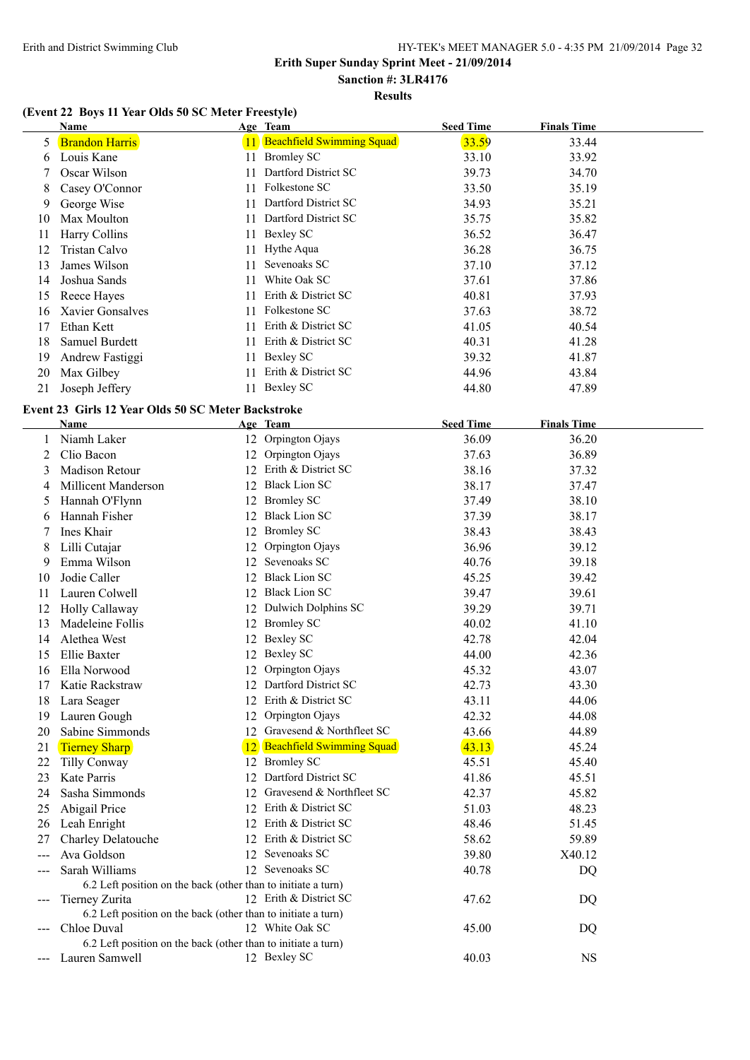# **Sanction #: 3LR4176**

# **Results**

## **(Event 22 Boys 11 Year Olds 50 SC Meter Freestyle)**

|    | Name                  |     | Age Team                         | <b>Seed Time</b> | <b>Finals Time</b> |  |
|----|-----------------------|-----|----------------------------------|------------------|--------------------|--|
| 5  | <b>Brandon Harris</b> |     | <b>Beachfield Swimming Squad</b> | 33.59            | 33.44              |  |
| 6  | Louis Kane            | 11  | <b>Bromley SC</b>                | 33.10            | 33.92              |  |
|    | Oscar Wilson          | 11  | Dartford District SC             | 39.73            | 34.70              |  |
| 8  | Casey O'Connor        | 11  | Folkestone SC                    | 33.50            | 35.19              |  |
| 9  | George Wise           | 11  | Dartford District SC             | 34.93            | 35.21              |  |
| 10 | Max Moulton           | 11. | Dartford District SC             | 35.75            | 35.82              |  |
| 11 | Harry Collins         | 11- | Bexley SC                        | 36.52            | 36.47              |  |
| 12 | Tristan Calvo         | 11- | Hythe Aqua                       | 36.28            | 36.75              |  |
| 13 | James Wilson          | 11  | Sevenoaks SC                     | 37.10            | 37.12              |  |
| 14 | Joshua Sands          | 11. | White Oak SC                     | 37.61            | 37.86              |  |
| 15 | Reece Hayes           | 11  | Erith & District SC              | 40.81            | 37.93              |  |
| 16 | Xavier Gonsalves      | 11  | Folkestone SC                    | 37.63            | 38.72              |  |
| 17 | Ethan Kett            | 11  | Erith & District SC              | 41.05            | 40.54              |  |
| 18 | Samuel Burdett        | 11  | Erith & District SC              | 40.31            | 41.28              |  |
| 19 | Andrew Fastiggi       | 11  | Bexley SC                        | 39.32            | 41.87              |  |
| 20 | Max Gilbey            |     | Erith & District SC              | 44.96            | 43.84              |  |
| 21 | Joseph Jeffery        | 11. | Bexley SC                        | 44.80            | 47.89              |  |

#### **Event 23 Girls 12 Year Olds 50 SC Meter Backstroke**

|     | <b>Name</b>                                                   |    | Age Team                         | <b>Seed Time</b> | <b>Finals Time</b> |
|-----|---------------------------------------------------------------|----|----------------------------------|------------------|--------------------|
| 1   | Niamh Laker                                                   |    | 12 Orpington Ojays               | 36.09            | 36.20              |
| 2   | Clio Bacon                                                    |    | 12 Orpington Ojays               | 37.63            | 36.89              |
| 3   | Madison Retour                                                |    | 12 Erith & District SC           | 38.16            | 37.32              |
| 4   | Millicent Manderson                                           |    | 12 Black Lion SC                 | 38.17            | 37.47              |
| 5   | Hannah O'Flynn                                                |    | 12 Bromley SC                    | 37.49            | 38.10              |
| 6   | Hannah Fisher                                                 |    | 12 Black Lion SC                 | 37.39            | 38.17              |
| 7   | Ines Khair                                                    |    | 12 Bromley SC                    | 38.43            | 38.43              |
| 8   | Lilli Cutajar                                                 | 12 | Orpington Ojays                  | 36.96            | 39.12              |
| 9   | Emma Wilson                                                   | 12 | Sevenoaks SC                     | 40.76            | 39.18              |
| 10  | Jodie Caller                                                  |    | 12 Black Lion SC                 | 45.25            | 39.42              |
| 11  | Lauren Colwell                                                |    | 12 Black Lion SC                 | 39.47            | 39.61              |
| 12  | Holly Callaway                                                |    | 12 Dulwich Dolphins SC           | 39.29            | 39.71              |
| 13  | Madeleine Follis                                              |    | 12 Bromley SC                    | 40.02            | 41.10              |
| 14  | Alethea West                                                  |    | 12 Bexley SC                     | 42.78            | 42.04              |
| 15  | Ellie Baxter                                                  |    | 12 Bexley SC                     | 44.00            | 42.36              |
| 16  | Ella Norwood                                                  |    | 12 Orpington Ojays               | 45.32            | 43.07              |
| 17  | Katie Rackstraw                                               |    | 12 Dartford District SC          | 42.73            | 43.30              |
| 18  | Lara Seager                                                   |    | 12 Erith & District SC           | 43.11            | 44.06              |
| 19  | Lauren Gough                                                  | 12 | Orpington Ojays                  | 42.32            | 44.08              |
| 20  | Sabine Simmonds                                               |    | 12 Gravesend & Northfleet SC     | 43.66            | 44.89              |
| 21  | <b>Tierney Sharp</b>                                          | 12 | <b>Beachfield Swimming Squad</b> | 43.13            | 45.24              |
| 22  | Tilly Conway                                                  |    | 12 Bromley SC                    | 45.51            | 45.40              |
| 23  | <b>Kate Parris</b>                                            |    | 12 Dartford District SC          | 41.86            | 45.51              |
| 24  | Sasha Simmonds                                                |    | 12 Gravesend & Northfleet SC     | 42.37            | 45.82              |
| 25  | Abigail Price                                                 |    | 12 Erith & District SC           | 51.03            | 48.23              |
| 26  | Leah Enright                                                  |    | 12 Erith & District SC           | 48.46            | 51.45              |
| 27  | Charley Delatouche                                            |    | 12 Erith & District SC           | 58.62            | 59.89              |
|     | Ava Goldson                                                   |    | 12 Sevenoaks SC                  | 39.80            | X40.12             |
| --- | Sarah Williams                                                |    | 12 Sevenoaks SC                  | 40.78            | DQ                 |
|     | 6.2 Left position on the back (other than to initiate a turn) |    |                                  |                  |                    |
|     | Tierney Zurita                                                |    | 12 Erith & District SC           | 47.62            | DQ                 |
|     | 6.2 Left position on the back (other than to initiate a turn) |    |                                  |                  |                    |
|     | Chloe Duval                                                   |    | 12 White Oak SC                  | 45.00            | DQ                 |
|     | 6.2 Left position on the back (other than to initiate a turn) |    |                                  |                  |                    |
|     | Lauren Samwell                                                |    | 12 Bexley SC                     | 40.03            | <b>NS</b>          |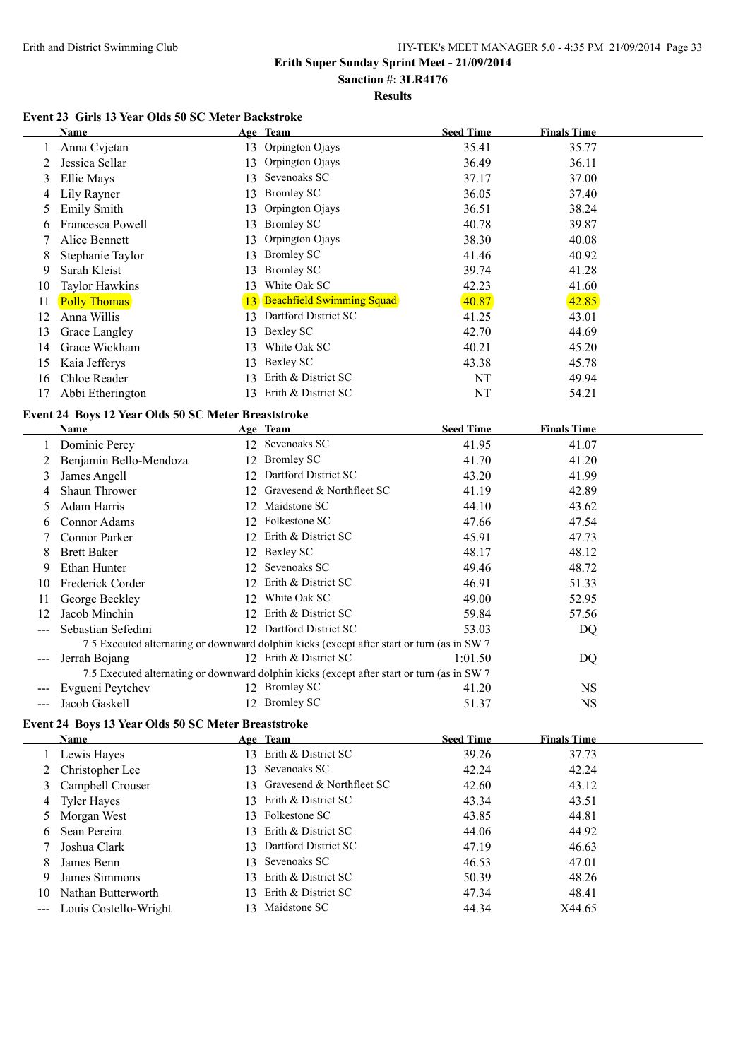#### **Erith Super Sunday Sprint Meet - 21/09/2014 Sanction #: 3LR4176**

# **Results**

#### **Event 23 Girls 13 Year Olds 50 SC Meter Backstroke**

|    | Name                  |    | Age Team                     | <b>Seed Time</b> | <b>Finals Time</b> |
|----|-----------------------|----|------------------------------|------------------|--------------------|
|    | Anna Cvjetan          | 13 | Orpington Ojays              | 35.41            | 35.77              |
|    | Jessica Sellar        | 13 | Orpington Ojays              | 36.49            | 36.11              |
| 3  | Ellie Mays            | 13 | Sevenoaks SC                 | 37.17            | 37.00              |
| 4  | Lily Rayner           | 13 | <b>Bromley SC</b>            | 36.05            | 37.40              |
|    | <b>Emily Smith</b>    | 13 | Orpington Ojays              | 36.51            | 38.24              |
| 6  | Francesca Powell      | 13 | <b>Bromley SC</b>            | 40.78            | 39.87              |
|    | Alice Bennett         | 13 | Orpington Ojays              | 38.30            | 40.08              |
| 8  | Stephanie Taylor      | 13 | <b>Bromley SC</b>            | 41.46            | 40.92              |
| 9  | Sarah Kleist          | 13 | <b>Bromley SC</b>            | 39.74            | 41.28              |
| 10 | <b>Taylor Hawkins</b> | 13 | White Oak SC                 | 42.23            | 41.60              |
| 11 | <b>Polly Thomas</b>   |    | 13 Beachfield Swimming Squad | 40.87            | 42.85              |
| 12 | Anna Willis           | 13 | Dartford District SC         | 41.25            | 43.01              |
| 13 | Grace Langley         | 13 | Bexley SC                    | 42.70            | 44.69              |
| 14 | Grace Wickham         | 13 | White Oak SC                 | 40.21            | 45.20              |
| 15 | Kaia Jefferys         | 13 | Bexley SC                    | 43.38            | 45.78              |
| 16 | Chloe Reader          | 13 | Erith & District SC          | NT               | 49.94              |
| 17 | Abbi Etherington      | 13 | Erith & District SC          | NT               | 54.21              |

#### **Event 24 Boys 12 Year Olds 50 SC Meter Breaststroke**

|                            | Name                   |    | Age Team                                                                                    | <b>Seed Time</b> | <b>Finals Time</b> |
|----------------------------|------------------------|----|---------------------------------------------------------------------------------------------|------------------|--------------------|
|                            | Dominic Percy          |    | 12 Sevenoaks SC                                                                             | 41.95            | 41.07              |
|                            | Benjamin Bello-Mendoza |    | 12 Bromley SC                                                                               | 41.70            | 41.20              |
| 3                          | James Angell           |    | 12 Dartford District SC                                                                     | 43.20            | 41.99              |
|                            | <b>Shaun Thrower</b>   |    | 12 Gravesend & Northfleet SC                                                                | 41.19            | 42.89              |
|                            | Adam Harris            |    | 12 Maidstone SC                                                                             | 44.10            | 43.62              |
| 6                          | Connor Adams           |    | 12 Folkestone SC                                                                            | 47.66            | 47.54              |
|                            | <b>Connor Parker</b>   |    | 12 Erith & District SC                                                                      | 45.91            | 47.73              |
| 8                          | <b>Brett Baker</b>     |    | 12 Bexley SC                                                                                | 48.17            | 48.12              |
| 9                          | Ethan Hunter           |    | 12 Sevenoaks SC                                                                             | 49.46            | 48.72              |
| 10                         | Frederick Corder       |    | 12 Erith & District SC                                                                      | 46.91            | 51.33              |
| 11                         | George Beckley         | 12 | White Oak SC                                                                                | 49.00            | 52.95              |
| 12                         | Jacob Minchin          |    | 12 Erith & District SC                                                                      | 59.84            | 57.56              |
|                            | Sebastian Sefedini     |    | 12 Dartford District SC                                                                     | 53.03            | DQ                 |
|                            |                        |    | 7.5 Executed alternating or downward dolphin kicks (except after start or turn (as in SW 7) |                  |                    |
| $\qquad \qquad - \qquad -$ | Jerrah Bojang          |    | 12 Erith & District SC                                                                      | 1:01.50          | DQ                 |
|                            |                        |    | 7.5 Executed alternating or downward dolphin kicks (except after start or turn (as in SW 7) |                  |                    |
|                            | Evgueni Peytchev       |    | 12 Bromley SC                                                                               | 41.20            | NS.                |
|                            | Jacob Gaskell          |    | 12 Bromley SC                                                                               | 51.37            | <b>NS</b>          |

#### **Event 24 Boys 13 Year Olds 50 SC Meter Breaststroke**

|    | <b>Name</b>               |     | Age Team                     | <b>Seed Time</b> | <b>Finals Time</b> |
|----|---------------------------|-----|------------------------------|------------------|--------------------|
|    | 1 Lewis Hayes             |     | 13 Erith & District SC       | 39.26            | 37.73              |
|    | 2 Christopher Lee         |     | 13 Sevenoaks SC              | 42.24            | 42.24              |
|    | 3 Campbell Crouser        |     | 13 Gravesend & Northfleet SC | 42.60            | 43.12              |
|    | 4 Tyler Hayes             |     | 13 Erith & District SC       | 43.34            | 43.51              |
|    | 5 Morgan West             |     | 13 Folkestone SC             | 43.85            | 44.81              |
| 6  | Sean Pereira              |     | 13 Erith & District SC       | 44.06            | 44.92              |
|    | Joshua Clark              |     | 13 Dartford District SC      | 47.19            | 46.63              |
| 8  | James Benn                |     | 13 Sevenoaks SC              | 46.53            | 47.01              |
| 9  | James Simmons             |     | 13 Erith & District SC       | 50.39            | 48.26              |
| 10 | Nathan Butterworth        |     | 13 Erith & District SC       | 47.34            | 48.41              |
|    | --- Louis Costello-Wright | 13. | Maidstone SC                 | 44.34            | X44.65             |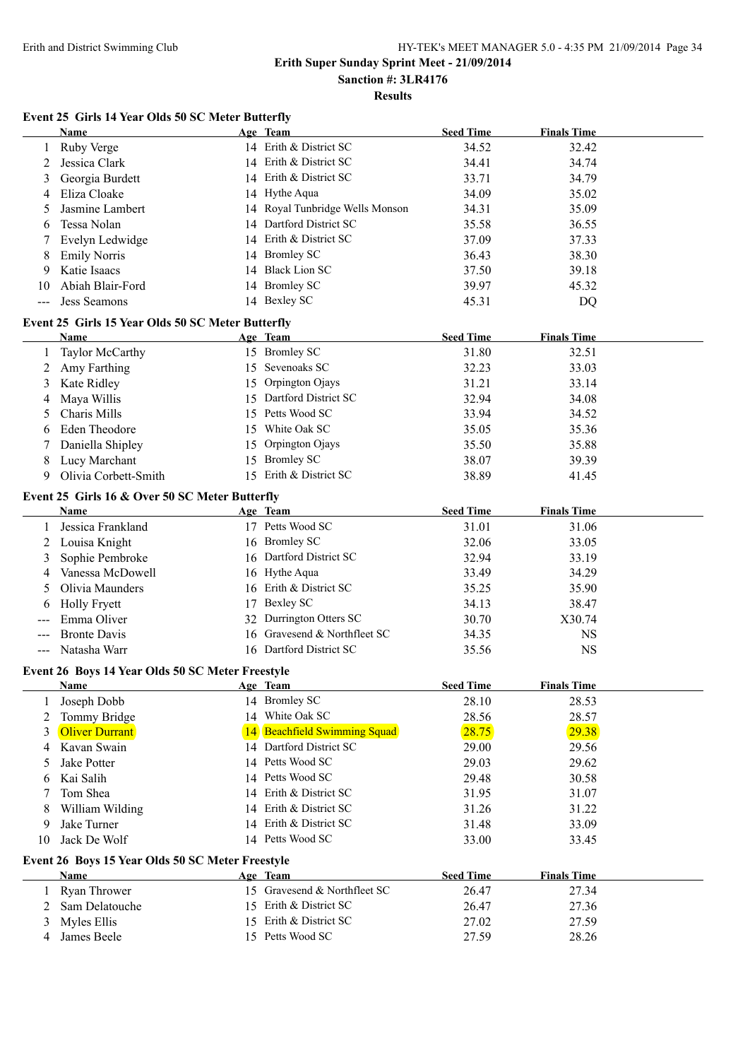#### **Erith Super Sunday Sprint Meet - 21/09/2014 Sanction #: 3LR4176**

**Results**

#### **Event 25 Girls 14 Year Olds 50 SC Meter Butterfly**

|              | Name                                              |    | Age Team                         | <b>Seed Time</b> | <b>Finals Time</b> |  |
|--------------|---------------------------------------------------|----|----------------------------------|------------------|--------------------|--|
| 1            | Ruby Verge                                        |    | 14 Erith & District SC           | 34.52            | 32.42              |  |
| 2            | Jessica Clark                                     |    | 14 Erith & District SC           | 34.41            | 34.74              |  |
| 3            | Georgia Burdett                                   | 14 | Erith & District SC              | 33.71            | 34.79              |  |
| 4            | Eliza Cloake                                      |    | 14 Hythe Aqua                    | 34.09            | 35.02              |  |
| 5            | Jasmine Lambert                                   |    | 14 Royal Tunbridge Wells Monson  | 34.31            | 35.09              |  |
| 6            | Tessa Nolan                                       | 14 | Dartford District SC             | 35.58            | 36.55              |  |
| 7            | Evelyn Ledwidge                                   |    | 14 Erith & District SC           | 37.09            | 37.33              |  |
| 8            | <b>Emily Norris</b>                               |    | 14 Bromley SC                    | 36.43            | 38.30              |  |
| 9            | Katie Isaacs                                      |    | 14 Black Lion SC                 | 37.50            | 39.18              |  |
| 10           | Abiah Blair-Ford                                  |    | 14 Bromley SC                    | 39.97            | 45.32              |  |
|              | <b>Jess Seamons</b>                               |    | 14 Bexley SC                     | 45.31            | DQ                 |  |
|              | Event 25 Girls 15 Year Olds 50 SC Meter Butterfly |    |                                  |                  |                    |  |
|              | Name                                              |    | Age Team                         | <b>Seed Time</b> | <b>Finals Time</b> |  |
| 1            | <b>Taylor McCarthy</b>                            |    | 15 Bromley SC                    | 31.80            | 32.51              |  |
| 2            | Amy Farthing                                      |    | 15 Sevenoaks SC                  | 32.23            | 33.03              |  |
| 3            | Kate Ridley                                       | 15 | Orpington Ojays                  | 31.21            | 33.14              |  |
| 4            | Maya Willis                                       | 15 | Dartford District SC             | 32.94            | 34.08              |  |
| 5            | Charis Mills                                      |    | 15 Petts Wood SC                 | 33.94            | 34.52              |  |
| 6            | <b>Eden Theodore</b>                              | 15 | White Oak SC                     | 35.05            | 35.36              |  |
| 7            | Daniella Shipley                                  | 15 | Orpington Ojays                  | 35.50            | 35.88              |  |
| 8            | Lucy Marchant                                     |    | 15 Bromley SC                    | 38.07            | 39.39              |  |
| 9            | Olivia Corbett-Smith                              |    | 15 Erith & District SC           | 38.89            | 41.45              |  |
|              |                                                   |    |                                  |                  |                    |  |
|              | Event 25 Girls 16 & Over 50 SC Meter Butterfly    |    |                                  |                  |                    |  |
|              | <b>Name</b>                                       |    | Age Team                         | <b>Seed Time</b> | <b>Finals Time</b> |  |
| 1            | Jessica Frankland                                 |    | 17 Petts Wood SC                 | 31.01            | 31.06              |  |
| 2            | Louisa Knight                                     |    | 16 Bromley SC                    | 32.06            | 33.05              |  |
| 3            | Sophie Pembroke                                   |    | 16 Dartford District SC          | 32.94            | 33.19              |  |
| 4            | Vanessa McDowell                                  |    | 16 Hythe Aqua                    | 33.49            | 34.29              |  |
| 5            | Olivia Maunders                                   |    | 16 Erith & District SC           | 35.25            | 35.90              |  |
| 6            | <b>Holly Fryett</b>                               | 17 | <b>Bexley SC</b>                 | 34.13            | 38.47              |  |
|              | Emma Oliver                                       | 32 | Durrington Otters SC             | 30.70            | X30.74             |  |
|              | <b>Bronte Davis</b>                               | 16 | Gravesend & Northfleet SC        | 34.35            | <b>NS</b>          |  |
|              | Natasha Warr                                      |    | 16 Dartford District SC          | 35.56            | <b>NS</b>          |  |
|              | Event 26 Boys 14 Year Olds 50 SC Meter Freestyle  |    |                                  |                  |                    |  |
|              | Name                                              |    | Age Team                         | <b>Seed Time</b> | <b>Finals Time</b> |  |
|              | Joseph Dobb                                       |    | 14 Bromley SC                    | 28.10            | 28.53              |  |
| 2            | Tommy Bridge                                      |    | 14 White Oak SC                  | 28.56            | 28.57              |  |
| 3            | <b>Oliver Durrant</b>                             | 14 | <b>Beachfield Swimming Squad</b> | 28.75            | 29.38              |  |
| 4            | Kavan Swain                                       |    | 14 Dartford District SC          | 29.00            | 29.56              |  |
| 5            | <b>Jake Potter</b>                                | 14 | Petts Wood SC                    | 29.03            | 29.62              |  |
| 6            | Kai Salih                                         | 14 | Petts Wood SC                    | 29.48            | 30.58              |  |
|              | Tom Shea                                          | 14 | Erith & District SC              | 31.95            | 31.07              |  |
| 8            | William Wilding                                   | 14 | Erith & District SC              | 31.26            | 31.22              |  |
| 9            | Jake Turner                                       | 14 | Erith & District SC              | 31.48            | 33.09              |  |
| 10           | Jack De Wolf                                      |    | 14 Petts Wood SC                 | 33.00            | 33.45              |  |
|              | Event 26 Boys 15 Year Olds 50 SC Meter Freestyle  |    |                                  |                  |                    |  |
|              | Name                                              |    | Age Team                         | <b>Seed Time</b> | <b>Finals Time</b> |  |
| $\mathbf{1}$ | Ryan Thrower                                      |    | 15 Gravesend & Northfleet SC     | 26.47            | 27.34              |  |
| 2            | Sam Delatouche                                    |    | 15 Erith & District SC           | 26.47            | 27.36              |  |
| 3            | Myles Ellis                                       | 15 | Erith & District SC              | 27.02            | 27.59              |  |
| 4            | James Beele                                       |    | 15 Petts Wood SC                 | 27.59            | 28.26              |  |